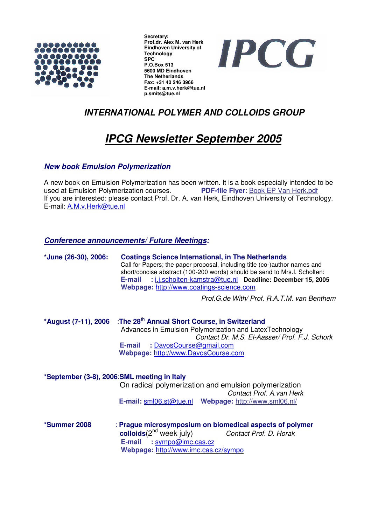

**Secretary: Prof.dr. Alex M. van Herk Eindhoven University of Technology SPC P.O.Box 513 5600 MD Eindhoven The Netherlands Fax: +31 40 246 3966 E-mail: a.m.v.herk@tue.nl p.smits@tue.nl**



## *INTERNATIONAL POLYMER AND COLLOIDS GROUP*

# *IPCG Newsletter September 2005*

### *New book Emulsion Polymerization*

A new book on Emulsion Polymerization has been written. It is a book especially intended to be used at Emulsion Polymerization courses. **PDF-file Flyer**: Book EP Van Herk.pdf If you are interested: please contact Prof. Dr. A. van Herk, Eindhoven University of Technology. E-mail: A.M.v.Herk@tue.nl

### *Conference announcements/ Future Meetings:*

**\*June (26-30), 2006: Coatings Science International, in The Netherlands** Call for Papers; the paper proposal, including title (co-)author names and short/concise abstract (100-200 words) should be send to Mrs.I. Scholten: **E-mail :** i.j.scholten-kamstra@tue.nl **Deadline: December 15, 2005 Webpage:** http://www.coatings-science.com

*Prof.G.de With/ Prof. R.A.T.M. van Benthem*

**\*August (7-11), 2006** :**The 28 the 28<sup>th</sup> Annual Short Course, in Switzerland** Advances in Emulsion Polymerization and LatexTechnology *Contact Dr. M.S. El-Aasser/ Prof. F.J. Schork* **E-mail :** DavosCourse@gmail.com **Webpage:** http://www.DavosCourse.com

**\*September (3-8), 2006**:**SML meeting in Italy** On radical polymerization and emulsion polymerization *Contact Prof. A.van Herk* **E-mail:** sml06.st@tue.nl **Webpage:** http://www.sml06.nl/

**\*Summer 2008** : **Prague microsymposium on biomedical aspects of polymer** colloids<sup>(2<sup>nd</sup> week july)</sup> nd week july) *Contact Prof. D. Horak* **E-mail :** sympo@imc.cas.cz **Webpage:** http://www.imc.cas.cz/sympo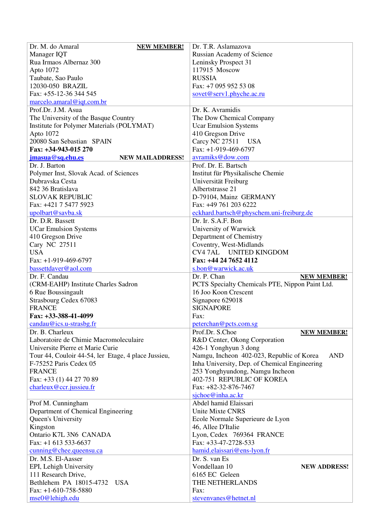| Dr. M. do Amaral<br><b>NEW MEMBER!</b>              | Dr. T.R. Aslamazova                                     |  |
|-----------------------------------------------------|---------------------------------------------------------|--|
| Manager IQT                                         | Russian Academy of Science                              |  |
| Rua Irmaos Albernaz 300                             | Leninsky Prospect 31                                    |  |
| Apto 1072                                           | 117915 Moscow                                           |  |
| Taubate, Sao Paulo                                  | <b>RUSSIA</b>                                           |  |
| 12030-050 BRAZIL                                    | Fax: +7 095 952 53 08                                   |  |
| Fax: +55-12-36 344 545                              | sovet@serv1.phyche.ac.ru                                |  |
| marcelo.amaral@iqt.com.br                           |                                                         |  |
| Prof.Dr. J.M. Asua                                  | Dr. K. Avramidis                                        |  |
| The University of the Basque Country                | The Dow Chemical Company                                |  |
| Institute for Polymer Materials (POLYMAT)           | <b>Ucar Emulsion Systems</b>                            |  |
| Apto 1072                                           | 410 Gregson Drive                                       |  |
| 20080 San Sebastian SPAIN                           | Carcy NC 27511 USA                                      |  |
| Fax: +34-943-015 270                                | Fax: +1-919-469-6797                                    |  |
| jmasua@sq.ehu.es<br><b>NEW MAILADDRESS!</b>         | avramiks@dow.com                                        |  |
| Dr. J. Barton                                       | Prof. Dr. E. Bartsch                                    |  |
| Polymer Inst, Slovak Acad. of Sciences              | Institut für Physikalische Chemie                       |  |
| Dubravska Cesta                                     | Universität Freiburg                                    |  |
| 842 36 Bratislava                                   | Albertstrasse 21                                        |  |
| <b>SLOVAK REPUBLIC</b>                              | D-79104, Mainz GERMANY                                  |  |
| Fax: +421 7 5477 5923                               | Fax: +49 761 203 6222                                   |  |
| upolbart@savba.sk                                   | eckhard.bartsch@physchem.uni-freiburg.de                |  |
| Dr. D.R. Bassett                                    | Dr. Ir. S.A.F. Bon                                      |  |
| <b>UCar Emulsion Systems</b>                        | University of Warwick                                   |  |
| 410 Gregson Drive                                   | Department of Chemistry                                 |  |
| Cary NC 27511                                       | Coventry, West-Midlands                                 |  |
| <b>USA</b>                                          | CV4 7AL UNITED KINGDOM                                  |  |
| Fax: $+1-919-469-6797$                              | Fax: +44 24 7652 4112                                   |  |
| bassettdaver@aol.com                                | s.bon@warwick.ac.uk                                     |  |
| Dr. F. Candau                                       | Dr. P. Chan<br><b>NEW MEMBER!</b>                       |  |
|                                                     |                                                         |  |
| (CRM-EAHP) Institute Charles Sadron                 | PCTS Specialty Chemicals PTE, Nippon Paint Ltd.         |  |
| 6 Rue Boussingault                                  | 16 Joo Koon Crescent                                    |  |
| Strasbourg Cedex 67083                              | Signapore 629018                                        |  |
| <b>FRANCE</b>                                       | <b>SIGNAPORE</b>                                        |  |
| Fax: +33-388-41-4099                                | Fax:                                                    |  |
| $candau@ics.u-strasbg.fr$                           | peterchan@pcts.com.sg                                   |  |
| Dr. B. Charleux                                     | Prof.Dr. S.Choe<br><b>NEW MEMBER!</b>                   |  |
| Laboratoire de Chimie Macromoleculaire              | R&D Center, Okong Corporation                           |  |
| Universite Pierre et Marie Curie                    | 426-1 Yonghyun 3 dong                                   |  |
| Tour 44, Couloir 44-54, ler Etage, 4 place Jussieu, | Namgu, Incheon 402-023, Republic of Korea<br><b>AND</b> |  |
| F-75252 Paris Cedex 05                              | Inha University, Dep. of Chemical Engineering           |  |
| <b>FRANCE</b>                                       | 253 Yonghyundong, Namgu Incheon                         |  |
| Fax: +33 (1) 44 27 70 89                            | 402-751 REPUBLIC OF KOREA                               |  |
| charleux@ccr.jussieu.fr                             | Fax: +82-32-876-7467                                    |  |
|                                                     | sjchoe@inha.ac.kr                                       |  |
| Prof M. Cunningham                                  | Abdel hamid Elaissari                                   |  |
| Department of Chemical Engineering                  | <b>Unite Mixte CNRS</b>                                 |  |
| Queen's University                                  | Ecole Normale Superieure de Lyon                        |  |
| Kingston                                            | 46, Allee D'Italie                                      |  |
| Ontario K7L 3N6 CANADA                              | Lyon, Cedex 769364 FRANCE                               |  |
| Fax: $+1$ 613 533-6637                              | Fax: +33-47-2728-533                                    |  |
| cunning@chee.queensu.ca                             | hamid.elaissari@ens-lyon.fr                             |  |
| Dr. M.S. El-Aasser                                  | Dr. S. van Es                                           |  |
| EPI, Lehigh University                              | Vondellaan 10<br><b>NEW ADDRESS!</b>                    |  |
| 111 Research Drive,                                 | 6165 EC Geleen                                          |  |
| Bethlehem PA 18015-4732<br><b>USA</b>               | THE NETHERLANDS                                         |  |
| Fax: $+1-610-758-5880$<br>mse0@lehigh.edu           | Fax:<br>stevenvanes@hetnet.nl                           |  |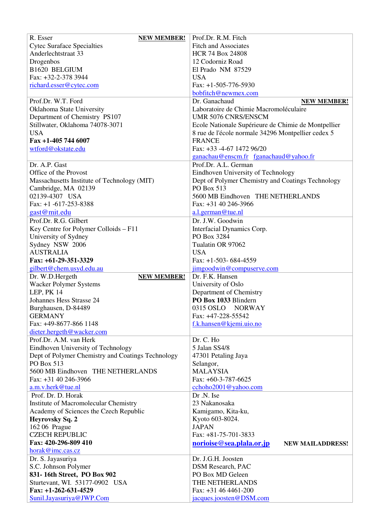| R. Esser<br><b>NEW MEMBER!</b>                    | Prof.Dr. R.M. Fitch                                 |
|---------------------------------------------------|-----------------------------------------------------|
| <b>Cytec Suraface Specialties</b>                 | <b>Fitch and Associates</b>                         |
| Anderlechtstraat 33                               | <b>HCR 74 Box 24808</b>                             |
| Drogenbos                                         | 12 Codorniz Road                                    |
| B1620 BELGIUM                                     | El Prado NM 87529                                   |
| Fax: +32-2-378 3944                               | <b>USA</b>                                          |
| richard.esser@cytec.com                           | Fax: $+1-505-776-5930$                              |
|                                                   | bobfitch@newmex.com                                 |
| Prof.Dr. W.T. Ford                                | Dr. Ganachaud<br><b>NEW MEMBER!</b>                 |
| Oklahoma State University                         | Laboratoire de Chimie Macromoléculaire              |
| Department of Chemistry PS107                     | UMR 5076 CNRS/ENSCM                                 |
| Stillwater, Oklahoma 74078-3071                   | Ecole Nationale Supérieure de Chimie de Montpellier |
| <b>USA</b>                                        | 8 rue de l'école normale 34296 Montpellier cedex 5  |
| Fax +1-405 744 6007                               | <b>FRANCE</b>                                       |
| wtford@okstate.edu                                | Fax: +33 -4-67 1472 96/20                           |
|                                                   | ganachau@enscm.fr fganachaud@yahoo.fr               |
| Dr. A.P. Gast                                     | Prof.Dr. A.L. German                                |
| Office of the Provost                             | Eindhoven University of Technology                  |
| Massachusetts Institute of Technology (MIT)       | Dept of Polymer Chemistry and Coatings Technology   |
| Cambridge, MA 02139                               | PO Box 513                                          |
| 02139-4307 USA                                    | 5600 MB Eindhoven THE NETHERLANDS                   |
| Fax: $+1$ -617-253-8388                           | Fax: +31 40 246-3966                                |
| gast@mit.edu                                      | a.l.german@tue.nl                                   |
| Prof.Dr. R.G. Gilbert                             | Dr. J.W. Goodwin                                    |
| Key Centre for Polymer Colloids - F11             | Interfacial Dynamics Corp.                          |
| University of Sydney                              | PO Box 3284                                         |
| Sydney NSW 2006                                   | Tualatin OR 97062                                   |
| <b>AUSTRALIA</b>                                  | <b>USA</b>                                          |
| Fax: +61-29-351-3329                              | Fax: $+1-503-684-4559$                              |
| gilbert@chem.usyd.edu.au                          | jimgoodwin@compuserve.com                           |
| Dr. W.D.Hergeth<br><b>NEW MEMBER!</b>             | Dr. F.K. Hansen                                     |
| Wacker Polymer Systems                            | University of Oslo                                  |
| LEP, PK 14                                        | Department of Chemistry                             |
| Johannes Hess Strasse 24                          | PO Box 1033 Blindern                                |
| Burghausen, D-84489                               | 0315 OSLO NORWAY                                    |
| <b>GERMANY</b>                                    | Fax: +47-228-55542                                  |
| Fax: +49-8677-866 1148                            | f.k.hansen@kjemi.uio.no                             |
| dieter.hergeth@wacker.com                         |                                                     |
| Prof.Dr. A.M. van Herk                            | Dr. C. Ho                                           |
| Eindhoven University of Technology                | 5 Jalan SS4/8                                       |
| Dept of Polymer Chemistry and Coatings Technology | 47301 Petaling Jaya                                 |
| PO Box 513                                        | Selangor,                                           |
| 5600 MB Eindhoven THE NETHERLANDS                 | <b>MALAYSIA</b>                                     |
| Fax: +31 40 246-3966                              | Fax: +60-3-787-6625                                 |
| a.m.v.herk@tue.nl                                 | cchoho2001@yahoo.com                                |
| Prof. Dr. D. Horak                                | Dr.N. Ise                                           |
| Institute of Macromolecular Chemistry             | 23 Nakanosaka                                       |
| Academy of Sciences the Czech Republic            | Kamigamo, Kita-ku,                                  |
| <b>Heyrovsky Sq. 2</b>                            | Kyoto 603-8024.                                     |
| 162 06 Prague                                     | <b>JAPAN</b>                                        |
| <b>CZECH REPUBLIC</b>                             | Fax: +81-75-701-3833                                |
| Fax: 420-296-809 410                              | norioise@sea.plala.or.jp<br><b>NEW MAILADDRESS!</b> |
| horak@imc.cas.cz                                  |                                                     |
| Dr. S. Jayasuriya                                 | Dr. J.G.H. Joosten                                  |
| S.C. Johnson Polymer                              | <b>DSM Research, PAC</b>                            |
| 831-16th Street, PO Box 902                       | PO Box MD Geleen                                    |
| Sturtevant, WI. 53177-0902 USA                    | THE NETHERLANDS                                     |
| Fax: +1-262-631-4529                              | Fax: +31 46 4461-200                                |
| Sunil.Jayasuriya@JWP.Com                          | jacques.joosten@DSM.com                             |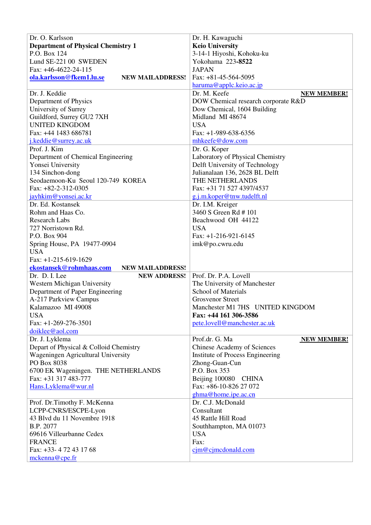| Dr. O. Karlsson                                             | Dr. H. Kawaguchi                                                                                             |  |
|-------------------------------------------------------------|--------------------------------------------------------------------------------------------------------------|--|
| <b>Department of Physical Chemistry 1</b>                   | <b>Keio University</b>                                                                                       |  |
| P.O. Box 124                                                | 3-14-1 Hiyoshi, Kohoku-ku                                                                                    |  |
| Lund SE-221 00 SWEDEN                                       | Yokohama 223-8522                                                                                            |  |
| Fax: +46-4622-24-115                                        | <b>JAPAN</b>                                                                                                 |  |
| ola.karlsson@fkem1.lu.se<br><b>NEW MAILADDRESS!</b>         | Fax: $+81-45-564-5095$                                                                                       |  |
|                                                             | haruma@applc.keio.ac.jp                                                                                      |  |
| Dr. J. Keddie                                               | Dr. M. Keefe<br><b>NEW MEMBER!</b>                                                                           |  |
| Department of Physics                                       | DOW Chemical research corporate R&D                                                                          |  |
| University of Surrey                                        | Dow Chemical, 1604 Building                                                                                  |  |
| Guildford, Surrey GU2 7XH                                   | Midland MI 48674                                                                                             |  |
| <b>UNITED KINGDOM</b>                                       | <b>USA</b>                                                                                                   |  |
| Fax: +44 1483 686781                                        | Fax: $+1-989-638-6356$                                                                                       |  |
| j.keddie@surrey.ac.uk                                       | mhkeefe@dow.com                                                                                              |  |
| Prof. J. Kim                                                | Dr. G. Koper                                                                                                 |  |
| Department of Chemical Engineering                          | Laboratory of Physical Chemistry                                                                             |  |
| Yonsei University                                           | Delft University of Technology                                                                               |  |
| 134 Sinchon-dong                                            | Julianalaan 136, 2628 BL Delft                                                                               |  |
| Seodaemoon-Ku Seoul 120-749 KOREA                           | THE NETHERLANDS                                                                                              |  |
| Fax: +82-2-312-0305                                         | Fax: +31 71 527 4397/4537                                                                                    |  |
| jayhkim@yonsei.ac.kr                                        | g.j.m.koper@tnw.tudelft.nl                                                                                   |  |
| Dr. Ed. Kostansek                                           | Dr. I.M. Kreiger                                                                                             |  |
| Rohm and Haas Co.                                           | 3460 S Green Rd # 101                                                                                        |  |
| <b>Research Labs</b>                                        | Beachwood OH 44122                                                                                           |  |
| 727 Norristown Rd.                                          | <b>USA</b>                                                                                                   |  |
| P.O. Box 904                                                | Fax: $+1-216-921-6145$                                                                                       |  |
| Spring House, PA 19477-0904                                 | imk@po.cwru.edu                                                                                              |  |
|                                                             |                                                                                                              |  |
|                                                             |                                                                                                              |  |
| <b>USA</b>                                                  |                                                                                                              |  |
| Fax: $+1-215-619-1629$                                      |                                                                                                              |  |
| ekostansek@rohmhaas.com<br><b>NEW MAILADDRESS!</b>          |                                                                                                              |  |
| Dr. D. I. Lee<br><b>NEW ADDRESS!</b>                        | Prof. Dr. P.A. Lovell                                                                                        |  |
| Western Michigan University                                 | The University of Manchester                                                                                 |  |
| Department of Paper Engineering                             | <b>School of Materials</b>                                                                                   |  |
| A-217 Parkview Campus                                       | <b>Grosvenor Street</b>                                                                                      |  |
| Kalamazoo MI 49008                                          | Manchester M1 7HS UNITED KINGDOM                                                                             |  |
| <b>USA</b>                                                  | Fax: +44 161 306-3586                                                                                        |  |
| Fax: $+1-269-276-3501$                                      | pete.lovell@manchester.ac.uk                                                                                 |  |
| doiklee@aol.com                                             | Prof.dr. G. Ma                                                                                               |  |
| Dr. J. Lyklema                                              | <b>NEW MEMBER!</b>                                                                                           |  |
| Depart of Physical & Colloid Chemistry                      | <b>Chinese Academy of Sciences</b>                                                                           |  |
| Wageningen Agricultural University                          | Institute of Process Engineering                                                                             |  |
| PO Box 8038                                                 | Zhong-Guan-Cun                                                                                               |  |
| 6700 EK Wageningen. THE NETHERLANDS<br>Fax: +31 317 483-777 | P.O. Box 353                                                                                                 |  |
|                                                             | Beijing 100080 CHINA<br>Fax: +86-10-826 27 072                                                               |  |
| Hans.Lyklema@wur.nl                                         | ghma@home.ipe.ac.cn                                                                                          |  |
|                                                             | Dr. C.J. McDonald                                                                                            |  |
| Prof. Dr.Timothy F. McKenna                                 | Consultant                                                                                                   |  |
| LCPP-CNRS/ESCPE-Lyon<br>43 Blvd du 11 Novembre 1918         | 45 Rattle Hill Road                                                                                          |  |
| B.P. 2077                                                   |                                                                                                              |  |
| 69616 Villeurbanne Cedex                                    | Southhampton, MA 01073<br><b>USA</b>                                                                         |  |
| <b>FRANCE</b>                                               | Fax:                                                                                                         |  |
| Fax: +33- 4 72 43 17 68                                     | $\frac{\text{c} \cdot \text{im@c} \cdot \text{imedonald.com}}{\text{c} \cdot \text{im@c} \cdot \text{im@c}}$ |  |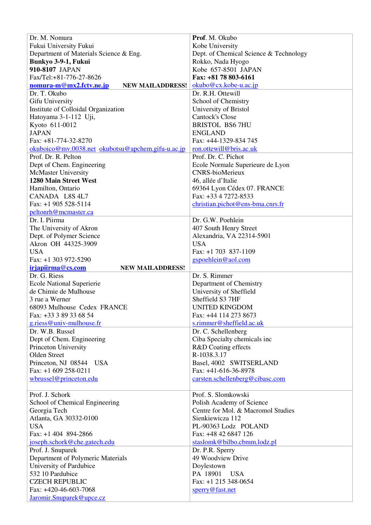| Dr. M. Nomura                                      | Prof. M. Okubo                                 |  |
|----------------------------------------------------|------------------------------------------------|--|
| Fukui University Fukui                             | Kobe University                                |  |
| Department of Materials Science & Eng.             | Dept. of Chemical Science & Technology         |  |
| Bunkyo 3-9-1, Fukui                                | Rokko, Nada Hyogo                              |  |
| 910-8107 JAPAN                                     | Kobe 657-8501 JAPAN                            |  |
| Fax/Tel:+81-776-27-8626                            | Fax: +81 78 803-6161                           |  |
| nomura-m@mx2.fctv.ne.jp<br><b>NEW MAILADDRESS!</b> | $okubo@cx.kobe-u.ac.jp$                        |  |
| Dr. T. Okubo                                       | Dr. R.H. Ottewill                              |  |
| Gifu University                                    | School of Chemistry                            |  |
| Institute of Colloidal Organization                | University of Bristol                          |  |
| Hatoyama 3-1-112 Uji,                              | <b>Cantock's Close</b>                         |  |
| Kyoto 611-0012                                     | <b>BRISTOL BS67HU</b>                          |  |
| <b>JAPAN</b>                                       | <b>ENGLAND</b>                                 |  |
| Fax: +81-774-32-8270                               | Fax: +44-1329-834 745                          |  |
| okuboico@mv.0038.net okubotsu@apchem.gifu-u.ac.jp  | ron.ottewill@bris.ac.uk                        |  |
| Prof. Dr. R. Pelton                                | Prof. Dr. C. Pichot                            |  |
| Dept of Chem. Engineering                          | Ecole Normale Superieure de Lyon               |  |
| <b>McMaster University</b>                         | <b>CNRS-bioMerieux</b>                         |  |
| <b>1280 Main Street West</b>                       | 46, allée d'Italie                             |  |
| Hamilton, Ontario                                  | 69364 Lyon Cédex 07. FRANCE                    |  |
| CANADA L8S 4L7                                     | Fax: +33 4 7272-8533                           |  |
| Fax: +1 905 528-5114                               | christian.pichot@ens-bma.cnrs.fr               |  |
| peltonrh@mcmaster.ca                               |                                                |  |
| Dr. I. Piirma                                      | Dr. G.W. Poehlein                              |  |
| The University of Akron                            | 407 South Henry Street                         |  |
| Dept. of Polymer Science                           | Alexandria, VA 22314-5901                      |  |
| Akron OH 44325-3909                                | <b>USA</b>                                     |  |
| <b>USA</b>                                         | Fax: +1 703 837-1109                           |  |
| Fax: +1 303 972-5290                               | gspoehlein@aol.com                             |  |
| irjapiirma@cs.com<br><b>NEW MAILADDRESS!</b>       |                                                |  |
|                                                    |                                                |  |
|                                                    |                                                |  |
| Dr. G. Riess                                       | Dr. S. Rimmer                                  |  |
| <b>Ecole National Superierie</b>                   | Department of Chemistry                        |  |
| de Chimie de Mulhouse                              | University of Sheffield                        |  |
| 3 rue a Werner                                     | Sheffield S3 7HF                               |  |
| 68093 Mulhouse Cedex FRANCE                        | <b>UNITED KINGDOM</b>                          |  |
| Fax: +33 3 89 33 68 54                             | Fax: +44 114 273 8673                          |  |
| g.riess@univ-mulhouse.fr                           | s.rimmer@sheffield.ac.uk                       |  |
| Dr. W.B. Russel                                    | Dr. C. Schellenberg                            |  |
| Dept of Chem. Engineering                          | Ciba Specialty chemicals inc                   |  |
| Princeton University                               | R&D Coating effects                            |  |
| Olden Street                                       | R-1038.3.17                                    |  |
| Princeton, NJ 08544 USA                            | Basel, 4002 SWITSERLAND                        |  |
| Fax: $+1$ 609 258-0211                             | Fax: +41-616-36-8978                           |  |
| wbrussel@princeton.edu                             | carsten.schellenberg@cibasc.com                |  |
|                                                    |                                                |  |
| Prof. J. Schork                                    | Prof. S. Slomkowski                            |  |
| School of Chemical Engineering                     | Polish Academy of Science                      |  |
| Georgia Tech                                       | Centre for Mol. & Macromol Studies             |  |
| Atlanta, GA 30332-0100                             | Sienkiewicza 112                               |  |
| <b>USA</b>                                         | PL-90363 Lodz POLAND                           |  |
| Fax: $+1$ 404 894-2866                             | Fax: +48 42 6847 126                           |  |
| joseph.schork@che.gatech.edu                       | staslomk@bilbo.cbmm.lodz.pl                    |  |
| Prof. J. Snuparek                                  | Dr. P.R. Sperry                                |  |
| Department of Polymeric Materials                  | 49 Woodview Drive                              |  |
| University of Pardubice                            | Doylestown                                     |  |
| 532 10 Pardubice<br><b>CZECH REPUBLIC</b>          | PA 18901<br><b>USA</b><br>Fax: +1 215 348-0654 |  |
| Fax: +420-46-603-7068                              | sperry@fast.net                                |  |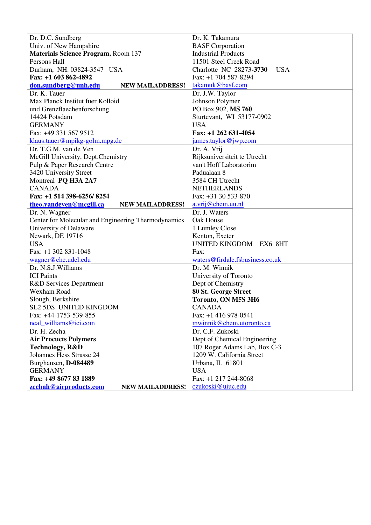| Dr. D.C. Sundberg                                   | Dr. K. Takamura                       |  |
|-----------------------------------------------------|---------------------------------------|--|
| Univ. of New Hampshire                              | <b>BASF</b> Corporation               |  |
| <b>Materials Science Program, Room 137</b>          | <b>Industrial Products</b>            |  |
| Persons Hall                                        | 11501 Steel Creek Road                |  |
| Durham, NH. 03824-3547 USA                          | Charlotte NC 28273-3730<br><b>USA</b> |  |
| Fax: +1 603 862-4892                                | Fax: +1 704 587-8294                  |  |
| don.sundberg@unh.edu<br><b>NEW MAILADDRESS!</b>     | takamuk@basf.com                      |  |
| Dr. K. Tauer                                        | Dr. J.W. Taylor                       |  |
| Max Planck Institut fuer Kolloid                    | Johnson Polymer                       |  |
| und Grenzflaechenforschung                          | PO Box 902, MS 760                    |  |
| 14424 Potsdam                                       | Sturtevant, WI 53177-0902             |  |
| <b>GERMANY</b>                                      | <b>USA</b>                            |  |
| Fax: +49 331 567 9512                               | Fax: +1 262 631-4054                  |  |
| klaus.tauer@mpikg-golm.mpg.de                       | james.taylor@jwp.com                  |  |
| Dr. T.G.M. van de Ven                               | Dr. A. Vrij                           |  |
| McGill University, Dept.Chemistry                   | Rijksuniversiteit te Utrecht          |  |
| Pulp & Paper Research Centre                        | van't Hoff Laboratorim                |  |
| 3420 University Street                              | Padualaan 8                           |  |
| Montreal PQ H3A 2A7                                 | 3584 CH Utrecht                       |  |
| <b>CANADA</b>                                       | <b>NETHERLANDS</b>                    |  |
| Fax: +1 514 398-6256/8254                           | Fax: +31 30 533-870                   |  |
| theo.vandeven@mcgill.ca<br><b>NEW MAILADDRESS!</b>  | a.vrij@chem.uu.nl                     |  |
| Dr. N. Wagner                                       | Dr. J. Waters                         |  |
| Center for Molecular and Engineering Thermodynamics | Oak House                             |  |
| University of Delaware                              | 1 Lumley Close                        |  |
| Newark, DE 19716                                    | Kenton, Exeter                        |  |
| <b>USA</b>                                          | UNITED KINGDOM EX6 8HT                |  |
| Fax: +1 302 831-1048                                | Fax:                                  |  |
| wagner@che.udel.edu                                 | waters@firdale.fsbusiness.co.uk       |  |
| Dr. N.S.J. Williams                                 | Dr. M. Winnik                         |  |
| <b>ICI</b> Paints                                   | University of Toronto                 |  |
| R&D Services Department                             | Dept of Chemistry                     |  |
| Wexham Road                                         | 80 St. George Street                  |  |
| Slough, Berkshire                                   | Toronto, ON M5S 3H6                   |  |
| <b>SL2 5DS UNITED KINGDOM</b>                       | <b>CANADA</b>                         |  |
| Fax: +44-1753-539-855                               | Fax: +1 416 978-0541                  |  |
| neal_williams@ici.com                               | mwinnik@chem.utoronto.ca              |  |
| Dr. H. Zecha                                        | Dr. C.F. Zukoski                      |  |
| <b>Air Procucts Polymers</b>                        | Dept of Chemical Engineering          |  |
| <b>Technology, R&amp;D</b>                          | 107 Roger Adams Lab, Box C-3          |  |
| Johannes Hess Strasse 24                            | 1209 W. California Street             |  |
| Burghausen, D-084489                                | Urbana, IL 61801                      |  |
| <b>GERMANY</b>                                      | <b>USA</b>                            |  |
| Fax: +49 8677 83 1889                               | Fax: +1 217 244-8068                  |  |
| zechah@airproducts.com<br><b>NEW MAILADDRESS!</b>   | czukoski@uiuc.edu                     |  |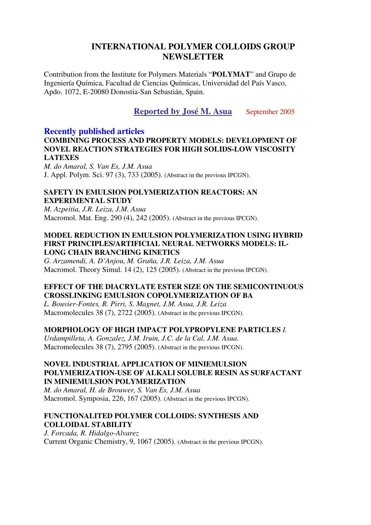## **INTERNATIONAL POLYMER COLLOIDS GROUP NEWSLETTER**

Contribution from the Institute for Polymers Materials "**POLYMAT**" and Grupo de Ingeniería Química, Facultad de Ciencias Químicas, Universidad del País Vasco, Apdo. 1072, E-20080 Donostia-San Sebastián, Spain.

**Reported by José M. Asua** September 2005

### **Recently published articles**

**COMBINING PROCESS AND PROPERTY MODELS: DEVELOPMENT OF NOVEL REACTION STRATEGIES FOR HIGH SOLIDS-LOW VISCOSITY LATEXES**

*M. do Amaral, S. Van Es, J.M. Asua* J. Appl. Polym. Sci. 97 (3), 733 (2005). (Abstract in the previous IPCGN).

### **SAFETY IN EMULSION POLYMERIZATION REACTORS: AN EXPERIMENTAL STUDY**

*M. Azpeitia, J.R. Leiza, J.M. Asua* Macromol. Mat. Eng. 290 (4), 242 (2005). (Abstract in the previous IPCGN).

#### **MODEL REDUCTION IN EMULSION POLYMERIZATION USING HYBRID FIRST PRINCIPLES/ARTIFICIAL NEURAL NETWORKS MODELS: II.- LONG CHAIN BRANCHING KINETICS**

*G. Arzamendi, A. D'Anjou, M. Graña, J.R. Leiza, J.M. Asua* Macromol. Theory Simul. 14 (2), 125 (2005). (Abstract in the previous IPCGN).

### **EFFECT OF THE DIACRYLATE ESTER SIZE ON THE SEMICONTINUOUS CROSSLINKING EMULSION COPOLYMERIZATION OF BA**

*L. Bouvier-Fontes, R. Pirri, S. Magnet, J.M. Asua, J.R. Leiza* Macromolecules 38 (7), 2722 (2005). (Abstract in the previous IPCGN).

### **MORPHOLOGY OF HIGH IMPACT POLYPROPYLENE PARTICLES** *I.*

*Urdampilleta, A. Gonzalez, J.M. Iruin, J.C. de la Cal, J.M. Asua*. Macromolecules 38 (7), 2795 (2005). (Abstract in the previous IPCGN).

### **NOVEL INDUSTRIAL APPLICATION OF MINIEMULSION POLYMERIZATION-USE OF ALKALI SOLUBLE RESIN AS SURFACTANT IN MINIEMULSION POLYMERIZATION**

*M. do Amaral, H. de Brouwer, S. Van Es, J.M. Asua* Macromol. Symposia, 226, 167 (2005). (Abstract in the previous IPCGN).

### **FUNCTIONALITED POLYMER COLLOIDS: SYNTHESIS AND COLLOIDAL STABILITY**

*J. Forcada, R. Hidalgo-Alvarez* Current Organic Chemistry, 9, 1067 (2005). (Abstract in the previous IPCGN).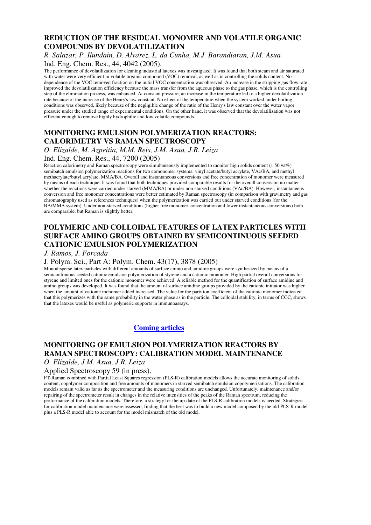### **REDUCTION OF THE RESIDUAL MONOMER AND VOLATILE ORGANIC COMPOUNDS BY DEVOLATILIZATION**

*R. Salazar, P. Ilundain, D. Alvarez, L. da Cunha, M.J. Barandiaran, J.M. Asua*

#### Ind. Eng. Chem. Res., 44, 4042 (2005).

The performance of devolatilization for cleaning industrial latexes was investigated. It was found that both steam and air saturated with water were very efficient in volatile organic compound (VOC) removal, as well as in controlling the solids content. No dependence of the VOC removed fraction on the initial VOC concentration was observed. An increase in the stripping gas flow rate improved the devolatilization efficiency because the mass transfer from the aqueous phase to the gas phase, which is the controlling step of the elimination process, was enhanced. At constant pressure, an increase in the temperature led to a higher devolatilization rate because of the increase of the Henry's law constant. No effect of the temperature when the system worked under boiling conditions was observed, likely because of the negligible change of the ratio of the Henry's law constant over the water vapor pressure under the studied range of experimental conditions. On the other hand, it was observed that the devolatilization was not efficient enough to remove highly hydrophilic and low volatile compounds.

### **MONITORING EMULSION POLYMERIZATION REACTORS: CALORIMETRY VS RAMAN SPECTROSCOPY**

*O. Elizalde, M. Azpeitia, M.M. Reis, J.M. Asua, J.R. Leiza*

### Ind. Eng. Chem. Res., 44, 7200 (2005)

Reaction calorimetry and Raman spectroscopy were simultaneously implemented to monitor high solids content (50 wt%) semibatch emulsion polymerization reactions for two comonomer systems: vinyl acetate/butyl acrylate, VAc/BA, and methyl methacrylate/butyl acrylate, MMA/BA. Overall and instantaneous conversions and free concentration of monomer were measured by means of each technique. It was found that both techniques provided comparable results for the overall conversion no matter whether the reactions were carried under starved (MMA/BA) or under non-starved conditions (VAc/BA). However, instantaneous conversion and free monomer concentrations were better estimated by Raman spectroscopy (in comparison with gravimetry and gas chromatography used as references techniques) when the polymerization was carried out under starved conditions (for the BA/MMA system). Under non-starved conditions (higher free monomer concentration and lower instantaneous conversions) both are comparable, but Raman is slightly better.

### **POLYMERIC AND COLLOIDAL FEATURES OF LATEX PARTICLES WITH SURFACE AMINO GROUPS OBTAINED BY SEMICONTINUOUS SEEDED CATIONIC EMULSION POLYMERIZATION**

#### *J. Ramos, J. Forcada*

#### J. Polym. Sci., Part A: Polym. Chem. 43(17), 3878 (2005)

Monodisperse latex particles with different amounts of surface amino and amidine groups were synthesized by means of a semicontinuous seeded cationic emulsion polymerization of styrene and a cationic monomer. High partial overall conversions for styrene and limited ones for the cationic monomer were achieved. A reliable method for the quantification of surface amidine and amino groups was developed. It was found that the amount of surface amidine groups provided by the cationic initiator was higher when the amount of cationic monomer added increased. The value for the partition coefficient of the cationic monomer indicated that this polymerizes with the same probability in the water phase as in the particle. The colloidal stability, in terms of CCC, shows that the latexes would be useful as polymeric supports in immunoassays.

### **Coming articles**

### **MONITORING OF EMULSION POLYMERIZATION REACTORS BY RAMAN SPECTROSCOPY: CALIBRATION MODEL MAINTENANCE**

#### *O. Elizalde, J.M. Asua, J.R. Leiza*

#### Applied Spectroscopy 59 (in press).

FT-Raman combined with Partial Least Squares regression (PLS-R) calibration models allows the accurate monitoring of solids content, copolymer composition and free amounts of monomers in starved semibatch emulsion copolymerizations. The calibration models remain valid as far as the spectrometer and the measuring conditions are unchanged. Unfortunately, maintenance and/or repairing of the spectrometer result in changes in the relative intensities of the peaks of the Raman spectrum, reducing the performance of the calibration models. Therefore, a strategy for the up-date of the PLS-R calibration models is needed. Strategies for calibration model maintenance were assessed, finding that the best was to build a new model composed by the old PLS-R model plus a PLS-R model able to account for the model mismatch of the old model.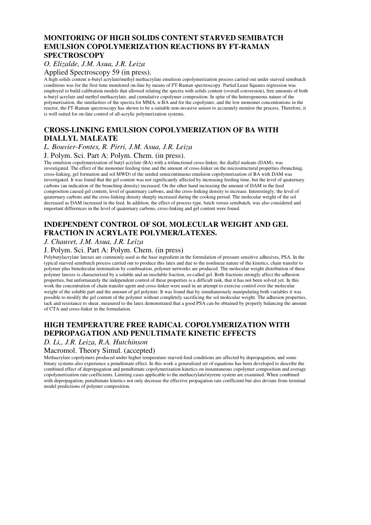### **MONITORING OF HIGH SOLIDS CONTENT STARVED SEMIBATCH EMULSION COPOLYMERIZATION REACTIONS BY FT-RAMAN SPECTROSCOPY**

### *O. Elizalde, J.M. Asua, J.R. Leiza*

Applied Spectroscopy 59 (in press).

A high solids content n-butyl acrylate/methyl methacrylate emulsion copolymerization process carried out under starved semibatch conditions was for the first time monitored on-line by means of FT-Raman spectroscopy. Partial Least Squares regression was employed to build calibration models that allowed relating the spectra with solids content (overall conversion), free amounts of both n-butyl acrylate and methyl methacrylate, and cumulative copolymer composition. In spite of the heterogeneous nature of the polymerization, the similarities of the spectra for MMA, n-BA and for the copolymer, and the low monomer concentrations in the reactor, the FT-Raman spectroscopy has shown to be a suitable non-invasive sensor to accurately monitor the process. Therefore, it is well suited for on-line control of all-acrylic polymerization systems.

### **CROSS-LINKING EMULSION COPOLYMERIZATION OF BA WITH DIALLYL MALEATE**

### *L. Bouvier-Fontes, R. Pirri, J.M. Asua, J.R. Leiza*

#### J. Polym. Sci. Part A: Polym. Chem. (in press).

The emulsion copolymerization of butyl acrylate (BA) with a trifunctional cross-linker, the diallyl maleate (DAM), was investigated. The effect of the monomer feeding time and the amount of cross-linker on the microstructural properties (branching, cross-linking, gel formation and sol MWD) of the seeded semicontinuous emulsion copolymerization of BA with DAM was investigated. It was found that the gel content was not significantly affected by increasing feeding time, but the level of quaternary carbons (an indication of the branching density) increased. On the other hand increasing the amount of DAM in the feed composition caused gel content, level of quaternary carbons, and the cross-linking density to increase. Interestingly, the level of quaternary carbons and the cross-linking density sharply increased during the cooking period. The molecular weight of the sol decreased as DAM increased in the feed. In addition, the effect of process type, batch versus semibatch, was also considered and important differences in the level of quaternary carbons, cross-linking and gel content were found.

### **INDEPENDENT CONTROL OF SOL MOLECULAR WEIGHT AND GEL FRACTION IN ACRYLATE POLYMER/LATEXES.**

#### *J. Chauvet, J.M. Asua, J.R. Leiza*

#### J. Polym. Sci. Part A: Polym. Chem. (in press)

Polybutylacrylate latexes are commonly used as the base ingredient in the formulation of pressure sensitive adhesives, PSA. In the typical starved semibatch process carried out to produce this latex and due to the nonlinear nature of the kinetics, chain transfer to polymer plus bimolecular termination by combination, polymer networks are produced. The molecular weight distribution of these polymer latexes is characterized by a soluble and an insoluble fraction, so-called gel. Both fractions strongly affect the adhesion properties, but unfortunately the independent control of these properties is a difficult task, that it has not been solved yet. In this work the concentration of chain transfer agent and cross-linker were used in an attempt to exercise control over the molecular weight of the soluble part and the amount of gel polymer. It was found that by simultaneously manipulating both variables it was possible to modify the gel content of the polymer without completely sacrificing the sol molecular weight. The adhesion properties, tack and resistance to shear, measured to the latex demonstrated that a good PSA can be obtained by properly balancing the amount of CTA and cross-linker in the formulation.

### **HIGH TEMPERATURE FREE RADICAL COPOLYMERIZATION WITH DEPROPAGATION AND PENULTIMATE KINETIC EFFECTS**

#### *D. Li,, J.R. Leiza, R.A. Hutchinson*

#### Macromol. Theory Simul. (accepted)

Methacrylate copolymers produced under higher temperature starved-feed conditions are affected by depropagation, and some binary systems also experience a penultimate effect. In this work a generalized set of equations has been developed to describe the combined effect of depropagation and penultimate copolymerization kinetics on instantaneous copolymer composition and average copolymerization rate coefficients. Limiting cases applicable to the methacrylate/styrene system are examined. When combined with depropagation, penultimate kinetics not only decrease the effective propagation rate coefficient but also deviate from terminal model predictions of polymer composition.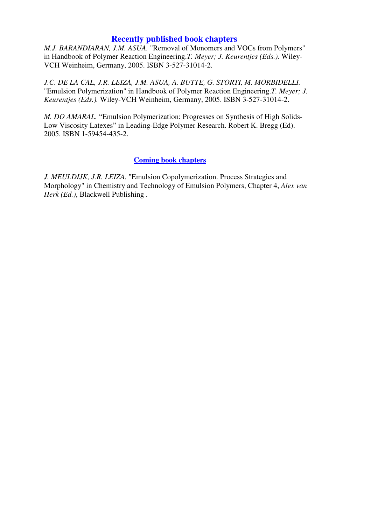### **Recently published book chapters**

*M.J. BARANDIARAN, J.M. ASUA.* "Removal of Monomers and VOCs from Polymers" in Handbook of Polymer Reaction Engineering.*T. Meyer; J. Keurentjes (Eds.).* Wiley-VCH Weinheim, Germany, 2005. ISBN 3-527-31014-2.

*J.C. DE LA CAL, J.R. LEIZA, J.M. ASUA, A. BUTTE, G. STORTI, M. MORBIDELLI.* "Emulsion Polymerization" in Handbook of Polymer Reaction Engineering.*T. Meyer; J. Keurentjes (Eds.).* Wiley-VCH Weinheim, Germany, 2005. ISBN 3-527-31014-2.

*M. DO AMARAL.* "Emulsion Polymerization: Progresses on Synthesis of High Solids-Low Viscosity Latexes" in Leading-Edge Polymer Research. Robert K. Bregg (Ed). 2005. ISBN 1-59454-435-2.

### **Coming book chapters**

*J. MEULDIJK, J.R. LEIZA.* "Emulsion Copolymerization. Process Strategies and Morphology" in Chemistry and Technology of Emulsion Polymers, Chapter 4, *Alex van Herk (Ed.)*, Blackwell Publishing .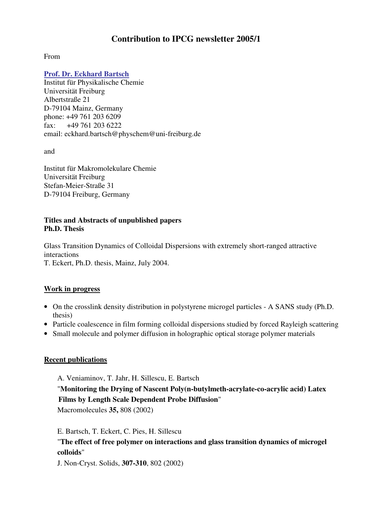## **Contribution to IPCG newsletter 2005/1**

From

### **Prof. Dr. Eckhard Bartsch**

Institut für Physikalische Chemie Universität Freiburg Albertstraße 21 D-79104 Mainz, Germany phone: +49 761 203 6209 fax: +49 761 203 6222 email: eckhard.bartsch@physchem@uni-freiburg.de

and

Institut für Makromolekulare Chemie Universität Freiburg Stefan-Meier-Straße 31 D-79104 Freiburg, Germany

### **Titles and Abstracts of unpublished papers Ph.D. Thesis**

Glass Transition Dynamics of Colloidal Dispersions with extremely short-ranged attractive interactions T. Eckert, Ph.D. thesis, Mainz, July 2004.

### **Work in progress**

- On the crosslink density distribution in polystyrene microgel particles A SANS study (Ph.D. thesis)
- Particle coalescence in film forming colloidal dispersions studied by forced Rayleigh scattering
- Small molecule and polymer diffusion in holographic optical storage polymer materials

### **Recent publications**

A. Veniaminov, T. Jahr, H. Sillescu, E. Bartsch

"**Monitoring the Drying of Nascent Poly(n-butylmeth-acrylate-co-acrylic acid) Latex Films by Length Scale Dependent Probe Diffusion**"

Macromolecules **35,** 808 (2002)

E. Bartsch, T. Eckert, C. Pies, H. Sillescu

"**The effect of free polymer on interactions and glass transition dynamics of microgel colloids**"

J. Non-Cryst. Solids, **307-310**, 802 (2002)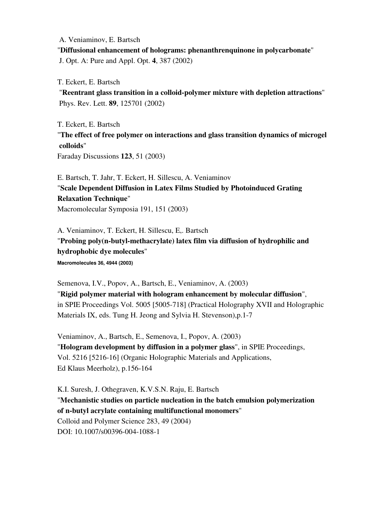A. Veniaminov, E. Bartsch

"**Diffusional enhancement of holograms: phenanthrenquinone in polycarbonate**" J. Opt. A: Pure and Appl. Opt. **4**, 387 (2002)

T. Eckert, E. Bartsch

"**Reentrant glass transition in a colloid-polymer mixture with depletion attractions**" Phys. Rev. Lett. **89**, 125701 (2002)

T. Eckert, E. Bartsch "**The effect of free polymer on interactions and glass transition dynamics of microgel colloids**" Faraday Discussions **123**, 51 (2003)

E. Bartsch, T. Jahr, T. Eckert, H. Sillescu, A. Veniaminov "**Scale Dependent Diffusion in Latex Films Studied by Photoinduced Grating Relaxation Technique**" Macromolecular Symposia 191, 151 (2003)

A. Veniaminov, T. Eckert, H. Sillescu, E,. Bartsch "**Probing poly(n-butyl-methacrylate) latex film via diffusion of hydrophilic and hydrophobic dye molecules**" **Macromolecules 36, 4944 (2003)**

Semenova, I.V., Popov, A., Bartsch, E., Veniaminov, A. (2003) "**Rigid polymer material with hologram enhancement by molecular diffusion**", in SPIE Proceedings Vol. 5005 [5005-718] (Practical Holography XVII and Holographic Materials IX, eds. Tung H. Jeong and Sylvia H. Stevenson),p.1-7

Veniaminov, A., Bartsch, E., Semenova, I., Popov, A. (2003) "**Hologram development by diffusion in a polymer glass**", in SPIE Proceedings, Vol. 5216 [5216-16] (Organic Holographic Materials and Applications, Ed Klaus Meerholz), p.156-164

K.I. Suresh, J. Othegraven, K.V.S.N. Raju, E. Bartsch "**Mechanistic studies on particle nucleation in the batch emulsion polymerization of n-butyl acrylate containing multifunctional monomers**" Colloid and Polymer Science 283, 49 (2004) DOI: 10.1007/s00396-004-1088-1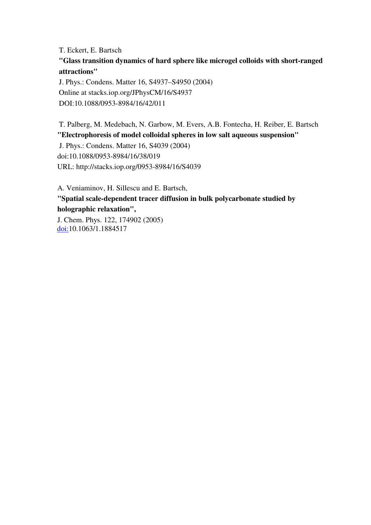T. Eckert, E. Bartsch

**"Glass transition dynamics of hard sphere like microgel colloids with short-ranged attractions"**

J. Phys.: Condens. Matter 16, S4937–S4950 (2004) Online at stacks.iop.org/JPhysCM/16/S4937 DOI:10.1088/0953-8984/16/42/011

T. Palberg, M. Medebach, N. Garbow, M. Evers, A.B. Fontecha, H. Reiber, E. Bartsch **"Electrophoresis of model colloidal spheres in low salt aqueous suspension"**

J. Phys.: Condens. Matter 16, S4039 (2004) doi:10.1088/0953-8984/16/38/019 URL: http://stacks.iop.org/0953-8984/16/S4039

A. Veniaminov, H. Sillescu and E. Bartsch,

**"Spatial scale-dependent tracer diffusion in bulk polycarbonate studied by holographic relaxation",**

J. Chem. Phys. 122, 174902 (2005) doi:10.1063/1.1884517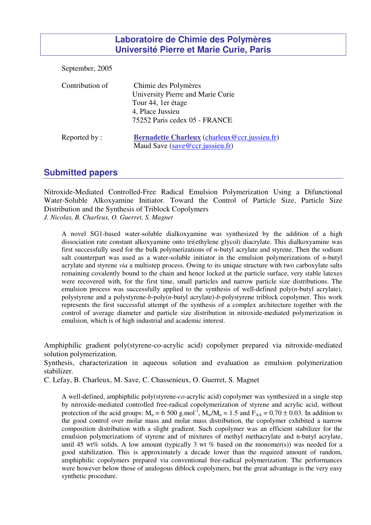## **Laboratoire de Chimie des Polymères Université Pierre et Marie Curie, Paris**

| September, 2005 |                                                                                                                                      |
|-----------------|--------------------------------------------------------------------------------------------------------------------------------------|
| Contribution of | Chimie des Polymères<br>University Pierre and Marie Curie<br>Tour 44, 1er étage<br>4, Place Jussieu<br>75252 Paris cedex 05 - FRANCE |
| Reported by:    | <b>Bernadette Charleux (charleux @ccr.jussieu.fr)</b><br>Maud Save (save@ccr.jussieu.fr)                                             |

## **Submitted papers**

Nitroxide-Mediated Controlled-Free Radical Emulsion Polymerization Using a Difunctional Water-Soluble Alkoxyamine Initiator. Toward the Control of Particle Size, Particle Size Distribution and the Synthesis of Triblock Copolymers *J. Nicolas, B. Charleux, O. Guerret, S. Magnet*

A novel SG1-based water-soluble dialkoxyamine was synthesized by the addition of a high dissociation rate constant alkoxyamine onto tri(ethylene glycol) diacrylate. This dialkoxyamine was first successfully used for the bulk polymerizations of *n*-butyl acrylate and styrene. Then the sodium salt counterpart was used as a water-soluble initiator in the emulsion polymerizations of *n*-butyl acrylate and styrene *via* a multistep process. Owing to its unique structure with two carboxylate salts remaining covalently bound to the chain and hence locked at the particle surface, very stable latexes were recovered with, for the first time, small particles and narrow particle size distributions. The emulsion process was successfully applied to the synthesis of well-defined poly(*n*-butyl acrylate), polystyrene and a polystyrene-*b*-poly(*n*-butyl acrylate)-*b*-polystyrene triblock copolymer. This work represents the first successful attempt of the synthesis of a complex architecture together with the control of average diameter and particle size distribution in nitroxide-mediated polymerization in emulsion, which is of high industrial and academic interest.

Amphiphilic gradient poly(styrene-co-acrylic acid) copolymer prepared via nitroxide-mediated solution polymerization.

Synthesis, characterization in aqueous solution and evaluation as emulsion polymerization stabilizer.

C. Lefay, B. Charleux, M. Save, C. Chassenieux, O. Guerret, S. Magnet

A well-defined, amphiphilic poly(styrene-*co*-acrylic acid) copolymer was synthesized in a single step by nitroxide-mediated controlled free-radical copolymerization of styrene and acrylic acid, without protection of the acid groups:  $M_n = 6500$  g.mol<sup>-1</sup>,  $M_w/M_n = 1.5$  and  $F_{AA} = 0.70 \pm 0.03$ . In addition to the good control over molar mass and molar mass distribution, the copolymer exhibited a narrow composition distribution with a slight gradient. Such copolymer was an efficient stabilizer for the emulsion polymerizations of styrene and of mixtures of methyl methacrylate and n-butyl acrylate, until 45 wt% solids. A low amount (typically 3 wt % based on the monomer(s)) was needed for a good stabilization. This is approximately a decade lower than the required amount of random, amphiphilic copolymers prepared via conventional free-radical polymerization. The performances were however below those of analogous diblock copolymers, but the great advantage is the very easy synthetic procedure.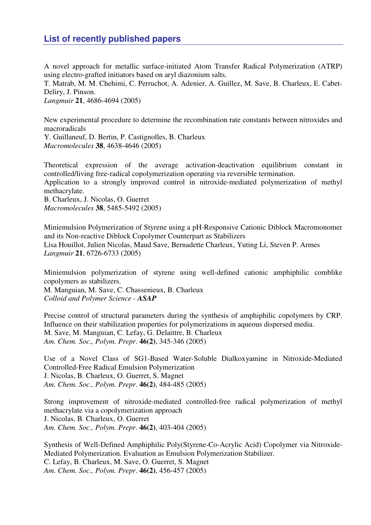A novel approach for metallic surface-initiated Atom Transfer Radical Polymerization (ATRP) using electro-grafted initiators based on aryl diazonium salts. T. Matrab, M. M. Chehimi, C. Perruchot, A. Adenier, A. Guillez, M. Save, B. Charleux, E. Cabet-Deliry, J. Pinson.

*Langmuir* **21**, 4686-4694 (2005)

New experimental procedure to determine the recombination rate constants between nitroxides and macroradicals

Y. Guillaneuf, D. Bertin, P. Castignolles, B. Charleux *Macromolecules* **38**, 4638-4646 (2005)

Theoretical expression of the average activation-deactivation equilibrium constant in controlled/living free-radical copolymerization operating via reversible termination. Application to a strongly improved control in nitroxide-mediated polymerization of methyl methacrylate.

B. Charleux, J. Nicolas, O. Guerret *Macromolecules* **38**, 5485-5492 (2005)

Miniemulsion Polymerization of Styrene using a pH-Responsive Cationic Diblock Macromonomer and its Non-reactive Diblock Copolymer Counterpart as Stabilizers Lisa Houillot, Julien Nicolas, Maud Save, Bernadette Charleux, Yuting Li, Steven P. Armes *Langmuir* **21**, 6726-6733 (2005)

Miniemulsion polymerization of styrene using well-defined cationic amphiphilic comblike copolymers as stabilizers.

M. Manguian, M. Save, C. Chassenieux, B. Charleux *Colloid and Polymer Science - ASAP*

Precise control of structural parameters during the synthesis of amphiphilic copolymers by CRP. Influence on their stabilization properties for polymerizations in aqueous dispersed media. M. Save, M. Manguian, C. Lefay, G. Delaittre, B. Charleux *Am. Chem. Soc., Polym. Prepr*. **46(2)**, 345-346 (2005)

Use of a Novel Class of SG1-Based Water-Soluble Dialkoxyamine in Nitroxide-Mediated Controlled-Free Radical Emulsion Polymerization J. Nicolas, B. Charleux, O. Guerret, S. Magnet *Am. Chem. Soc., Polym. Prepr*. **46(2)**, 484-485 (2005)

Strong improvement of nitroxide-mediated controlled-free radical polymerization of methyl methacrylate via a copolymerization approach J. Nicolas, B. Charleux, O. Guerret *Am. Chem. Soc., Polym. Prepr*. **46(2)**, 403-404 (2005)

Synthesis of Well-Defined Amphiphilic Poly(Styrene-Co-Acrylic Acid) Copolymer via Nitroxide-Mediated Polymerization. Evaluation as Emulsion Polymerization Stabilizer. C. Lefay, B. Charleux, M. Save, O. Guerret, S. Magnet *Am. Chem. Soc., Polym. Prepr*. **46(2)**, 456-457 (2005)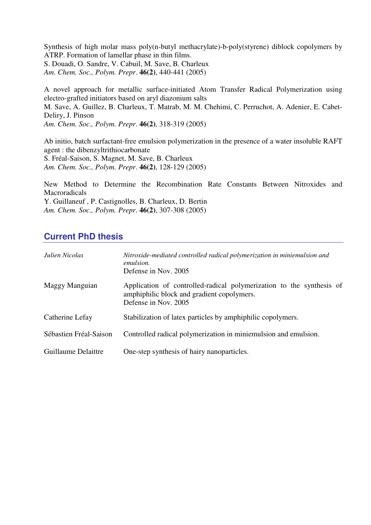Synthesis of high molar mass poly(n-butyl methacrylate)-b-poly(styrene) diblock copolymers by ATRP. Formation of lamellar phase in thin films. S. Douadi, O. Sandre, V. Cabuil, M. Save, B. Charleux

*Am. Chem. Soc., Polym. Prepr*. **46(2)**, 440-441 (2005)

A novel approach for metallic surface-initiated Atom Transfer Radical Polymerization using electro-grafted initiators based on aryl diazonium salts M. Save, A. Guillez, B. Charleux, T. Matrab, M. M. Chehimi, C. Perruchot, A. Adenier, E. Cabet-Deliry, J. Pinson *Am. Chem. Soc., Polym. Prepr*. **46(2)**, 318-319 (2005)

Ab initio, batch surfactant-free emulsion polymerization in the presence of a water insoluble RAFT agent : the dibenzyltrithiocarbonate S. Fréal-Saison, S. Magnet, M. Save, B. Charleux *Am. Chem. Soc., Polym. Prepr*. **46(2)**, 128-129 (2005)

New Method to Determine the Recombination Rate Constants Between Nitroxides and Macroradicals Y. Guillaneuf , P. Castignolles, B. Charleux, D. Bertin *Am. Chem. Soc., Polym. Prepr*. **46(2)**, 307-308 (2005)

## **Current PhD thesis**

| Julien Nicolas         | Nitroxide-mediated controlled radical polymerization in miniemulsion and<br>emulsion.<br>Defense in Nov. 2005                              |
|------------------------|--------------------------------------------------------------------------------------------------------------------------------------------|
| Maggy Manguian         | Application of controlled-radical polymerization to the synthesis of<br>amphiphilic block and gradient copolymers.<br>Defense in Nov. 2005 |
| Catherine Lefay        | Stabilization of latex particles by amphiphilic copolymers.                                                                                |
| Sébastien Fréal-Saison | Controlled radical polymerization in miniemulsion and emulsion.                                                                            |
| Guillaume Delaittre    | One-step synthesis of hairy nanoparticles.                                                                                                 |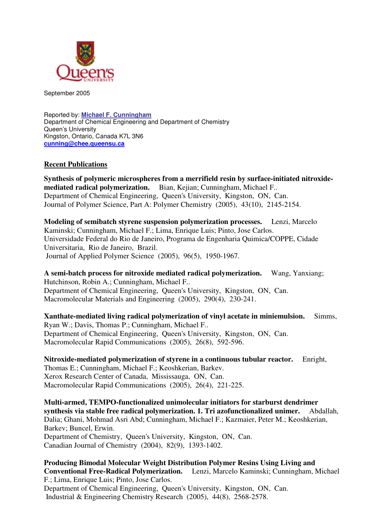

September 2005

Reported by: **Michael F. Cunningham** Department of Chemical Engineering and Department of Chemistry Queen's University Kingston, Ontario, Canada K7L 3N6 **cunning@chee.queensu.ca**

### **Recent Publications**

**Synthesis of polymeric microspheres from a merrifield resin by surface-initiated nitroxidemediated radical polymerization.** Bian, Kejian; Cunningham, Michael F.. Department of Chemical Engineering, Queen's University, Kingston, ON, Can. Journal of Polymer Science, Part A: Polymer Chemistry (2005), 43(10), 2145-2154.

**Modeling of semibatch styrene suspension polymerization processes.** Lenzi, Marcelo Kaminski; Cunningham, Michael F.; Lima, Enrique Luis; Pinto, Jose Carlos. Universidade Federal do Rio de Janeiro, Programa de Engenharia Quimica/COPPE, Cidade Universitaria, Rio de Janeiro, Brazil. Journal of Applied Polymer Science (2005), 96(5), 1950-1967.

**A semi-batch process for nitroxide mediated radical polymerization.** Wang, Yanxiang; Hutchinson, Robin A.; Cunningham, Michael F.. Department of Chemical Engineering, Queen's University, Kingston, ON, Can. Macromolecular Materials and Engineering (2005), 290(4), 230-241.

**Xanthate-mediated living radical polymerization of vinyl acetate in miniemulsion.** Simms, Ryan W.; Davis, Thomas P.; Cunningham, Michael F.. Department of Chemical Engineering, Queen's University, Kingston, ON, Can. Macromolecular Rapid Communications (2005), 26(8), 592-596.

**Nitroxide-mediated polymerization of styrene in a continuous tubular reactor.** Enright, Thomas E.; Cunningham, Michael F.; Keoshkerian, Barkev. Xerox Research Center of Canada, Mississauga, ON, Can. Macromolecular Rapid Communications (2005), 26(4), 221-225.

**Multi-armed, TEMPO-functionalized unimolecular initiators for starburst dendrimer synthesis via stable free radical polymerization. 1. Tri azofunctionalized unimer.** Abdallah, Dalia; Ghani, Mohmad Asri Abd; Cunningham, Michael F.; Kazmaier, Peter M.; Keoshkerian, Barkev; Buncel, Erwin.

Department of Chemistry, Queen's University, Kingston, ON, Can. Canadian Journal of Chemistry (2004), 82(9), 1393-1402.

**Producing Bimodal Molecular Weight Distribution Polymer Resins Using Living and Conventional Free-Radical Polymerization.** Lenzi, Marcelo Kaminski; Cunningham, Michael F.; Lima, Enrique Luis; Pinto, Jose Carlos.

Department of Chemical Engineering, Queen's University, Kingston, ON, Can. Industrial & Engineering Chemistry Research (2005), 44(8), 2568-2578.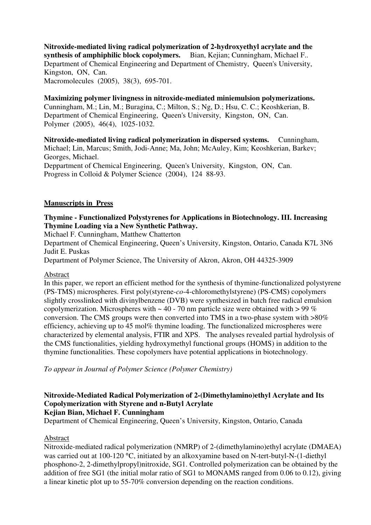**Nitroxide-mediated living radical polymerization of 2-hydroxyethyl acrylate and the synthesis of amphiphilic block copolymers.** Bian, Kejian; Cunningham, Michael F.. Department of Chemical Engineering and Department of Chemistry, Queen's University, Kingston, ON, Can. Macromolecules (2005), 38(3), 695-701.

**Maximizing polymer livingness in nitroxide-mediated miniemulsion polymerizations.** Cunningham, M.; Lin, M.; Buragina, C.; Milton, S.; Ng, D.; Hsu, C. C.; Keoshkerian, B. Department of Chemical Engineering, Queen's University, Kingston, ON, Can. Polymer (2005), 46(4), 1025-1032.

**Nitroxide-mediated living radical polymerization in dispersed systems.** Cunningham, Michael; Lin, Marcus; Smith, Jodi-Anne; Ma, John; McAuley, Kim; Keoshkerian, Barkev; Georges, Michael. Deppartment of Chemical Engineering, Queen's University, Kingston, ON, Can. Progress in Colloid & Polymer Science (2004), 124 88-93.

### **Manuscripts in Press**

### **Thymine - Functionalized Polystyrenes for Applications in Biotechnology. III. Increasing Thymine Loading via a New Synthetic Pathway.**

Michael F. Cunningham, Matthew Chatterton

Department of Chemical Engineering, Queen's University, Kingston, Ontario, Canada K7L 3N6 Judit E. Puskas

Department of Polymer Science, The University of Akron, Akron, OH 44325-3909

### Abstract

In this paper, we report an efficient method for the synthesis of thymine-functionalized polystyrene (PS-TMS) microspheres. First poly(styrene-*co*-4-chloromethylstyrene) (PS-CMS) copolymers slightly crosslinked with divinylbenzene (DVB) were synthesized in batch free radical emulsion copolymerization. Microspheres with  $\sim 40$  - 70 nm particle size were obtained with  $> 99\%$ conversion. The CMS groups were then converted into TMS in a two-phase system with >80% efficiency, achieving up to 45 mol% thymine loading. The functionalized microspheres were characterized by elemental analysis, FTIR and XPS. The analyses revealed partial hydrolysis of the CMS functionalities, yielding hydroxymethyl functional groups (HOMS) in addition to the thymine functionalities. These copolymers have potential applications in biotechnology.

*To appear in Journal of Polymer Science (Polymer Chemistry)*

### **Nitroxide-Mediated Radical Polymerization of 2-(Dimethylamino)ethyl Acrylate and Its Copolymerization with Styrene and n-Butyl Acrylate Kejian Bian, Michael F. Cunningham**

Department of Chemical Engineering, Queen's University, Kingston, Ontario, Canada

### Abstract

Nitroxide-mediated radical polymerization (NMRP) of 2-(dimethylamino)ethyl acrylate (DMAEA) was carried out at 100-120 °C, initiated by an alkoxyamine based on N-tert-butyl-N-(1-diethyl phosphono-2, 2-dimethylpropyl)nitroxide, SG1. Controlled polymerization can be obtained by the addition of free SG1 (the initial molar ratio of SG1 to MONAMS ranged from 0.06 to 0.12), giving a linear kinetic plot up to 55-70% conversion depending on the reaction conditions.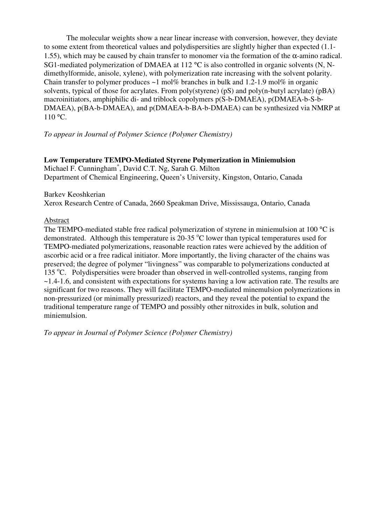The molecular weights show a near linear increase with conversion, however, they deviate to some extent from theoretical values and polydispersities are slightly higher than expected (1.1- 1.55), which may be caused by chain transfer to monomer via the formation of the α-amino radical. SG1-mediated polymerization of DMAEA at 112 °C is also controlled in organic solvents (N, Ndimethylformide, anisole, xylene), with polymerization rate increasing with the solvent polarity. Chain transfer to polymer produces  $\sim$ 1 mol% branches in bulk and 1.2-1.9 mol% in organic solvents, typical of those for acrylates. From poly(styrene) (pS) and poly(n-butyl acrylate) (pBA) macroinitiators, amphiphilic di- and triblock copolymers p(S-b-DMAEA), p(DMAEA-b-S-b-DMAEA), p(BA-b-DMAEA), and p(DMAEA-b-BA-b-DMAEA) can be synthesized via NMRP at 110 °C.

*To appear in Journal of Polymer Science (Polymer Chemistry)*

### **Low Temperature TEMPO-Mediated Styrene Polymerization in Miniemulsion**

Michael F. Cunningham<sup>\*</sup>, David C.T. Ng, Sarah G. Milton Department of Chemical Engineering, Queen's University, Kingston, Ontario, Canada

#### Barkev Keoshkerian

Xerox Research Centre of Canada, 2660 Speakman Drive, Mississauga, Ontario, Canada

#### Abstract

The TEMPO-mediated stable free radical polymerization of styrene in miniemulsion at 100 °C is demonstrated. Although this temperature is  $20-35$  °C lower than typical temperatures used for TEMPO-mediated polymerizations, reasonable reaction rates were achieved by the addition of ascorbic acid or a free radical initiator. More importantly, the living character of the chains was preserved; the degree of polymer "livingness" was comparable to polymerizations conducted at 135 °C. Polydispersities were broader than observed in well-controlled systems, ranging from  $\sim$ 1.4-1.6, and consistent with expectations for systems having a low activation rate. The results are significant for two reasons. They will facilitate TEMPO-mediated minemulsion polymerizations in non-pressurized (or minimally pressurized) reactors, and they reveal the potential to expand the traditional temperature range of TEMPO and possibly other nitroxides in bulk, solution and miniemulsion.

*To appear in Journal of Polymer Science (Polymer Chemistry)*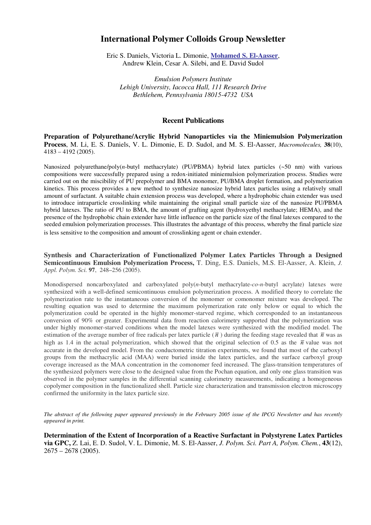### **International Polymer Colloids Group Newsletter**

Eric S. Daniels, Victoria L. Dimonie, **Mohamed S. El-Aasser**, Andrew Klein, Cesar A. Silebi, and E. David Sudol

*Emulsion Polymers Institute Lehigh University, Iacocca Hall, 111 Research Drive Bethlehem, Pennsylvania 18015-4732 USA*

#### **Recent Publications**

**Preparation of Polyurethane/Acrylic Hybrid Nanoparticles via the Miniemulsion Polymerization Process**, M. Li, E. S. Daniels, V. L. Dimonie, E. D. Sudol, and M. S. El-Aasser, *Macromolecules,* **38**(10), 4183 – 4192 (2005).

Nanosized polyurethane/poly(*n*-butyl methacrylate) (PU/PBMA) hybrid latex particles (~50 nm) with various compositions were successfully prepared using a redox-initiated miniemulsion polymerization process. Studies were carried out on the miscibility of PU prepolymer and BMA monomer, PU/BMA droplet formation, and polymerization kinetics. This process provides a new method to synthesize nanosize hybrid latex particles using a relatively small amount of surfactant. A suitable chain extension process was developed, where a hydrophobic chain extender was used to introduce intraparticle crosslinking while maintaining the original small particle size of the nanosize PU/PBMA hybrid latexes. The ratio of PU to BMA, the amount of grafting agent (hydroxyethyl methacrylate; HEMA), and the presence of the hydrophobic chain extender have little influence on the particle size of the final latexes compared to the seeded emulsion polymerization processes. This illustrates the advantage of this process, whereby the final particle size is less sensitive to the composition and amount of crosslinking agent or chain extender.

#### **Synthesis and Characterization of Functionalized Polymer Latex Particles Through a Designed Semicontinuous Emulsion Polymerization Process,** T. Ding, E.S. Daniels, M.S. El-Aasser, A. Klein, *J. Appl. Polym. Sci.* **97**, 248–256 (2005).

Monodispersed noncarboxylated and carboxylated poly(*n*-butyl methacrylate-*co*-*n*-butyl acrylate) latexes were synthesized with a well-defined semicontinuous emulsion polymerization process. A modified theory to correlate the polymerization rate to the instantaneous conversion of the monomer or comonomer mixture was developed. The resulting equation was used to determine the maximum polymerization rate only below or equal to which the polymerization could be operated in the highly monomer-starved regime, which corresponded to an instantaneous conversion of 90% or greater. Experimental data from reaction calorimetry supported that the polymerization was under highly monomer-starved conditions when the model latexes were synthesized with the modified model. The estimation of the average number of free radicals per latex particle  $(\bar{n})$  during the feeding stage revealed that  $\bar{n}$  was as high as 1.4 in the actual polymerization, which showed that the original selection of 0.5 as the  $\bar{n}$  value was not accurate in the developed model. From the conductometric titration experiments, we found that most of the carboxyl groups from the methacrylic acid (MAA) were buried inside the latex particles, and the surface carboxyl group coverage increased as the MAA concentration in the comonomer feed increased. The glass-transition temperatures of the synthesized polymers were close to the designed value from the Pochan equation, and only one glass transition was observed in the polymer samples in the differential scanning calorimetry measurements, indicating a homogeneous copolymer composition in the functionalized shell. Particle size characterization and transmission electron microscopy confirmed the uniformity in the latex particle size.

The abstract of the following paper appeared previously in the February 2005 issue of the IPCG Newsletter and has recently *appeared in print.*

**Determination of the Extent of Incorporation of a Reactive Surfactant in Polystyrene Latex Particles via GPC,** Z. Lai, E. D. Sudol, V. L. Dimonie, M. S. El-Aasser, *J. Polym. Sci. Part A, Polym. Chem.*, **43**(12),  $2675 - 2678(2005)$ .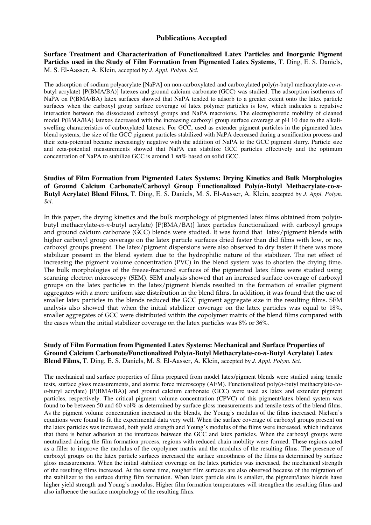#### **Publications Accepted**

**Surface Treatment and Characterization of Functionalized Latex Particles and Inorganic Pigment Particles used in the Study of Film Formation from Pigmented Latex Systems**, T. Ding, E. S. Daniels, M. S. El-Aasser, A. Klein, accepted by *J. Appl. Polym. Sci*.

The adsorption of sodium polyacrylate [NaPA] on non-carboxylated and carboxylated poly(*n*-butyl methacrylate-*co*-*n*butyl acrylate) [P(BMA/BA)] latexes and ground calcium carbonate (GCC) was studied. The adsorption isotherms of NaPA on P(BMA/BA) latex surfaces showed that NaPA tended to adsorb to a greater extent onto the latex particle surfaces when the carboxyl group surface coverage of latex polymer particles is low, which indicates a repulsive interaction between the dissociated carboxyl groups and NaPA macroions. The electrophoretic mobility of cleaned model P(BMA/BA) latexes decreased with the increasing carboxyl group surface coverage at pH 10 due to the alkaliswelling characteristics of carboxylated latexes. For GCC, used as extender pigment particles in the pigmented latex blend systems, the size of the GCC pigment particles stabilized with NaPA decreased during a sonification process and their zeta-potential became increasingly negative with the addition of NaPA to the GCC pigment slurry. Particle size and zeta-potential measurements showed that NaPA can stabilize GCC particles effectively and the optimum concentration of NaPA to stabilize GCC is around 1 wt% based on solid GCC.

#### **Studies of Film Formation from Pigmented Latex Systems: Drying Kinetics and Bulk Morphologies of Ground Calcium Carbonate/Carboxyl Group Functionalized Poly(***n***-Butyl Methacrylate-co-***n***-Butyl Acrylate) Blend Films,** T. Ding, E. S. Daniels, M. S. El-Aasser, A. Klein, accepted by *J. Appl. Polym. Sci*.

In this paper, the drying kinetics and the bulk morphology of pigmented latex films obtained from poly(*n*butyl methacrylate-*co*-*n*-butyl acrylate) [P(BMA/BA)] latex particles functionalized with carboxyl groups and ground calcium carbonate (GCC) blends were studied. It was found that latex/pigment blends with higher carboxyl group coverage on the latex particle surfaces dried faster than did films with low, or no, carboxyl groups present. The latex/pigment dispersions were also observed to dry faster if there was more stabilizer present in the blend system due to the hydrophilic nature of the stabilizer. The net effect of increasing the pigment volume concentration (PVC) in the blend system was to shorten the drying time. The bulk morphologies of the freeze-fractured surfaces of the pigmented latex films were studied using scanning electron microscopy (SEM). SEM analysis showed that an increased surface coverage of carboxyl groups on the latex particles in the latex/pigment blends resulted in the formation of smaller pigment aggregates with a more uniform size distribution in the blend films. In addition, it was found that the use of smaller latex particles in the blends reduced the GCC pigment aggregate size in the resulting films. SEM analysis also showed that when the initial stabilizer coverage on the latex particles was equal to 18%, smaller aggregates of GCC were distributed within the copolymer matrix of the blend films compared with the cases when the initial stabilizer coverage on the latex particles was 8% or 36%.

#### **Study of Film Formation from Pigmented Latex Systems: Mechanical and Surface Properties of Ground Calcium Carbonate/Functionalized Poly(***n***-Butyl Methacrylate-co-***n***-Butyl Acrylate) Latex Blend Films,** T. Ding, E. S. Daniels, M. S. El-Aasser, A. Klein, accepted by *J. Appl. Polym. Sci*.

The mechanical and surface properties of films prepared from model latex/pigment blends were studied using tensile tests, surface gloss measurements, and atomic force microscopy (AFM). Functionalized poly(*n*-butyl methacrylate-*con*-butyl acrylate) [P(BMA/BA)] and ground calcium carbonate (GCC) were used as latex and extender pigment particles, respectively. The critical pigment volume concentration (CPVC) of this pigment/latex blend system was found to be between 50 and 60 vol% as determined by surface gloss measurements and tensile tests of the blend films. As the pigment volume concentration increased in the blends, the Young's modulus of the films increased. Nielsen's equations were found to fit the experimental data very well. When the surface coverage of carboxyl groups present on the latex particles was increased, both yield strength and Young's modulus of the films were increased, which indicates that there is better adhesion at the interfaces between the GCC and latex particles. When the carboxyl groups were neutralized during the film formation process, regions with reduced chain mobility were formed. These regions acted as a filler to improve the modulus of the copolymer matrix and the modulus of the resulting films. The presence of carboxyl groups on the latex particle surfaces increased the surface smoothness of the films as determined by surface gloss measurements. When the initial stabilizer coverage on the latex particles was increased, the mechanical strength of the resulting films increased. At the same time, rougher film surfaces are also observed because of the migration of the stabilizer to the surface during film formation. When latex particle size is smaller, the pigment/latex blends have higher yield strength and Young's modulus. Higher film formation temperatures will strengthen the resulting films and also influence the surface morphology of the resulting films.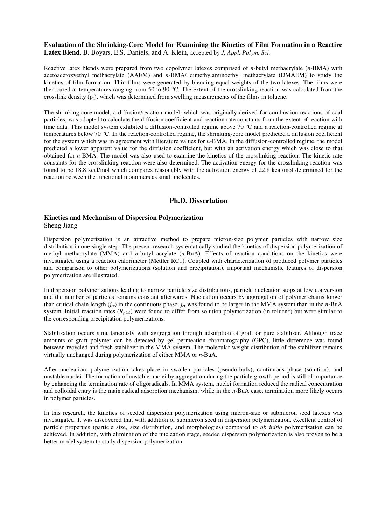#### **Evaluation of the Shrinking-Core Model for Examining the Kinetics of Film Formation in a Reactive Latex Blend**, B. Boyars, E.S. Daniels, and A. Klein, accepted by *J. Appl. Polym. Sci.*

Reactive latex blends were prepared from two copolymer latexes comprised of *n*-butyl methacrylate (*n*-BMA) with acetoacetoxyethyl methacrylate (AAEM) and *n*-BMA/ dimethylaminoethyl methacrylate (DMAEM) to study the kinetics of film formation. Thin films were generated by blending equal weights of the two latexes. The films were then cured at temperatures ranging from 50 to 90 °C. The extent of the crosslinking reaction was calculated from the crosslink density  $(\rho_c)$ , which was determined from swelling measurements of the films in toluene.

The shrinking-core model, a diffusion/reaction model, which was originally derived for combustion reactions of coal particles, was adopted to calculate the diffusion coefficient and reaction rate constants from the extent of reaction with time data. This model system exhibited a diffusion-controlled regime above 70 °C and a reaction-controlled regime at temperatures below 70 °C. In the reaction-controlled regime, the shrinking-core model predicted a diffusion coefficient for the system which was in agreement with literature values for *n*-BMA. In the diffusion-controlled regime, the model predicted a lower apparent value for the diffusion coefficient, but with an activation energy which was close to that obtained for *n*-BMA. The model was also used to examine the kinetics of the crosslinking reaction. The kinetic rate constants for the crosslinking reaction were also determined. The activation energy for the crosslinking reaction was found to be 18.8 kcal/mol which compares reasonably with the activation energy of 22.8 kcal/mol determined for the reaction between the functional monomers as small molecules.

#### **Ph.D. Dissertation**

#### **Kinetics and Mechanism of Dispersion Polymerization** Sheng Jiang

Dispersion polymerization is an attractive method to prepare micron-size polymer particles with narrow size distribution in one single step. The present research systematically studied the kinetics of dispersion polymerization of methyl methacrylate (MMA) and *n*-butyl acrylate (*n*-BuA). Effects of reaction conditions on the kinetics were investigated using a reaction calorimeter (Mettler RC1). Coupled with characterization of produced polymer particles and comparison to other polymerizations (solution and precipitation), important mechanistic features of dispersion polymerization are illustrated.

In dispersion polymerizations leading to narrow particle size distributions, particle nucleation stops at low conversion and the number of particles remains constant afterwards. Nucleation occurs by aggregation of polymer chains longer than critical chain length  $(j_{cr})$  in the continuous phase.  $j_{cr}$  was found to be larger in the MMA system than in the *n*-BuA system. Initial reaction rates  $(R_{p,ini})$  were found to differ from solution polymerization (in toluene) but were similar to the corresponding precipitation polymerizations.

Stabilization occurs simultaneously with aggregation through adsorption of graft or pure stabilizer. Although trace amounts of graft polymer can be detected by gel permeation chromatography (GPC), little difference was found between recycled and fresh stabilizer in the MMA system. The molecular weight distribution of the stabilizer remains virtually unchanged during polymerization of either MMA or *n*-BuA.

After nucleation, polymerization takes place in swollen particles (pseudo-bulk), continuous phase (solution), and unstable nuclei. The formation of unstable nuclei by aggregation during the particle growth period is still of importance by enhancing the termination rate of oligoradicals. In MMA system, nuclei formation reduced the radical concentration and colloidal entry is the main radical adsorption mechanism, while in the *n*-BuA case, termination more likely occurs in polymer particles.

In this research, the kinetics of seeded dispersion polymerization using micron-size or submicron seed latexes was investigated. It was discovered that with addition of submicron seed in dispersion polymerization, excellent control of particle properties (particle size, size distribution, and morphologies) compared to *ab initio* polymerization can be achieved. In addition, with elimination of the nucleation stage, seeded dispersion polymerization is also proven to be a better model system to study dispersion polymerization.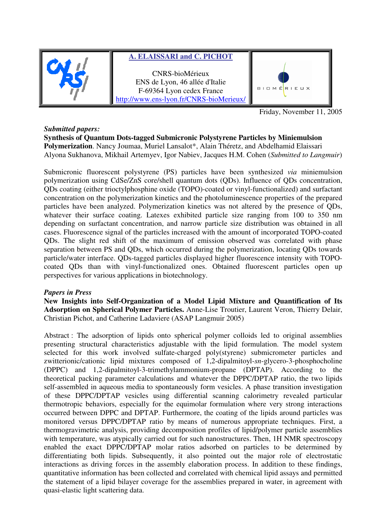

Friday, November 11, 2005

### *Submitted papers:*

**Synthesis of Quantum Dots-tagged Submicronic Polystyrene Particles by Miniemulsion Polymerization**. Nancy Joumaa, Muriel Lansalot\*, Alain Théretz, and Abdelhamid Elaissari Alyona Sukhanova, Mikhail Artemyev, Igor Nabiev, Jacques H.M. Cohen (*Submitted to Langmuir*)

Submicronic fluorescent polystyrene (PS) particles have been synthesized *via* miniemulsion polymerization using CdSe/ZnS core/shell quantum dots (QDs). Influence of QDs concentration, QDs coating (either trioctylphosphine oxide (TOPO)-coated or vinyl-functionalized) and surfactant concentration on the polymerization kinetics and the photoluminescence properties of the prepared particles have been analyzed. Polymerization kinetics was not altered by the presence of QDs, whatever their surface coating. Latexes exhibited particle size ranging from 100 to 350 nm depending on surfactant concentration, and narrow particle size distribution was obtained in all cases. Fluorescence signal of the particles increased with the amount of incorporated TOPO-coated QDs. The slight red shift of the maximum of emission observed was correlated with phase separation between PS and QDs, which occurred during the polymerization, locating QDs towards particle/water interface. QDs-tagged particles displayed higher fluorescence intensity with TOPOcoated QDs than with vinyl-functionalized ones. Obtained fluorescent particles open up perspectives for various applications in biotechnology.

### *Papers in Press*

**New Insights into Self-Organization of a Model Lipid Mixture and Quantification of Its Adsorption on Spherical Polymer Particles.** Anne-Lise Troutier, Laurent Veron, Thierry Delair, Christian Pichot, and Catherine Ladaviere (ASAP Langmuir 2005)

Abstract : The adsorption of lipids onto spherical polymer colloids led to original assemblies presenting structural characteristics adjustable with the lipid formulation. The model system selected for this work involved sulfate-charged poly(styrene) submicrometer particles and zwitterionic/cationic lipid mixtures composed of 1,2-dipalmitoyl-*sn*-glycero-3-phosphocholine (DPPC) and 1,2-dipalmitoyl-3-trimethylammonium-propane (DPTAP). According to the theoretical packing parameter calculations and whatever the DPPC/DPTAP ratio, the two lipids self-assembled in aqueous media to spontaneously form vesicles. A phase transition investigation of these DPPC/DPTAP vesicles using differential scanning calorimetry revealed particular thermotropic behaviors, especially for the equimolar formulation where very strong interactions occurred between DPPC and DPTAP. Furthermore, the coating of the lipids around particles was monitored versus DPPC/DPTAP ratio by means of numerous appropriate techniques. First, a thermogravimetric analysis, providing decomposition profiles of lipid/polymer particle assemblies with temperature, was atypically carried out for such nanostructures. Then, 1H NMR spectroscopy enabled the exact DPPC/DPTAP molar ratios adsorbed on particles to be determined by differentiating both lipids. Subsequently, it also pointed out the major role of electrostatic interactions as driving forces in the assembly elaboration process. In addition to these findings, quantitative information has been collected and correlated with chemical lipid assays and permitted the statement of a lipid bilayer coverage for the assemblies prepared in water, in agreement with quasi-elastic light scattering data.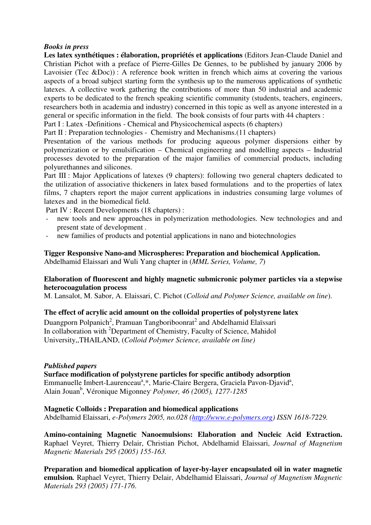### *Books in press*

**Les latex synthétiques : élaboration, propriétés et applications** (Editors Jean-Claude Daniel and Christian Pichot with a preface of Pierre-Gilles De Gennes, to be published by january 2006 by Lavoisier (Tec &Doc)) : A reference book written in french which aims at covering the various aspects of a broad subject starting form the synthesis up to the numerous applications of synthetic latexes. A collective work gathering the contributions of more than 50 industrial and academic experts to be dedicated to the french speaking scientific community (students, teachers, engineers, researchers both in academia and industry) concerned in this topic as well as anyone interested in a general or specific information in the field. The book consists of four parts with 44 chapters :

Part I : Latex -Definitions - Chemical and Physicochemical aspects (6 chapters)

Part II : Preparation technologies - Chemistry and Mechanisms. (11 chapters)

Presentation of the various methods for producing aqueous polymer dispersions either by polymerization or by emulsification – Chemical engineering and modelling aspects – Industrial processes devoted to the preparation of the major families of commercial products, including polyurethannes and silicones.

Part III : Major Applications of latexes (9 chapters): following two general chapters dedicated to the utilization of associative thickeners in latex based formulations and to the properties of latex films, 7 chapters report the major current applications in industries consuming large volumes of latexes and in the biomedical field.

Part IV : Recent Developments (18 chapters) :

- new tools and new approaches in polymerization methodologies. New technologies and and present state of development .
- new families of products and potential applications in nano and biotechnologies

### **Tigger Responsive Nano-and Microspheres: Preparation and biochemical Application.**

Abdelhamid Elaissari and Wuli Yang chapter in (*MML Series, Volume, 7*)

### **Elaboration of fluorescent and highly magnetic submicronic polymer particles via a stepwise heterocoagulation process**

M. Lansalot, M. Sabor, A. Elaissari, C. Pichot (*Colloid and Polymer Science, available on line*).

### **The effect of acrylic acid amount on the colloidal properties of polystyrene latex**

Duangporn Polpanich<sup>2</sup>, Pramuan Tangboriboonrat $^2$  and Abdelhamid Elaïssari In collaboration with <sup>2</sup>Department of Chemistry, Faculty of Science, Mahidol University,,THAILAND, (*Colloid Polymer Science, available on line)*

### *Published papers*

**Surface modification of polystyrene particles for specific antibody adsorption** Emmanuelle Imbert-Laurenceau<sup>a</sup>,\*, Marie-Claire Bergera, Graciela Pavon-Djavid<sup>a</sup>, Alain Jouan b , Véronique Migonney , *Polymer, 46 (2005), 1277-1285*

### **Magnetic Colloids : Preparation and biomedical applications**

Abdelhamid Elaissari, *e-Polymers 2005, no.028 (http://www.e-polymers.org) ISSN 1618-7229.*

**Amino-containing Magnetic Nanoemulsions: Elaboration and Nucleic Acid Extraction.** Raphael Veyret, Thierry Delair, Christian Pichot, Abdelhamid Elaissari, *Journal of Magnetism Magnetic Materials 295 (2005) 155-163.*

**Preparation and biomedical application of layer-by-layer encapsulated oil in water magnetic emulsion***.* Raphael Veyret, Thierry Delair, Abdelhamid Elaissari, *Journal of Magnetism Magnetic Materials 293 (2005) 171-176*.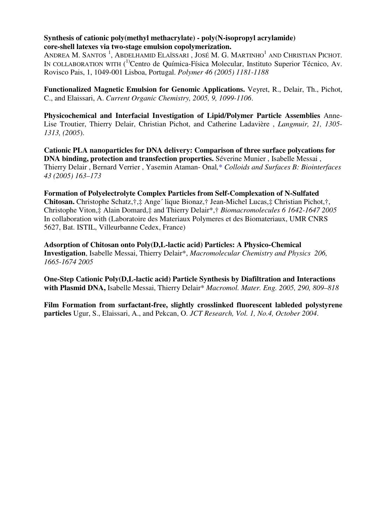### **Synthesis of cationic poly(methyl methacrylate) - poly(N-isopropyl acrylamide) core-shell latexes via two-stage emulsion copolymerization.**

ANDREA M. SANTOS <sup>1</sup>, ABDELHAMID ELAÏSSARI , JOSÉ M. G. MARTINHO<sup>1</sup> AND CHRISTIAN PICHOT. IN COLLABORATION WITH (<sup>1)</sup>Centro de Química-Física Molecular, Instituto Superior Técnico, Av. Rovisco Pais, 1, 1049-001 Lisboa, Portugal. *Polymer 46 (2005) 1181-1188*

**Functionalized Magnetic Emulsion for Genomic Applications.** Veyret, R., Delair, Th., Pichot, C., and Elaissari, A. *Current Organic Chemistry, 2005, 9, 1099-1106*.

**Physicochemical and Interfacial Investigation of Lipid/Polymer Particle Assemblies** Anne-Lise Troutier, Thierry Delair, Christian Pichot, and Catherine Ladavière , *Langmuir, 21, 1305- 1313, (2005*).

**Cationic PLA nanoparticles for DNA delivery: Comparison of three surface polycations for DNA binding, protection and transfection properties.** Séverine Munier , Isabelle Messai , Thierry Delair , Bernard Verrier , Yasemin Ataman- Onal*,*\* *Colloids and Surfaces B: Biointerfaces 43 (2005) 163–173*

**Formation of Polyelectrolyte Complex Particles from Self-Complexation of N-Sulfated Chitosan.** Christophe Schatz,†,‡ Ange´ lique Bionaz,† Jean-Michel Lucas,‡ Christian Pichot,†, Christophe Viton,‡ Alain Domard,‡ and Thierry Delair\*,† *Biomacromolecules 6 1642-1647 2005* In collaboration with (Laboratoire des Materiaux Polymeres et des Biomateriaux, UMR CNRS 5627, Bat. ISTIL, Villeurbanne Cedex, France)

**Adsorption of Chitosan onto Poly(D,L-lactic acid) Particles: A Physico-Chemical Investigation**, Isabelle Messai, Thierry Delair\*, *Macromolecular Chemistry and Physics 206, 1665-1674 2005*

**One-Step Cationic Poly(D,L-lactic acid) Particle Synthesis by Diafiltration and Interactions with Plasmid DNA,** Isabelle Messai, Thierry Delair\* *Macromol. Mater. Eng. 2005, 290, 809–818*

**Film Formation from surfactant-free, slightly crosslinked fluorescent lableded polystyrene particles** Ugur, S., Elaissari, A., and Pekcan, O. *JCT Research, Vol. 1, No.4, October 2004*.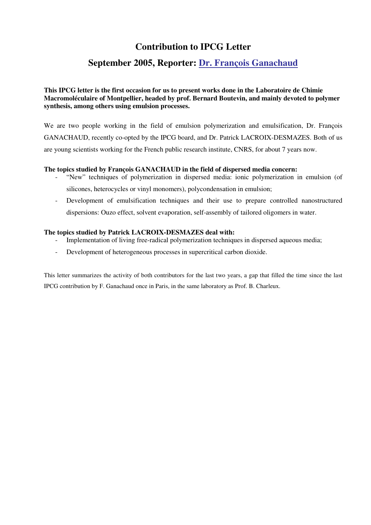## **Contribution to IPCG Letter**

## **September 2005, Reporter: Dr. François Ganachaud**

#### **This IPCG letter is the first occasion for us to present works done in the Laboratoire de Chimie Macromoléculaire of Montpellier, headed by prof. Bernard Boutevin, and mainly devoted to polymer synthesis, among others using emulsion processes.**

We are two people working in the field of emulsion polymerization and emulsification, Dr. François GANACHAUD, recently co-opted by the IPCG board, and Dr. Patrick LACROIX-DESMAZES. Both of us are young scientists working for the French public research institute, CNRS, for about 7 years now.

#### **The topics studied by François GANACHAUD in the field of dispersed media concern:**

- "New" techniques of polymerization in dispersed media: ionic polymerization in emulsion (of silicones, heterocycles or vinyl monomers), polycondensation in emulsion;
- Development of emulsification techniques and their use to prepare controlled nanostructured dispersions: Ouzo effect, solvent evaporation, self-assembly of tailored oligomers in water.

#### **The topics studied by Patrick LACROIX-DESMAZES deal with:**

- Implementation of living free-radical polymerization techniques in dispersed aqueous media;
- Development of heterogeneous processes in supercritical carbon dioxide.

This letter summarizes the activity of both contributors for the last two years, a gap that filled the time since the last IPCG contribution by F. Ganachaud once in Paris, in the same laboratory as Prof. B. Charleux.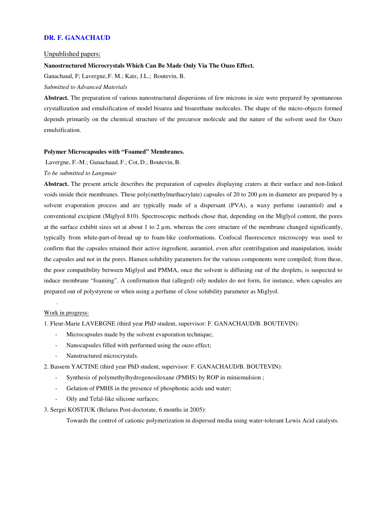#### **DR. F. GANACHAUD**

#### Unpublished papers:

#### **Nanostructured Microcrystals Which Can Be Made Only Via The Ouzo Effect.**

Ganachaud, F; Lavergne, F. M.; Katz, J.L.; Boutevin, B.

#### *Submitted to Advanced Materials*

**Abstract.** The preparation of various nanostructured dispersions of few microns in size were prepared by spontaneous crystallization and emulsification of model bisurea and bisurethane molecules. The shape of the micro-objects formed depends primarily on the chemical structure of the precursor molecule and the nature of the solvent used for Ouzo emulsification.

#### **Polymer Microcapsules with "Foamed" Membranes.**

Lavergne, F.-M.; Ganachaud, F.; Cot, D.; Boutevin, B.

#### *To be submitted to Langmuir*

**Abstract.** The present article describes the preparation of capsules displaying craters at their surface and non-linked voids inside their membranes. These poly(methylmethacrylate) capsules of 20 to 200 µm in diameter are prepared by a solvent evaporation process and are typically made of a dispersant (PVA), a waxy perfume (aurantiol) and a conventional excipient (Miglyol 810). Spectroscopic methods chose that, depending on the Miglyol content, the pores at the surface exhibit sizes set at about 1 to 2  $\mu$ m, whereas the core structure of the membrane changed significantly, typically from white-part-of-bread up to foam-like conformations. Confocal fluorescence microscopy was used to confirm that the capsules retained their active ingredient, aurantiol, even after centrifugation and manipulation, inside the capsules and not in the pores. Hansen solubility parameters for the various components were compiled; from these, the poor compatibility between Miglyol and PMMA, once the solvent is diffusing out of the droplets, is suspected to induce membrane "foaming". A confirmation that (alleged) oily nodules do not form, for instance, when capsules are prepared out of polystyrene or when using a perfume of close solubility parameter as Miglyol.

#### Work in progress:

.

1. Fleur-Marie LAVERGNE (third year PhD student, supervisor: F. GANACHAUD/B. BOUTEVIN):

- Microcapsules made by the solvent evaporation technique;
- Nanocapsules filled with perfurmed using the ouzo effect;
- Nanstructured microcrystals.
- 2. Bassem YACTINE (third year PhD student, supervisor: F. GANACHAUD/B. BOUTEVIN):
	- Synthesis of polymethylhydrogenosiloxane (PMHS) by ROP in miniemulsion ;
	- Gelation of PMHS in the presence of phosphonic acids and water;
	- Oily and Tefal-like silicone surfaces;
- 3. Sergei KOSTJUK (Belarus Post-doctorate, 6 months in 2005):

Towards the control of cationic polymerization in dispersed media using water-tolerant Lewis Acid catalysts.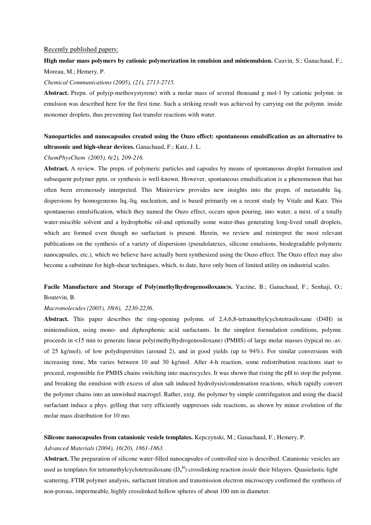#### Recently published papers:

### **High molar mass polymers by cationic polymerization in emulsion and miniemulsion.** Cauvin, S.; Ganachaud, F.; Moreau, M.; Hemery, P.

#### *Chemical Communications (2005), (21), 2713-2715.*

**Abstract.** Prepn. of poly(p-methoxystyrene) with a molar mass of several thousand g mol-1 by cationic polymn. in emulsion was described here for the first time. Such a striking result was achieved by carrying out the polymn. inside monomer droplets, thus preventing fast transfer reactions with water.

### **Nanoparticles and nanocapsules created using the Ouzo effect: spontaneous emulsification as an alternative to ultrasonic and high-shear devices.** Ganachaud, F.; Katz, J. L.

#### *ChemPhysChem (2005), 6(2), 209-216.*

**Abstract.** A review. The prepn. of polymeric particles and capsules by means of spontaneous droplet formation and subsequent polymer pptn. or synthesis is well-known. However, spontaneous emulsification is a phenomenon that has often been erroneously interpreted. This Minireview provides new insights into the prepn. of metastable liq. dispersions by homogeneous liq.-liq. nucleation, and is based primarily on a recent study by Vitale and Katz. This spontaneous emulsification, which they named the Ouzo effect, occurs upon pouring, into water, a mixt. of a totally water-miscible solvent and a hydrophobic oil-and optionally some water-thus generating long-lived small droplets, which are formed even though no surfactant is present. Herein, we review and reinterpret the most relevant publications on the synthesis of a variety of dispersions (pseudolatexes, silicone emulsions, biodegradable polymeric nanocapsules, etc.), which we believe have actually been synthesized using the Ouzo effect. The Ouzo effect may also become a substitute for high-shear techniques, which, to date, have only been of limited utility on industrial scales.

### **Facile Manufacture and Storage of Poly(methylhydrogenosiloxane)s.** Yactine, B.; Ganachaud, F.; Senhaji, O.; Boutevin, B.

#### *Macromolecules (2005), 38(6), 2230-2236.*

Abstract. This paper describes the ring-opening polymn. of 2,4,6,8-tetramethylcyclotetrasiloxane (D4H) in miniemulsion, using mono- and diphosphonic acid surfactants. In the simplest formulation conditions, polymn. proceeds in <15 min to generate linear poly(methylhydrogenosiloxane) (PMHS) of large molar masses (typical no.-av. of 25 kg/mol), of low polydispersities (around 2), and in good yields (up to 94%). For similar conversions with increasing time, Mn varies between 10 and 30 kg/mol. After 4-h reaction, some redistribution reactions start to proceed, responsible for PMHS chains switching into macrocycles. It was shown that rising the pH to stop the polymn. and breaking the emulsion with excess of alun salt induced hydrolysis/condensation reactions, which rapidly convert the polymer chains into an unwished macrogel. Rather, extg. the polymer by simple centrifugation and using the diacid surfactant induce a phys. gelling that very efficiently suppresses side reactions, as shown by minor evolution of the molar mass distribution for 10 mo.

#### **Silicone nanocapsules from catanionic vesicle templates.** Kepczynski, M.; Ganachaud, F.; Hemery, P.

#### *Advanced Materials (2004), 16(20), 1861-1863.*

**Abstract.** The preparation of silicone water-filled nanocapsules of controlled size is described. Catanionic vesicles are used as templates for tetramethylcyclotetrasiloxane (D<sub>4</sub><sup>H</sup>) crosslinking reaction *inside* their bilayers. Quasielastic light scattering, FTIR polymer analysis, surfactant titration and transmission electron microscopy confirmed the synthesis of non-porous, impermeable, highly crosslinked hollow spheres of about 100 nm in diameter.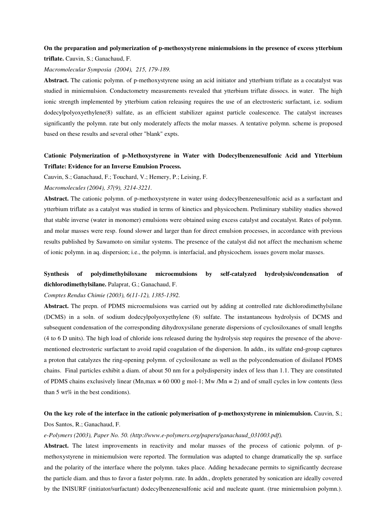### **On the preparation and polymerization of p-methoxystyrene miniemulsions in the presence of excess ytterbium triflate.** Cauvin, S.; Ganachaud, F.

#### *Macromolecular Symposia (2004), 215, 179-189.*

**Abstract.** The cationic polymn. of p-methoxystyrene using an acid initiator and ytterbium triflate as a cocatalyst was studied in miniemulsion. Conductometry measurements revealed that ytterbium triflate dissocs. in water. The high ionic strength implemented by ytterbium cation releasing requires the use of an electrosteric surfactant, i.e. sodium dodecylpolyoxyethylene(8) sulfate, as an efficient stabilizer against particle coalescence. The catalyst increases significantly the polymn. rate but only moderately affects the molar masses. A tentative polymn. scheme is proposed based on these results and several other "blank" expts.

### **Cationic Polymerization of p-Methoxystyrene in Water with Dodecylbenzenesulfonic Acid and Ytterbium Triflate: Evidence for an Inverse Emulsion Process.**

Cauvin, S.; Ganachaud, F.; Touchard, V.; Hemery, P.; Leising, F.

#### *Macromolecules (2004), 37(9), 3214-3221.*

**Abstract.** The cationic polymn. of p-methoxystyrene in water using dodecylbenzenesulfonic acid as a surfactant and ytterbium triflate as a catalyst was studied in terms of kinetics and physicochem. Preliminary stability studies showed that stable inverse (water in monomer) emulsions were obtained using excess catalyst and cocatalyst. Rates of polymn. and molar masses were resp. found slower and larger than for direct emulsion processes, in accordance with previous results published by Sawamoto on similar systems. The presence of the catalyst did not affect the mechanism scheme of ionic polymn. in aq. dispersion; i.e., the polymn. is interfacial, and physicochem. issues govern molar masses.

### **Synthesis of polydimethylsiloxane microemulsions by self-catalyzed hydrolysis/condensation of dichlorodimethylsilane.** Palaprat, G.; Ganachaud, F.

#### *Comptes Rendus Chimie (2003), 6(11-12), 1385-1392.*

**Abstract.** The prepn. of PDMS microemulsions was carried out by adding at controlled rate dichlorodimethylsilane (DCMS) in a soln. of sodium dodecylpolyoxyethylene (8) sulfate. The instantaneous hydrolysis of DCMS and subsequent condensation of the corresponding dihydroxysilane generate dispersions of cyclosiloxanes of small lengths (4 to 6 D units). The high load of chloride ions released during the hydrolysis step requires the presence of the abovementioned electrosteric surfactant to avoid rapid coagulation of the dispersion. In addn., its sulfate end-group captures a proton that catalyzes the ring-opening polymn. of cyclosiloxane as well as the polycondensation of disilanol PDMS chains. Final particles exhibit a diam. of about 50 nm for a polydispersity index of less than 1.1. They are constituted of PDMS chains exclusively linear (Mn,max **=** 60 000 g mol-1; Mw /Mn **=** 2) and of small cycles in low contents (less than 5 wt% in the best conditions).

### **On the key role of the interface in the cationic polymerisation of p-methoxystyrene in miniemulsion.** Cauvin, S.; Dos Santos, R.; Ganachaud, F.

#### *e-Polymers (2003), Paper No. 50. (http://www.e-polymers.org/papers/ganachaud\_031003.pdf).*

Abstract. The latest improvements in reactivity and molar masses of the process of cationic polymn. of pmethoxystyrene in miniemulsion were reported. The formulation was adapted to change dramatically the sp. surface and the polarity of the interface where the polymn. takes place. Adding hexadecane permits to significantly decrease the particle diam. and thus to favor a faster polymn. rate. In addn., droplets generated by sonication are ideally covered by the INISURF (initiator/surfactant) dodecylbenzenesulfonic acid and nucleate quant. (true miniemulsion polymn.).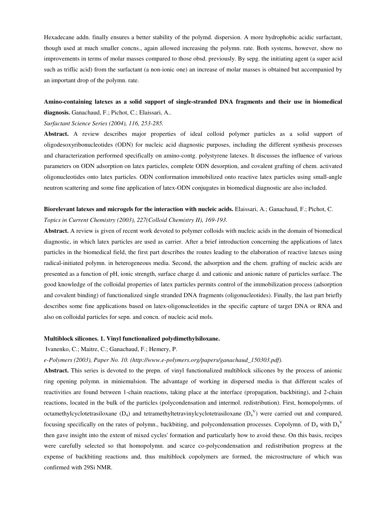Hexadecane addn. finally ensures a better stability of the polymd. dispersion. A more hydrophobic acidic surfactant, though used at much smaller concns., again allowed increasing the polymn. rate. Both systems, however, show no improvements in terms of molar masses compared to those obsd. previously. By sepg. the initiating agent (a super acid such as triflic acid) from the surfactant (a non-ionic one) an increase of molar masses is obtained but accompanied by an important drop of the polymn. rate.

### **Amino-containing latexes as a solid support of single-stranded DNA fragments and their use in biomedical diagnosis.** Ganachaud, F.; Pichot, C.; Elaissari, A..

#### *Surfactant Science Series (2004), 116, 253-285.*

Abstract. A review describes major properties of ideal colloid polymer particles as a solid support of oligodesoxyribonucleotides (ODN) for nucleic acid diagnostic purposes, including the different synthesis processes and characterization performed specifically on amino-contg. polystyrene latexes. It discusses the influence of various parameters on ODN adsorption on latex particles, complete ODN desorption, and covalent grafting of chem. activated oligonucleotides onto latex particles. ODN conformation immobilized onto reactive latex particles using small-angle neutron scattering and some fine application of latex-ODN conjugates in biomedical diagnostic are also included.

### **Biorelevant latexes and microgels for the interaction with nucleic acids.** Elaissari, A.; Ganachaud, F.; Pichot, C. *Topics in Current Chemistry (2003), 227(Colloid Chemistry II), 169-193.*

**Abstract.** A review is given of recent work devoted to polymer colloids with nucleic acids in the domain of biomedical diagnostic, in which latex particles are used as carrier. After a brief introduction concerning the applications of latex particles in the biomedical field, the first part describes the routes leading to the elaboration of reactive latexes using radical-initiated polymn. in heterogeneous media. Second, the adsorption and the chem. grafting of nucleic acids are presented as a function of pH, ionic strength, surface charge d. and cationic and anionic nature of particles surface. The good knowledge of the colloidal properties of latex particles permits control of the immobilization process (adsorption and covalent binding) of functionalized single stranded DNA fragments (oligonucleotides). Finally, the last part briefly describes some fine applications based on latex-oligonucleotides in the specific capture of target DNA or RNA and also on colloidal particles for sepn. and concn. of nucleic acid mols.

#### **Multiblock silicones. 1. Vinyl functionalized polydimethylsiloxane.**

#### Ivanenko, C.; Maitre, C.; Ganachaud, F.; Hemery, P.

#### *e-Polymers (2003), Paper No. 10. (http://www.e-polymers.org/papers/ganachaud\_150303.pdf).*

**Abstract.** This series is devoted to the prepn. of vinyl functionalized multiblock silicones by the process of anionic ring opening polymn. in miniemulsion. The advantage of working in dispersed media is that different scales of reactivities are found between 1-chain reactions, taking place at the interface (propagation, backbiting), and 2-chain reactions, located in the bulk of the particles (polycondensation and intermol. redistribution). First, homopolymns. of octamethylcyclotetrasiloxane  $(D_4)$  and tetramethyltetravinylcyclotetrasiloxane  $(D_4^V)$  were carried out and compared, focusing specifically on the rates of polymn., backbiting, and polycondensation processes. Copolymn. of  $D_4$  with  $D_4^V$ then gave insight into the extent of mixed cycles' formation and particularly how to avoid these. On this basis, recipes were carefully selected so that homopolymn. and scarce co-polycondensation and redistribution progress at the expense of backbiting reactions and, thus multiblock copolymers are formed, the microstructure of which was confirmed with 29Si NMR.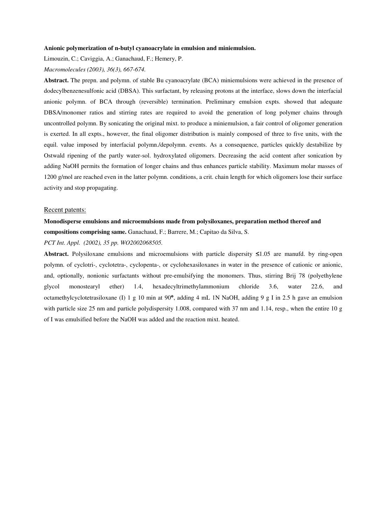#### **Anionic polymerization of n-butyl cyanoacrylate in emulsion and miniemulsion.**

Limouzin, C.; Caviggia, A.; Ganachaud, F.; Hemery, P.

*Macromolecules (2003), 36(3), 667-674.*

**Abstract.** The prepn. and polymn. of stable Bu cyanoacrylate (BCA) miniemulsions were achieved in the presence of dodecylbenzenesulfonic acid (DBSA). This surfactant, by releasing protons at the interface, slows down the interfacial anionic polymn. of BCA through (reversible) termination. Preliminary emulsion expts. showed that adequate DBSA/monomer ratios and stirring rates are required to avoid the generation of long polymer chains through uncontrolled polymn. By sonicating the original mixt. to produce a miniemulsion, a fair control of oligomer generation is exerted. In all expts., however, the final oligomer distribution is mainly composed of three to five units, with the equil. value imposed by interfacial polymn./depolymn. events. As a consequence, particles quickly destabilize by Ostwald ripening of the partly water-sol. hydroxylated oligomers. Decreasing the acid content after sonication by adding NaOH permits the formation of longer chains and thus enhances particle stability. Maximum molar masses of 1200 g/mol are reached even in the latter polymn. conditions, a crit. chain length for which oligomers lose their surface activity and stop propagating.

#### Recent patents:

### **Monodisperse emulsions and microemulsions made from polysiloxanes, preparation method thereof and compositions comprising same.** Ganachaud, F.; Barrere, M.; Capitao da Silva, S.

#### *PCT Int. Appl. (2002), 35 pp. WO2002068505.*

Abstract. Polysiloxane emulsions and microemulsions with particle dispersity ≤1.05 are manufd. by ring-open polymn. of cyclotri-, cyclotetra-, cyclopenta-, or cyclohexasiloxanes in water in the presence of cationic or anionic, and, optionally, nonionic surfactants without pre-emulsifying the monomers. Thus, stirring Brij 78 (polyethylene glycol monostearyl ether) 1.4, hexadecyltrimethylammonium chloride 3.6, water 22.6, and octamethylcyclotetrasiloxane (I) 1 g 10 min at 90°, adding 4 mL 1N NaOH, adding 9 g I in 2.5 h gave an emulsion with particle size 25 nm and particle polydispersity 1.008, compared with 37 nm and 1.14, resp., when the entire 10 g of I was emulsified before the NaOH was added and the reaction mixt. heated.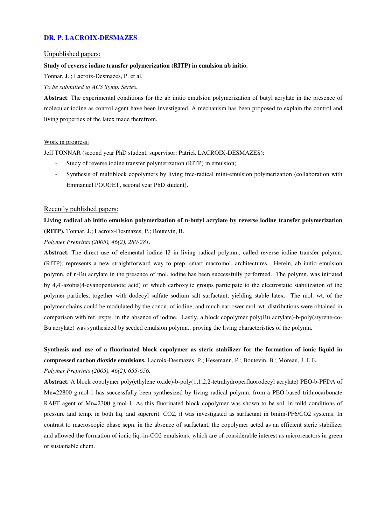#### **DR. P. LACROIX-DESMAZES**

#### Unpublished papers:

#### **Study of reverse iodine transfer polymerization (RITP) in emulsion ab initio.**

Tonnar, J. ; Lacroix-Desmazes, P. et al.

*To be submitted to ACS Symp. Series.*

**Abstract**: The experimental conditions for the ab initio emulsion polymerization of butyl acrylate in the presence of molecular iodine as control agent have been investigated. A mechanism has been proposed to explain the control and living properties of the latex made therefrom.

#### Work in progress:

Jeff TONNAR (second year PhD student, supervisor: Patrick LACROIX-DESMAZES):

- Study of reverse iodine transfer polymerization (RITP) in emulsion;
- Synthesis of multiblock copolymers by living free-radical mini-emulsion polymerization (collaboration with Emmanuel POUGET, second year PhD student).

#### Recently published papers:

**Living radical ab initio emulsion polymerization of n-butyl acrylate by reverse iodine transfer polymerization (RITP).** Tonnar, J.; Lacroix-Desmazes, P.; Boutevin, B.

*Polymer Preprints (2005), 46(2), 280-281.*

**Abstract.** The direct use of elemental iodine I2 in living radical polymn., called reverse iodine transfer polymn. (RITP), represents a new straightforward way to prep. smart macromol. architectures. Herein, ab initio emulsion polymn. of n-Bu acrylate in the presence of mol. iodine has been successfully performed. The polymn. was initiated by 4,4'-azobis(4-cyanopentanoic acid) of which carboxylic groups participate to the electrostatic stabilization of the polymer particles, together with dodecyl sulfate sodium salt surfactant, yielding stable latex. The mol. wt. of the polymer chains could be modulated by the concn. of iodine, and much narrower mol. wt. distributions were obtained in comparison with ref. expts. in the absence of iodine. Lastly, a block copolymer poly(Bu acrylate)-b-poly(styrene-co-Bu acrylate) was synthesized by seeded emulsion polymn., proving the living characteristics of the polymn.

Synthesis and use of a fluorinated block copolymer as steric stabilizer for the formation of ionic liquid in **compressed carbon dioxide emulsions.** Lacroix-Desmazes, P.; Hesemann, P.; Boutevin, B.; Moreau, J. J. E. *Polymer Preprints (2005), 46(2), 655-656.*

**Abstract.** A block copolymer poly(ethylene oxide)-b-poly(1,1,2,2-tetrahydroperfluorodecyl acrylate) PEO-b-PFDA of Mn=22800 g.mol-1 has successfully been synthesized by living radical polymn. from a PEO-based trithiocarbonate RAFT agent of Mn=2300 g.mol-1. As this fluorinated block copolymer was shown to be sol. in mild conditions of pressure and temp. in both liq. and supercrit. CO2, it was investigated as surfactant in bmim-PF6/CO2 systems. In contrast to macroscopic phase sepn. in the absence of surfactant, the copolymer acted as an efficient steric stabilizer and allowed the formation of ionic liq.-in-CO2 emulsions, which are of considerable interest as microreactors in green or sustainable chem.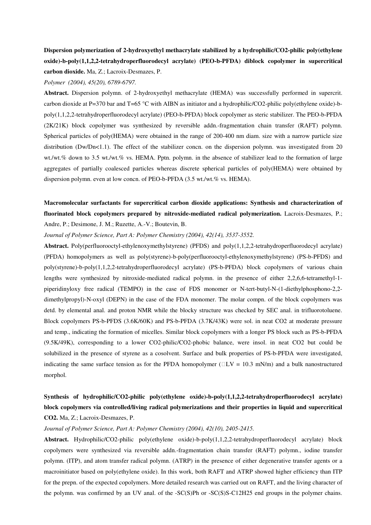## **Dispersion polymerization of 2-hydroxyethyl methacrylate stabilized by a hydrophilic/CO2-philic poly(ethylene oxide)-b-poly(1,1,2,2-tetrahydroperfluorodecyl acrylate) (PEO-b-PFDA) diblock copolymer in supercritical carbon dioxide.** Ma, Z.; Lacroix-Desmazes, P.

*Polymer (2004), 45(20), 6789-6797.*

**Abstract.** Dispersion polymn. of 2-hydroxyethyl methacrylate (HEMA) was successfully performed in supercrit. carbon dioxide at P=370 bar and T=65 **°**C with AIBN as initiator and a hydrophilic/CO2-philic poly(ethylene oxide)-bpoly(1,1,2,2-tetrahydroperfluorodecyl acrylate) (PEO-b-PFDA) block copolymer as steric stabilizer. The PEO-b-PFDA (2K/21K) block copolymer was synthesized by reversible addn.-fragmentation chain transfer (RAFT) polymn. Spherical particles of poly(HEMA) were obtained in the range of 200-400 nm diam. size with a narrow particle size distribution (Dw/Dn<1.1). The effect of the stabilizer concn. on the dispersion polymn. was investigated from 20 wt./wt.% down to 3.5 wt./wt.% vs. HEMA. Pptn. polymn. in the absence of stabilizer lead to the formation of large aggregates of partially coalesced particles whereas discrete spherical particles of poly(HEMA) were obtained by dispersion polymn. even at low concn. of PEO-b-PFDA (3.5 wt./wt.% vs. HEMA).

### **Macromolecular surfactants for supercritical carbon dioxide applications: Synthesis and characterization of fluorinated block copolymers prepared by nitroxide-mediated radical polymerization.** Lacroix-Desmazes, P.; Andre, P.; Desimone, J. M.; Ruzette, A.-V.; Boutevin, B.

*Journal of Polymer Science, Part A: Polymer Chemistry (2004), 42(14), 3537-3552.*

**Abstract.** Poly(perfluorooctyl-ethylenoxymethylstyrene) (PFDS) and poly(1,1,2,2-tetrahydroperfluorodecyl acrylate) (PFDA) homopolymers as well as poly(styrene)-b-poly(perfluorooctyl-ethylenoxymethylstyrene) (PS-b-PFDS) and poly(styrene)-b-poly(1,1,2,2-tetrahydroperfluorodecyl acrylate) (PS-b-PFDA) block copolymers of various chain lengths were synthesized by nitroxide-mediated radical polymn. in the presence of either 2,2,6,6-tetramethyl-1 piperidinyloxy free radical (TEMPO) in the case of FDS monomer or N-tert-butyl-N-(1-diethylphosphono-2,2 dimethylpropyl)-N-oxyl (DEPN) in the case of the FDA monomer. The molar compn. of the block copolymers was detd. by elemental anal. and proton NMR while the blocky structure was checked by SEC anal. in trifluorotoluene. Block copolymers PS-b-PFDS (3.6K/60K) and PS-b-PFDA (3.7K/43K) were sol. in neat CO2 at moderate pressure and temp., indicating the formation of micelles. Similar block copolymers with a longer PS block such as PS-b-PFDA (9.5K/49K), corresponding to a lower CO2-philic/CO2-phobic balance, were insol. in neat CO2 but could be solubilized in the presence of styrene as a cosolvent. Surface and bulk properties of PS-b-PFDA were investigated, indicating the same surface tension as for the PFDA homopolymer (LV = 10.3 mN/m) and a bulk nanostructured morphol.

**Synthesis of hydrophilic/CO2-philic poly(ethylene oxide)-b-poly(1,1,2,2-tetrahydroperfluorodecyl acrylate) block copolymers via controlled/living radical polymerizations and their properties in liquid and supercritical CO2.** Ma, Z.; Lacroix-Desmazes, P.

#### *Journal of Polymer Science, Part A: Polymer Chemistry (2004), 42(10), 2405-2415.*

**Abstract.** Hydrophilic/CO2-philic poly(ethylene oxide)-b-poly(1,1,2,2-tetrahydroperfluorodecyl acrylate) block copolymers were synthesized via reversible addn.-fragmentation chain transfer (RAFT) polymn., iodine transfer polymn. (ITP), and atom transfer radical polymn. (ATRP) in the presence of either degenerative transfer agents or a macroinitiator based on poly(ethylene oxide). In this work, both RAFT and ATRP showed higher efficiency than ITP for the prepn. of the expected copolymers. More detailed research was carried out on RAFT, and the living character of the polymn. was confirmed by an UV anal. of the -SC(S)Ph or -SC(S)S-C12H25 end groups in the polymer chains.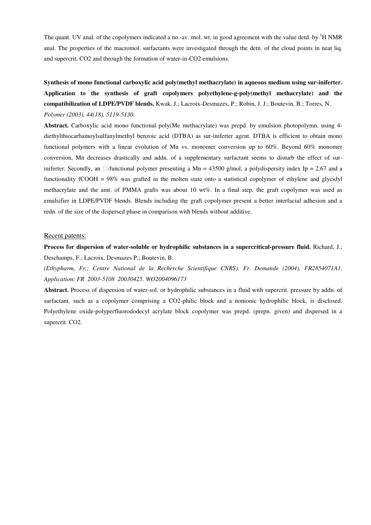The quant. UV anal. of the copolymers indicated a no.-av. mol. wt. in good agreement with the value detd. by <sup>1</sup>H NMR anal. The properties of the macromol. surfactants were investigated through the detn. of the cloud points in neat liq. and supercrit. CO2 and through the formation of water-in-CO2 emulsions.

**Synthesis of mono functional carboxylic acid poly(methyl methacrylate) in aqueous medium using sur-iniferter. Application to the synthesis of graft copolymers polyethylene-g-poly(methyl methacrylate) and the compatibilization of LDPE/PVDF blends.** Kwak, J.; Lacroix-Desmazes, P.; Robin, J. J.; Boutevin, B.; Torres, N. *Polymer (2003), 44(18), 5119-5130.*

**Abstract.** Carboxylic acid mono functional poly(Me methacrylate) was prepd. by emulsion photopolymn. using 4 diethylthiocarbamoylsulfanylmethyl benzoic acid (DTBA) as sur-iniferter agent. DTBA is efficient to obtain mono functional polymers with a linear evolution of Mn vs. monomer conversion up to 60%. Beyond 60% monomer conversion, Mn decreases drastically and addn. of a supplementary surfactant seems to disturb the effect of suriniferter. Secondly, an -functional polymer presenting a Mn =  $43500$  g/mol, a polydispersity index Ip = 2.67 and a functionality fCOOH = 98% was grafted in the molten state onto a statistical copolymer of ethylene and glycidyl methacrylate and the amt. of PMMA grafts was about 10 wt%. In a final step, the graft copolymer was used as emulsifier in LDPE/PVDF blends. Blends including the graft copolymer present a better interfacial adhesion and a redn. of the size of the dispersed phase in comparison with blends without additive.

#### Recent patents:

**Process for dispersion of water-soluble or hydrophilic substances in a supercritical-pressure fluid.** Richard, J.; Deschamps, F.; Lacroix, Desmazes P.; Boutevin, B.

*(Ethypharm, Fr.; Centre National de la Recherche Scientifique CNRS). Fr. Demande (2004), FR2854071A1. Application: FR 2003-5108 20030425. WO2004096173*

**Abstract.** Process of dispersion of water-sol. or hydrophilic substances in a fluid with supercrit. pressure by addn. of surfactant, such as a copolymer comprising a CO2-philic block and a nonionic hydrophilic block, is disclosed. Polyethylene oxide-polyperfluorododecyl acrylate block copolymer was prepd. (prepn. given) and dispersed in a supercrit. CO2.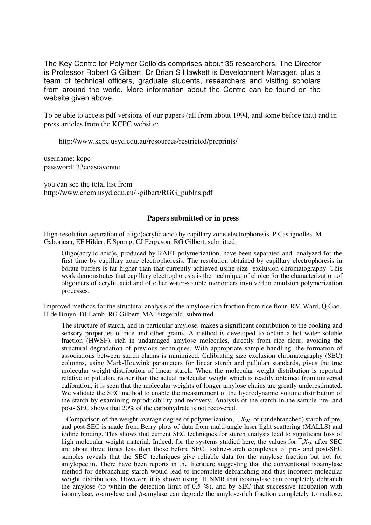The Key Centre for Polymer Colloids comprises about 35 researchers. The Director is Professor Robert G Gilbert, Dr Brian S Hawkett is Development Manager, plus a team of technical officers, graduate students, researchers and visiting scholars from around the world. More information about the Centre can be found on the website given above.

To be able to access pdf versions of our papers (all from about 1994, and some before that) and inpress articles from the KCPC website:

http://www.kcpc.usyd.edu.au/resources/restricted/preprints/

username: kcpc password: 32coastavenue

you can see the total list from http://www.chem.usyd.edu.au/~gilbert/RGG\_publns.pdf

#### **Papers submitted or in press**

High-resolution separation of oligo(acrylic acid) by capillary zone electrophoresis. P Castignolles, M Gaborieau, EF Hilder, E Sprong, CJ Ferguson, RG Gilbert, submitted.

Oligo(acrylic acid)s, produced by RAFT polymerization, have been separated and analyzed for the first time by capillary zone electrophoresis. The resolution obtained by capillary electrophoresis in borate buffers is far higher than that currently achieved using size exclusion chromatography. This work demonstrates that capillary electrophoresis is the technique of choice for the characterization of oligomers of acrylic acid and of other water-soluble monomers involved in emulsion polymerization processes.

Improved methods for the structural analysis of the amylose-rich fraction from rice flour. RM Ward, Q Gao, H de Bruyn, DJ Lamb, RG Gilbert, MA Fitzgerald, submitted.

The structure of starch, and in particular amylose, makes a significant contribution to the cooking and sensory properties of rice and other grains. A method is developed to obtain a hot water soluble fraction (HWSF), rich in undamaged amylose molecules, directly from rice flour, avoiding the structural degradation of previous techniques. With appropriate sample handling, the formation of associations between starch chains is minimized. Calibrating size exclusion chromatography (SEC) columns, using Mark-Houwink parameters for linear starch and pullulan standards, gives the true molecular weight distribution of linear starch. When the molecular weight distribution is reported relative to pullulan, rather than the actual molecular weight which is readily obtained from universal calibration, it is seen that the molecular weights of longer amylose chains are greatly underestimated. We validate the SEC method to enable the measurement of the hydrodynamic volume distribution of the starch by examining reproducibility and recovery. Analysis of the starch in the sample pre- and post- SEC shows that 20% of the carbohydrate is not recovered.

Comparison of the weight-average degree of polymerization,  $\bar{x}$ <sub>W</sub>, of (undebranched) starch of preand post-SEC is made from Berry plots of data from multi-angle laser light scattering (MALLS) and iodine binding. This shows that current SEC techniques for starch analysis lead to significant loss of high molecular weight material. Indeed, for the systems studied here, the values for  $\overline{x_w}$  after SEC are about three times less than those before SEC. Iodine-starch complexes of pre- and post-SEC samples reveals that the SEC techniques give reliable data for the amylose fraction but not for amylopectin. There have been reports in the literature suggesting that the conventional isoamylase method for debranching starch would lead to incomplete debranching and thus incorrect molecular weight distributions. However, it is shown using <sup>1</sup>H NMR that isoamylase can completely debranch the amylose (to within the detection limit of  $0.5\%$ ), and by SEC that successive incubation with isoamylase,  $\alpha$ -amylase and  $\beta$ -amylase can degrade the amylose-rich fraction completely to maltose.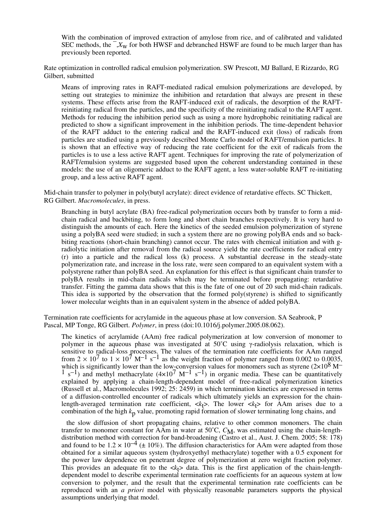With the combination of improved extraction of amylose from rice, and of calibrated and validated SEC methods, the  $\bar{x}_{w}$  for both HWSF and debranched HSWF are found to be much larger than has previously been reported.

Rate optimization in controlled radical emulsion polymerization. SW Prescott, MJ Ballard, E Rizzardo, RG Gilbert, submitted

Means of improving rates in RAFT-mediated radical emulsion polymerizations are developed, by setting out strategies to minimize the inhibition and retardation that always are present in these systems. These effects arise from the RAFT-induced exit of radicals, the desorption of the RAFTreinitiating radical from the particles, and the specificity of the reinitiating radical to the RAFT agent. Methods for reducing the inhibition period such as using a more hydrophobic reinitiating radical are predicted to show a significant improvement in the inhibition periods. The time-dependent behavior of the RAFT adduct to the entering radical and the RAFT-induced exit (loss) of radicals from particles are studied using a previously described Monte Carlo model of RAFT/emulsion particles. It is shown that an effective way of reducing the rate coefficient for the exit of radicals from the particles is to use a less active RAFT agent. Techniques for improving the rate of polymerization of RAFT/emulsion systems are suggested based upon the coherent understanding contained in these models: the use of an oligomeric adduct to the RAFT agent, a less water-soluble RAFT re-initiating group, and a less active RAFT agent.

Mid-chain transfer to polymer in poly(butyl acrylate): direct evidence of retardative effects. SC Thickett, RG Gilbert. *Macromolecules*, in press.

Branching in butyl acrylate (BA) free-radical polymerization occurs both by transfer to form a midchain radical and backbiting, to form long and short chain branches respectively. It is very hard to distinguish the amounts of each. Here the kinetics of the seeded emulsion polymerization of styrene using a polyBA seed were studied; in such a system there are no growing polyBA ends and so backbiting reactions (short-chain branching) cannot occur. The rates with chemical initiation and with gradiolytic initiation after removal from the radical source yield the rate coefficients for radical entry (r) into a particle and the radical loss (k) process. A substantial decrease in the steady-state polymerization rate, and increase in the loss rate, were seen compared to an equivalent system with a polystyrene rather than polyBA seed. An explanation for this effect is that significant chain transfer to polyBA results in mid-chain radicals which may be terminated before propagating: retardative transfer. Fitting the gamma data shows that this is the fate of one out of 20 such mid-chain radicals. This idea is supported by the observation that the formed poly(styrene) is shifted to significantly lower molecular weights than in an equivalent system in the absence of added polyBA.

Termination rate coefficients for acrylamide in the aqueous phase at low conversion. SA Seabrook, P Pascal, MP Tonge, RG Gilbert. *Polymer*, in press (doi:10.1016/j.polymer.2005.08.062).

The kinetics of acrylamide (AAm) free radical polymerization at low conversion of monomer to polymer in the aqueous phase was investigated at  $50^{\circ}$ C using  $\gamma$ -radiolysis relaxation, which is sensitive to radical-loss processes. The values of the termination rate coefficients for AAm ranged from  $2 \times 10^7$  to  $1 \times 10^7$  M<sup>-1</sup> s<sup>-1</sup> as the weight fraction of polymer ranged from 0.002 to 0.0035, which is significantly lower than the low-conversion values for monomers such as styrene  $(2\times10^8$  M<sup>-1</sup>  $1 s<sup>-1</sup>$ ) and methyl methacrylate  $(4 \times 10<sup>7</sup> M<sup>-1</sup> s<sup>-1</sup>)$  in organic media. These can be quantitatively explained by applying a chain-length-dependent model of free-radical polymerization kinetics (Russell et al., Macromolecules 1992; 25: 2459) in which termination kinetics are expressed in terms of a diffusion-controlled encounter of radicals which ultimately yields an expression for the chainlength-averaged termination rate coefficient,  $\langle k_1 \rangle$ . The lower  $\langle k_1 \rangle$  for AAm arises due to a combination of the high *k*p value, promoting rapid formation of slower terminating long chains, and

the slow diffusion of short propagating chains, relative to other common monomers. The chain transfer to monomer constant for AAm in water at 50˚C, *C*M, was estimated using the chain-lengthdistribution method with correction for band-broadening (Castro et al., Aust. J. Chem. 2005; 58: 178) and found to be  $1.2 \times 10^{-4}$  ( $\pm 10\%$ ). The diffusion characteristics for AAm were adapted from those obtained for a similar aqueous system (hydroxyethyl methacrylate) together with a 0.5 exponent for the power law dependence on penetrant degree of polymerization at zero weight fraction polymer. This provides an adequate fit to the  $\langle k_t \rangle$  data. This is the first application of the chain-lengthdependent model to describe experimental termination rate coefficients for an aqueous system at low conversion to polymer, and the result that the experimental termination rate coefficients can be reproduced with an *a priori* model with physically reasonable parameters supports the physical assumptions underlying that model.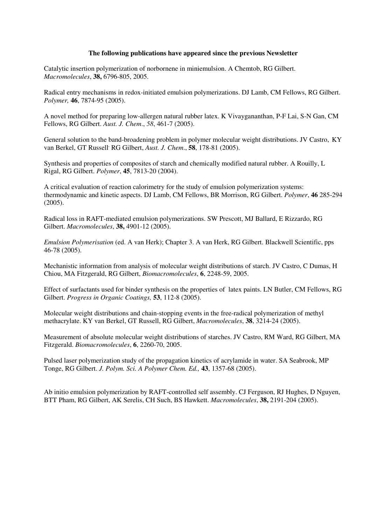#### **The following publications have appeared since the previous Newsletter**

Catalytic insertion polymerization of norbornene in miniemulsion. A Chemtob, RG Gilbert. *Macromolecules*, **38,** 6796-805, 2005.

Radical entry mechanisms in redox-initiated emulsion polymerizations. DJ Lamb, CM Fellows, RG Gilbert. *Polymer,* **46**, 7874-95 (2005).

A novel method for preparing low-allergen natural rubber latex. K Vivaygananthan, P-F Lai, S-N Gan, CM Fellows, RG Gilbert. *Aust. J. Chem*., *58*, 461-7 (2005).

General solution to the band-broadening problem in polymer molecular weight distributions. JV Castro, KY van Berkel, GT Russell RG Gilbert, *Aust. J. Chem.*, 58, 178-81 (2005).

Synthesis and properties of composites of starch and chemically modified natural rubber. A Rouilly, L Rigal, RG Gilbert. *Polymer*, **45**, 7813-20 (2004).

A critical evaluation of reaction calorimetry for the study of emulsion polymerization systems: thermodynamic and kinetic aspects. DJ Lamb, CM Fellows, BR Morrison, RG Gilbert. *Polymer*, **46** 285-294 (2005).

Radical loss in RAFT-mediated emulsion polymerizations. SW Prescott, MJ Ballard, E Rizzardo, RG Gilbert. *Macromolecules*, **38,** 4901-12 (2005).

*Emulsion Polymerisation* (ed. A van Herk); Chapter 3. A van Herk, RG Gilbert. Blackwell Scientific, pps 46-78 (2005).

Mechanistic information from analysis of molecular weight distributions of starch. JV Castro, C Dumas, H Chiou, MA Fitzgerald, RG Gilbert, *Biomacromolecules*, **6**, 2248-59, 2005.

Effect of surfactants used for binder synthesis on the properties of latex paints. LN Butler, CM Fellows, RG Gilbert. *Progress in Organic Coatings,* **53**, 112-8 (2005).

Molecular weight distributions and chain-stopping events in the free-radical polymerization of methyl methacrylate. KY van Berkel, GT Russell, RG Gilbert, *Macromolecules*, **38**, 3214-24 (2005).

Measurement of absolute molecular weight distributions of starches. JV Castro, RM Ward, RG Gilbert, MA Fitzgerald. *Biomacromolecules*, **6**, 2260-70, 2005.

Pulsed laser polymerization study of the propagation kinetics of acrylamide in water. SA Seabrook, MP Tonge, RG Gilbert. *J. Polym. Sci. A Polymer Chem. Ed.,* **43**, 1357-68 (2005).

Ab initio emulsion polymerization by RAFT-controlled self assembly. CJ Ferguson, RJ Hughes, D Nguyen, BTT Pham, RG Gilbert, AK Serelis, CH Such, BS Hawkett. *Macromolecules*, **38,** 2191-204 (2005).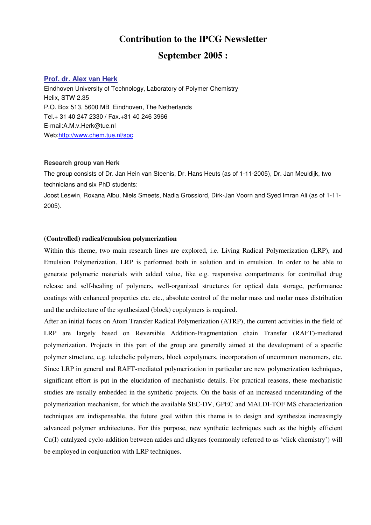## **Contribution to the IPCG Newsletter**

## **September 2005 :**

#### **Prof. dr. Alex van Herk**

Eindhoven University of Technology, Laboratory of Polymer Chemistry Helix, STW 2.35 P.O. Box 513, 5600 MB Eindhoven, The Netherlands Tel.+ 31 40 247 2330 / Fax.+31 40 246 3966 E-mail:A.M.v.Herk@tue.nl Web:http://www.chem.tue.nl/spc

#### **Research group van Herk**

The group consists of Dr. Jan Hein van Steenis, Dr. Hans Heuts (as of 1-11-2005), Dr. Jan Meuldijk, two technicians and six PhD students:

Joost Leswin, Roxana Albu, Niels Smeets, Nadia Grossiord, Dirk-Jan Voorn and Syed Imran Ali (as of 1-11- 2005).

### **(Controlled) radical/emulsion polymerization**

Within this theme, two main research lines are explored, i.e. Living Radical Polymerization (LRP), and Emulsion Polymerization. LRP is performed both in solution and in emulsion. In order to be able to generate polymeric materials with added value, like e.g. responsive compartments for controlled drug release and self-healing of polymers, well-organized structures for optical data storage, performance coatings with enhanced properties etc. etc., absolute control of the molar mass and molar mass distribution and the architecture of the synthesized (block) copolymers is required.

After an initial focus on Atom Transfer Radical Polymerization (ATRP), the current activities in the field of LRP are largely based on Reversible Addition-Fragmentation chain Transfer (RAFT)-mediated polymerization. Projects in this part of the group are generally aimed at the development of a specific polymer structure, e.g. telechelic polymers, block copolymers, incorporation of uncommon monomers, etc. Since LRP in general and RAFT-mediated polymerization in particular are new polymerization techniques, significant effort is put in the elucidation of mechanistic details. For practical reasons, these mechanistic studies are usually embedded in the synthetic projects. On the basis of an increased understanding of the polymerization mechanism, for which the available SEC-DV, GPEC and MALDI-TOF MS characterization techniques are indispensable, the future goal within this theme is to design and synthesize increasingly advanced polymer architectures. For this purpose, new synthetic techniques such as the highly efficient Cu(I) catalyzed cyclo-addition between azides and alkynes (commonly referred to as 'click chemistry') will be employed in conjunction with LRP techniques.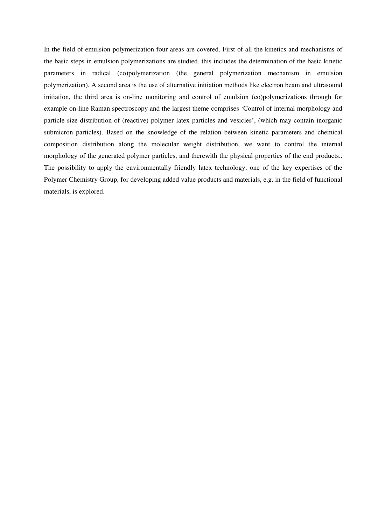In the field of emulsion polymerization four areas are covered. First of all the kinetics and mechanisms of the basic steps in emulsion polymerizations are studied, this includes the determination of the basic kinetic parameters in radical (co)polymerization (the general polymerization mechanism in emulsion polymerization). A second area is the use of alternative initiation methods like electron beam and ultrasound initiation, the third area is on-line monitoring and control of emulsion (co)polymerizations through for example on-line Raman spectroscopy and the largest theme comprises 'Control of internal morphology and particle size distribution of (reactive) polymer latex particles and vesicles', (which may contain inorganic submicron particles). Based on the knowledge of the relation between kinetic parameters and chemical composition distribution along the molecular weight distribution, we want to control the internal morphology of the generated polymer particles, and therewith the physical properties of the end products.. The possibility to apply the environmentally friendly latex technology, one of the key expertises of the Polymer Chemistry Group, for developing added value products and materials, e.g. in the field of functional materials, is explored.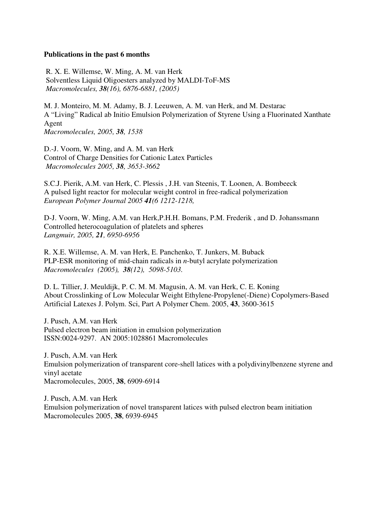### **Publications in the past 6 months**

R. X. E. Willemse, W. Ming, A. M. van Herk Solventless Liquid Oligoesters analyzed by MALDI-ToF-MS *Macromolecules, 38(16), 6876-6881, (2005)*

M. J. Monteiro, M. M. Adamy, B. J. Leeuwen, A. M. van Herk, and M. Destarac A "Living" Radical ab Initio Emulsion Polymerization of Styrene Using a Fluorinated Xanthate Agent *Macromolecules, 2005, 38, 1538*

D.-J. Voorn, W. Ming, and A. M. van Herk Control of Charge Densities for Cationic Latex Particles *Macromolecules 2005, 38, 3653-3662*

S.C.J. Pierik, A.M. van Herk, C. Plessis , J.H. van Steenis, T. Loonen, A. Bombeeck A pulsed light reactor for molecular weight control in free-radical polymerization *European Polymer Journal 2005 41(6 1212-1218,*

D-J. Voorn, W. Ming, A.M. van Herk,P.H.H. Bomans, P.M. Frederik , and D. Johanssmann Controlled heterocoagulation of platelets and spheres *Langmuir, 2005, 21, 6950-6956*

R. X.E. Willemse, A. M. van Herk, E. Panchenko, T. Junkers, M. Buback PLP-ESR monitoring of mid-chain radicals in *n*-butyl acrylate polymerization *Macromolecules (2005), 38(12), 5098-5103.*

D. L. Tillier, J. Meuldijk, P. C. M. M. Magusin, A. M. van Herk, C. E. Koning About Crosslinking of Low Molecular Weight Ethylene-Propylene(-Diene) Copolymers-Based Artificial Latexes J. Polym. Sci, Part A Polymer Chem. 2005, **43**, 3600-3615

J. Pusch, A.M. van Herk Pulsed electron beam initiation in emulsion polymerization ISSN:0024-9297. AN 2005:1028861 Macromolecules

J. Pusch, A.M. van Herk Emulsion polymerization of transparent core-shell latices with a polydivinylbenzene styrene and vinyl acetate Macromolecules, 2005, **38**, 6909-6914

J. Pusch, A.M. van Herk Emulsion polymerization of novel transparent latices with pulsed electron beam initiation Macromolecules 2005, **38**, 6939-6945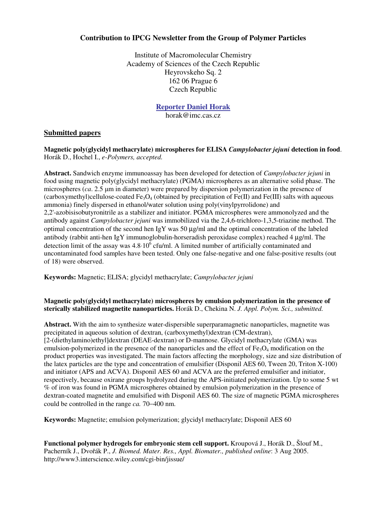## **Contribution to IPCG Newsletter from the Group of Polymer Particles**

Institute of Macromolecular Chemistry Academy of Sciences of the Czech Republic Heyrovskeho Sq. 2 162 06 Prague 6 Czech Republic

**Reporter Daniel Horak**

horak@imc.cas.cz

### **Submitted papers**

### **Magnetic poly(glycidyl methacrylate) microspheres for ELISA** *Campylobacter jejuni* **detection in food**. Horák D., Hochel I., *e-Polymers, accepted.*

**Abstract.** Sandwich enzyme immunoassay has been developed for detection of *Campylobacter jejuni* in food using magnetic poly(glycidyl methacrylate) (PGMA) microspheres as an alternative solid phase. The microspheres (*ca*. 2.5 m in diameter) were prepared by dispersion polymerization in the presence of (carboxymethyl)cellulose-coated  $Fe_3O_4$  (obtained by precipitation of Fe(II) and Fe(III) salts with aqueous ammonia) finely dispersed in ethanol/water solution using poly(vinylpyrrolidone) and 2,2'-azobisisobutyronitrile as a stabilizer and initiator. PGMA microspheres were ammonolyzed and the antibody against *Campylobacter jejuni* was immobilized via the 2,4,6-trichloro-1,3,5-triazine method. The optimal concentration of the second hen IgY was 50  $\mu$ g/ml and the optimal concentration of the labeled antibody (rabbit anti-hen IgY immunoglobulin-horseradish peroxidase complex) reached  $4 \mu$ g/ml. The detection limit of the assay was 4.8⋅10<sup>6</sup> cfu/ml. A limited number of artificially contaminated and uncontaminated food samples have been tested. Only one false-negative and one false-positive results (out of 18) were observed.

**Keywords:** Magnetic; ELISA; glycidyl methacrylate; *Campylobacter jejuni*

### **Magnetic poly(glycidyl methacrylate) microspheres by emulsion polymerization in the presence of sterically stabilized magnetite nanoparticles.** Horák D., Chekina N. *J. Appl. Polym. Sci., submitted.*

**Abstract.** With the aim to synthesize water-dispersible superparamagnetic nanoparticles, magnetite was precipitated in aqueous solution of dextran, (carboxymethyl)dextran (CM-dextran), [2-(diethylamino)ethyl]dextran (DEAE-dextran) or D-mannose. Glycidyl methacrylate (GMA) was emulsion-polymerized in the presence of the nanoparticles and the effect of  $Fe<sub>3</sub>O<sub>4</sub>$  modification on the product properties was investigated. The main factors affecting the morphology, size and size distribution of the latex particles are the type and concentration of emulsifier (Disponil AES 60, Tween 20, Triton X-100) and initiator (APS and ACVA). Disponil AES 60 and ACVA are the preferred emulsifier and initiator, respectively, because oxirane groups hydrolyzed during the APS-initiated polymerization. Up to some 5 wt % of iron was found in PGMA microspheres obtained by emulsion polymerization in the presence of dextran-coated magnetite and emulsified with Disponil AES 60. The size of magnetic PGMA microspheres could be controlled in the range *ca.* 70−400 nm.

**Keywords:** Magnetite; emulsion polymerization; glycidyl methacrylate; Disponil AES 60

**Functional polymer hydrogels for embryonic stem cell support.** Kroupová J., Horák D., Šlouf M., Pacherník J., Dvoák P., *J. Biomed. Mater. Res., Appl. Biomater., published online*: 3 Aug 2005. http://www3.interscience.wiley.com/cgi-bin/jissue/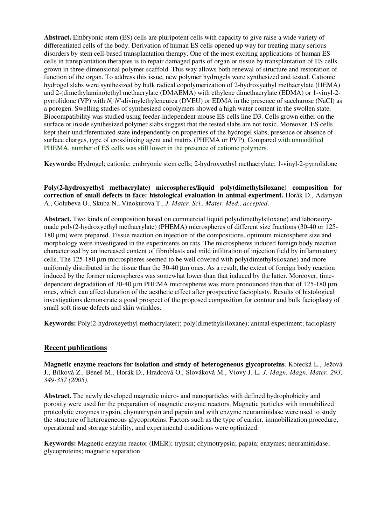**Abstract.** Embryonic stem (ES) cells are pluripotent cells with capacity to give raise a wide variety of differentiated cells of the body. Derivation of human ES cells opened up way for treating many serious disorders by stem cell-based transplantation therapy. One of the most exciting applications of human ES cells in transplantation therapies is to repair damaged parts of organ or tissue by transplantation of ES cells grown in three-dimensional polymer scaffold. This way allows both renewal of structure and restoration of function of the organ. To address this issue, new polymer hydrogels were synthesized and tested. Cationic hydrogel slabs were synthesized by bulk radical copolymerization of 2-hydroxyethyl methacrylate (HEMA) and 2-(dimethylamino)ethyl methacrylate (DMAEMA) with ethylene dimethacrylate (EDMA) or 1-vinyl-2 pyrrolidone (VP) with *N, N'*-divinylethyleneurea (DVEU) or EDMA in the presence of saccharose (NaCl) as a porogen. Swelling studies of synthesized copolymers showed a high water content in the swollen state. Biocompatibility was studied using feeder-independent mouse ES cells line D3. Cells grown either on the surface or inside synthesized polymer slabs suggest that the tested slabs are not toxic. Moreover, ES cells kept their undifferentiated state independently on properties of the hydrogel slabs, presence or absence of surface charges, type of crosslinking agent and matrix (PHEMA or PVP). Compared with unmodified PHEMA, number of ES cells was still lower in the presence of cationic polymers.

**Keywords:** Hydrogel; cationic; embryonic stem cells; 2-hydroxyethyl methacrylate; 1-vinyl-2-pyrrolidone

**Poly(2-hydroxyethyl methacrylate) microspheres/liquid poly(dimethylsiloxane) composition for correction of small defects in face: histological evaluation in animal experiment.** Horák D., Adamyan A., Golubeva O., Skuba N., Vinokurova T., *J. Mater. Sci., Mater. Med., accepted*.

**Abstract.** Two kinds of composition based on commercial liquid poly(dimethylsiloxane) and laboratorymade poly(2-hydroxyethyl methacrylate) (PHEMA) microspheres of different size fractions (30-40 or 125- 180 µm) were prepared. Tissue reaction on injection of the compositions, optimum microsphere size and morphology were investigated in the experiments on rats. The microspheres induced foreign body reaction characterized by an increased content of fibroblasts and mild infiltration of injection field by inflammatory cells. The 125-180 µm microspheres seemed to be well covered with poly(dimethylsiloxane) and more uniformly distributed in the tissue than the 30-40 µm ones. As a result, the extent of foreign body reaction induced by the former microspheres was somewhat lower than that induced by the latter. Moreover, timedependent degradation of 30-40 µm PHEMA microspheres was more pronounced than that of 125-180 µm ones, which can affect duration of the aesthetic effect after prospective facioplasty. Results of histological investigations demonstrate a good prospect of the proposed composition for contour and bulk facioplasty of small soft tissue defects and skin wrinkles.

**Keywords:** Poly(2-hydroxeyethyl methacrylater); poly(dimethylsiloxane); animal experiment; facioplasty

### **Recent publications**

**Magnetic enzyme reactors for isolation and study of heterogeneous glycoproteins**. Korecká L., Ježová J., Bílková Z., Beneš M., Horák D., Hradcová O., Slováková M., Viovy J.-L. *J. Magn. Magn. Mater. 293, 349-357 (2005).*

**Abstract.** The newly developed magnetic micro- and nanoparticles with defined hydrophobicity and porosity were used for the preparation of magnetic enzyme reactors. Magnetic particles with immobilized proteolytic enzymes trypsin, chymotrypsin and papain and with enzyme neuraminidase were used to study the structure of heterogeneous glycoproteins. Factors such as the type of carrier, immobilization procedure, operational and storage stability, and experimental conditions were optimized.

**Keywords:** Magnetic enzyme reactor (IMER); trypsin; chymotrypsin; papain; enzymes; neuraminidase; glycoproteins; magnetic separation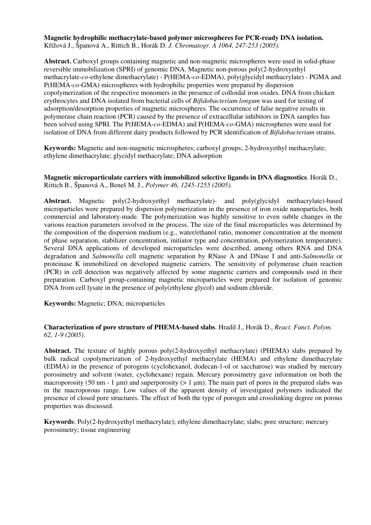#### **Magnetic hydrophilic methacrylate-based polymer microspheres for PCR-ready DNA isolation.** Kížová J., Španová A., Rittich B., Horák D. *J. Chromatogr. A 1064, 247-253 (2005).*

**Abstract.** Carboxyl groups containing magnetic and non-magnetic microspheres were used in solid-phase reversible immobilization (SPRI) of genomic DNA. Magnetic non-porous poly(2-hydroxyethyl methacrylate-*co*-ethylene dimethacrylate) - P(HEMA-*co*-EDMA), poly(glycidyl methacrylate) - PGMA and P(HEMA-*co*-GMA) microspheres with hydrophilic properties were prepared by dispersion copolymerization of the respective monomers in the presence of colloidal iron oxides. DNA from chicken erythrocytes and DNA isolated from bacterial cells of *Bifidobacterium longum* was used for testing of adsorption/desorption properties of magnetic microspheres. The occurrence of false negative results in polymerase chain reaction (PCR) caused by the presence of extracellular inhibitors in DNA samples has been solved using SPRI. The P(HEMA-*co*-EDMA) and P(HEMA-*co*-GMA) microspheres were used for isolation of DNA from different dairy products followed by PCR identification of *Bifidobacterium* strains.

**Keywords:** Magnetic and non-magnetic microspheres; carboxyl groups; 2-hydroxyethyl methacrylate; ethylene dimethacrylate; glycidyl methacrylate; DNA adsorption

### **Magnetic microparticulate carriers with immobilized selective ligands in DNA diagnostics**. Horák D., Rittich B., Španová A., Beneš M. J., *Polymer 46, 1245-1255 (2005).*

**Abstract.** Magnetic poly(2-hydroxyethyl methacrylate)- and poly(glycidyl methacrylate)-based microparticles were prepared by dispersion polymerization in the presence of iron oxide nanoparticles, both commercial and laboratory-made. The polymerization was highly sensitive to even subtle changes in the various reaction parameters involved in the process. The size of the final microparticles was determined by the composition of the dispersion medium (e.g., water/ethanol ratio, monomer concentration at the moment of phase separation, stabilizer concentration, initiator type and concentration, polymerization temperature). Several DNA applications of developed microparticles were described, among others RNA and DNA degradation and *Salmonella* cell magnetic separation by RNase A and DNase I and anti-*Salmonella* or proteinase K immobilized on developed magnetic carriers. The sensitivity of polymerase chain reaction (PCR) in cell detection was negatively affected by some magnetic carriers and compounds used in their preparation. Carboxyl group-containing magnetic microparticles were prepared for isolation of genomic DNA from cell lysate in the presence of poly(ethylene glycol) and sodium chloride.

**Keywords:** Magnetic; DNA; microparticles

### **Characterization of pore structure of PHEMA-based slabs**. Hradil J., Horák D., *React. Funct. Polym. 62, 1-9 (2005)*.

**Abstract.** The texture of highly porous poly(2-hydroxyethyl methacrylate) (PHEMA) slabs prepared by bulk radical copolymerization of 2-hydroxyethyl methacrylate (HEMA) and ethylene dimethacrylate (EDMA) in the presence of porogens (cyclohexanol, dodecan-1-ol or saccharose) was studied by mercury porosimetry and solvent (water, cyclohexane) regain. Mercury porosimetry gave information on both the macroporosity (50 nm - 1  $\mu$ m) and superporosity (> 1  $\mu$ m). The main part of pores in the prepared slabs was in the macroporous range. Low values of the apparent density of investigated polymers indicated the presence of closed pore structures. The effect of both the type of porogen and crosslinking degree on porous properties was discussed.

**Keywords**: Poly(2-hydroxyethyl methacrylate); ethylene dimethacrylate; slabs; pore structure; mercury porosimetry; tissue engineering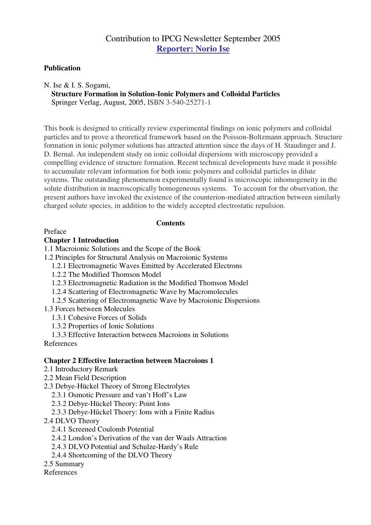## Contribution to IPCG Newsletter September 2005 **Reporter: Norio Ise**

### **Publication**

N. Ise & I. S. Sogami,

## **Structure Formation in Solution-Ionic Polymers and Colloidal Particles**

Springer Verlag, August, 2005, ISBN 3-540-25271-1

This book is designed to critically review experimental findings on ionic polymers and colloidal particles and to prove a theoretical framework based on the Poisson-Boltzmann approach. Structure formation in ionic polymer solutions has attracted attention since the days of H. Staudinger and J. D. Bernal. An independent study on ionic colloidal dispersions with microscopy provided a compelling evidence of structure formation. Recent technical developments have made it possible to accumulate relevant information for both ionic polymers and colloidal particles in dilute systems. The outstanding phenomenon experimentally found is microscopic inhomogeneity in the solute distribution in macroscopically homogeneous systems. To account for the observation, the present authors have invoked the existence of the counterion-mediated attraction between similarly charged solute species, in addition to the widely accepted electrostatic repulsion.

## **Contents**

## Preface

## **Chapter 1 Introduction**

1.1 Macroionic Solutions and the Scope of the Book

- 1.2 Principles for Structural Analysis on Macroionic Systems
	- 1.2.1 Electromagnetic Waves Emitted by Accelerated Electrons
	- 1.2.2 The Modified Thomson Model
	- 1.2.3 Electromagnetic Radiation in the Modified Thomson Model
	- 1.2.4 Scattering of Electromagnetic Wave by Macromolecules
	- 1.2.5 Scattering of Electromagnetic Wave by Macroionic Dispersions
- 1.3 Forces between Molecules
	- 1.3.1 Cohesive Forces of Solids
	- 1.3.2 Properties of Ionic Solutions

1.3.3 Effective Interaction between Macroions in Solutions

### References

## **Chapter 2 Effective Interaction between Macroions 1**

- 2.1 Introductory Remark
- 2.2 Mean Field Description
- 2.3 Debye-Hückel Theory of Strong Electrolytes
	- 2.3.1 Osmotic Pressure and van't Hoff's Law
	- 2.3.2 Debye-Hückel Theory: Point Ions
	- 2.3.3 Debye-Hűckel Thoery: Ions with a Finite Radius
- 2.4 DLVO Theory
	- 2.4.1 Screened Coulomb Potential
	- 2.4.2 London's Derivation of the van der Waals Attraction
	- 2.4.3 DLVO Potential and Schulze-Hardy's Rule
	- 2.4.4 Shortcoming of the DLVO Theory
- 2.5 Summary

### References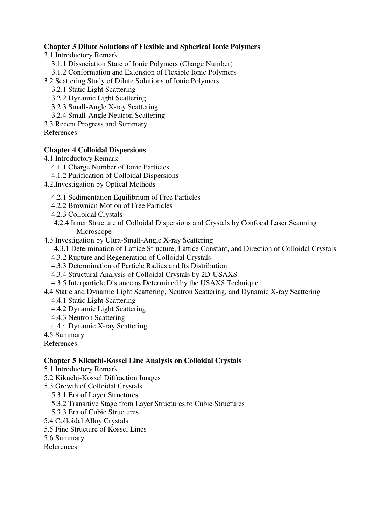## **Chapter 3 Dilute Solutions of Flexible and Spherical Ionic Polymers**

3.1 Introductory Remark

- 3.1.1 Dissociation State of Ionic Polymers (Charge Number)
- 3.1.2 Conformation and Extension of Flexible Ionic Polymers

3.2 Scattering Study of Dilute Solutions of Ionic Polymers

- 3.2.1 Static Light Scattering
- 3.2.2 Dynamic Light Scattering
- 3.2.3 Small-Angle X-ray Scattering
- 3.2.4 Small-Angle Neutron Scattering
- 3.3 Recent Progress and Summary

References

## **Chapter 4 Colloidal Dispersions**

- 4.1 Introductory Remark
	- 4.1.1 Charge Number of Ionic Particles
	- 4.1.2 Purification of Colloidal Dispersions

4.2.Investigation by Optical Methods

- 4.2.1 Sedimentation Equilibrium of Free Particles
- 4.2.2 Brownian Motion of Free Particles
- 4.2.3 Colloidal Crystals
- 4.2.4 Inner Structure of Colloidal Dispersions and Crystals by Confocal Laser Scanning Microscope
- 4.3 Investigation by Ultra-Small-Angle X-ray Scattering
	- 4.3.1 Determination of Lattice Structure, Lattice Constant, and Direction of Colloidal Crystals
	- 4.3.2 Rupture and Regeneration of Colloidal Crystals
	- 4.3.3 Determination of Particle Radius and Its Distribution
	- 4.3.4 Structural Analysis of Colloidal Crystals by 2D-USAXS
	- 4.3.5 Interparticle Distance as Determined by the USAXS Technique
- 4.4 Static and Dynamic Light Scattering, Neutron Scattering, and Dynamic X-ray Scattering
	- 4.4.1 Static Light Scattering
	- 4.4.2 Dynamic Light Scattering
	- 4.4.3 Neutron Scattering
	- 4.4.4 Dynamic X-ray Scattering

4.5 Summary

References

## **Chapter 5 Kikuchi-Kossel Line Analysis on Colloidal Crystals**

- 5.1 Introductory Remark
- 5.2 Kikuchi-Kossel Diffraction Images
- 5.3 Growth of Colloidal Crystals
	- 5.3.1 Era of Layer Structures
	- 5.3.2 Transitive Stage from Layer Structures to Cubic Structures
	- 5.3.3 Era of Cubic Structures
- 5.4 Colloidal Alloy Crystals
- 5.5 Fine Structure of Kossel Lines
- 5.6 Summary
- References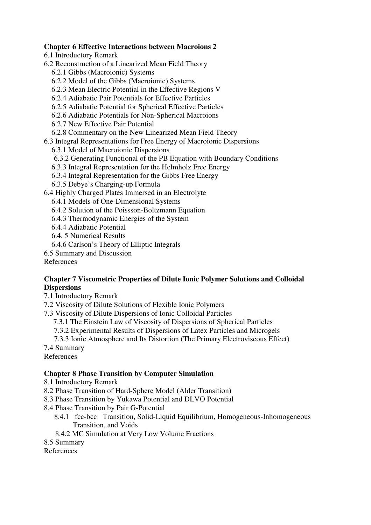## **Chapter 6 Effective Interactions between Macroions 2**

6.1 Introductory Remark

- 6.2 Reconstruction of a Linearized Mean Field Theory
	- 6.2.1 Gibbs (Macroionic) Systems
	- 6.2.2 Model of the Gibbs (Macroionic) Systems
	- 6.2.3 Mean Electric Potential in the Effective Regions V
	- 6.2.4 Adiabatic Pair Potentials for Effective Particles
	- 6.2.5 Adiabatic Potential for Spherical Effective Particles
	- 6.2.6 Adiabatic Potentials for Non-Spherical Macroions
	- 6.2.7 New Effective Pair Potential
	- 6.2.8 Commentary on the New Linearized Mean Field Theory
- 6.3 Integral Representations for Free Energy of Macroionic Dispersions
	- 6.3.1 Model of Macroionic Dispersions
	- 6.3.2 Generating Functional of the PB Equation with Boundary Conditions
	- 6.3.3 Integral Representation for the Helmholz Free Energy
	- 6.3.4 Integral Representation for the Gibbs Free Energy
	- 6.3.5 Debye's Charging-up Formula
- 6.4 Highly Charged Plates Immersed in an Electrolyte
	- 6.4.1 Models of One-Dimensional Systems
	- 6.4.2 Solution of the Poissson-Boltzmann Equation
	- 6.4.3 Thermodynamic Energies of the System
	- 6.4.4 Adiabatic Potential
	- 6.4. 5 Numerical Results
	- 6.4.6 Carlson's Theory of Elliptic Integrals
- 6.5 Summary and Discussion

References

## **Chapter 7 Viscometric Properties of Dilute Ionic Polymer Solutions and Colloidal Dispersions**

7.1 Introductory Remark

- 7.2 Viscosity of Dilute Solutions of Flexible Ionic Polymers
- 7.3 Viscosity of Dilute Dispersions of Ionic Colloidal Particles
	- 7.3.1 The Einstein Law of Viscosity of Dispersions of Spherical Particles
	- 7.3.2 Experimental Results of Dispersions of Latex Particles and Microgels
	- 7.3.3 Ionic Atmosphere and Its Distortion (The Primary Electroviscous Effect)
- 7.4 Summary

References

### **Chapter 8 Phase Transition by Computer Simulation**

- 8.1 Introductory Remark
- 8.2 Phase Transition of Hard-Sphere Model (Alder Transition)
- 8.3 Phase Transition by Yukawa Potential and DLVO Potential
- 8.4 Phase Transition by Pair G-Potential
	- 8.4.1 fcc-bcc Transition, Solid-Liquid Equilibrium, Homogeneous-Inhomogeneous Transition, and Voids
	- 8.4.2 MC Simulation at Very Low Volume Fractions
- 8.5 Summary

References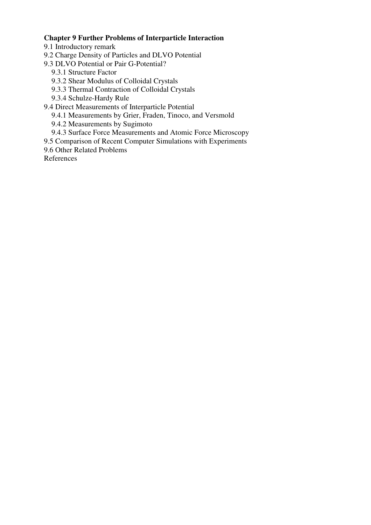## **Chapter 9 Further Problems of Interparticle Interaction**

- 9.1 Introductory remark
- 9.2 Charge Density of Particles and DLVO Potential
- 9.3 DLVO Potential or Pair G-Potential?
	- 9.3.1 Structure Factor
	- 9.3.2 Shear Modulus of Colloidal Crystals
	- 9.3.3 Thermal Contraction of Colloidal Crystals
	- 9.3.4 Schulze-Hardy Rule
- 9.4 Direct Measurements of Interparticle Potential
	- 9.4.1 Measurements by Grier, Fraden, Tinoco, and Versmold
	- 9.4.2 Measurements by Sugimoto
	- 9.4.3 Surface Force Measurements and Atomic Force Microscopy
- 9.5 Comparison of Recent Computer Simulations with Experiments
- 9.6 Other Related Problems

References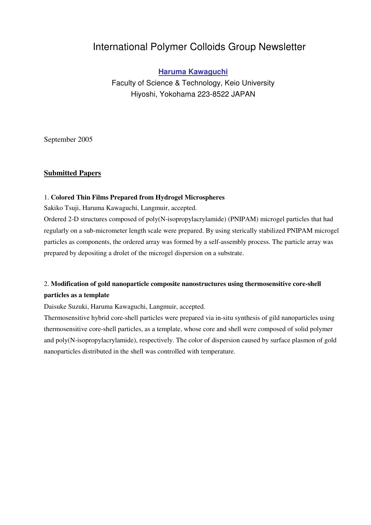# International Polymer Colloids Group Newsletter

## **Haruma Kawaguchi**

Faculty of Science & Technology, Keio University Hiyoshi, Yokohama 223-8522 JAPAN

September 2005

### **Submitted Papers**

### 1. **Colored Thin Films Prepared from Hydrogel Microspheres**

Sakiko Tsuji, Haruma Kawaguchi, Langmuir, accepted.

Ordered 2-D structures composed of poly(N-isopropylacrylamide) (PNIPAM) microgel particles that had regularly on a sub-micrometer length scale were prepared. By using sterically stabilized PNIPAM microgel particles as components, the ordered array was formed by a self-assembly process. The particle array was prepared by depositing a drolet of the microgel dispersion on a substrate.

## 2. **Modification of gold nanoparticle composite nanostructures using thermosensitive core-shell particles as a template**

Daisuke Suzuki, Haruma Kawaguchi, Langmuir, accepted.

Thermosensitive hybrid core-shell particles were prepared via in-situ synthesis of gild nanoparticles using thermosensitive core-shell particles, as a template, whose core and shell were composed of solid polymer and poly(N-isopropylacrylamide), respectively. The color of dispersion caused by surface plasmon of gold nanoparticles distributed in the shell was controlled with temperature.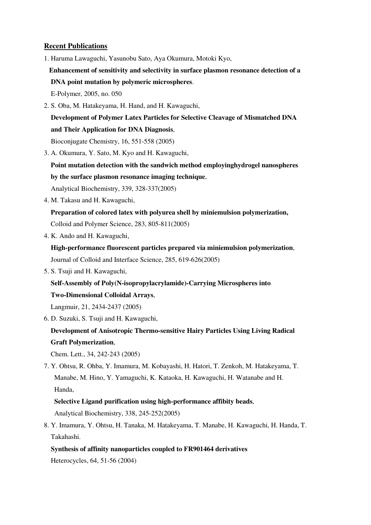### **Recent Publications**

1. Haruma Lawaguchi, Yasunobu Sato, Aya Okumura, Motoki Kyo,

**Enhancement of sensitivity and selectivity in surface plasmon resonance detection of a DNA point mutation by polymeric microspheres**.

E-Polymer, 2005, no. 050

2. S. Oba, M. Hatakeyama, H. Hand, and H. Kawaguchi,

**Development of Polymer Latex Particles for Selective Cleavage of Mismatched DNA and Their Application for DNA Diagnosis**,

Bioconjugate Chemistry, 16, 551-558 (2005)

3. A. Okumura, Y. Sato, M. Kyo and H. Kawaguchi,

**Point mutation detection with the sandwich method employinghydrogel nanospheres by the surface plasmon resonance imaging technique**,

Analytical Biochemistry, 339, 328-337(2005)

4. M. Takasu and H. Kawaguchi,

**Preparation of colored latex with polyurea shell by miniemulsion polymerization,** Colloid and Polymer Science, 283, 805-811(2005)

4. K. Ando and H. Kawaguchi,

**High-performance fluorescent particles prepared via miniemulsion polymerization**,

Journal of Colloid and Interface Science, 285, 619-626(2005)

5. S. Tsuji and H. Kawaguchi,

**Self-Assembly of Poly(N-isopropylacrylamide)-Carrying Microspheres into**

## **Two-Dimensional Colloidal Arrays**,

Langmuir, 21, 2434-2437 (2005)

6. D. Suzuki, S. Tsuji and H. Kawaguchi,

## **Development of Anisotropic Thermo-sensitive Hairy Particles Using Living Radical Graft Polymerization**,

Chem. Lett., 34, 242-243 (2005)

7. Y. Ohtsu, R. Ohba, Y. Imamura, M. Kobayashi, H. Hatori, T. Zenkoh, M. Hatakeyama, T. Manabe, M. Hino, Y. Yamaguchi, K. Kataoka, H. Kawaguchi, H. Watanabe and H. Handa,

## **Selective Ligand purification using high-performance affibity beads**,

Analytical Biochemistry, 338, 245-252(2005)

8. Y. Imamura, Y. Ohtsu, H. Tanaka, M. Hatakeyama, T. Manabe, H. Kawaguchi, H. Handa, T. Takahashi.

### **Synthesis of affinity nanoparticles coupled to FR901464 derivatives**

Heterocycles, 64, 51-56 (2004)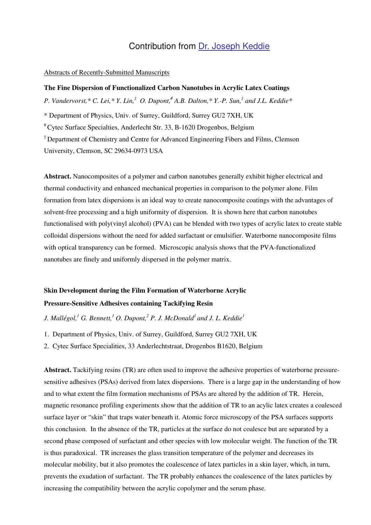## Contribution from Dr. Joseph Keddie

#### Abstracts of Recently-Submitted Manuscripts

### **The Fine Dispersion of Functionalized Carbon Nanotubes in Acrylic Latex Coatings**

*P. Vandervorst,\* C. Lei,\* Y. Lin, ‡ O. Dupont, # A.B. Dalton,\* Y.-P. Sun, ‡ and J.L. Keddie\**

\* Department of Physics, Univ. of Surrey, Guildford, Surrey GU2 7XH, UK

#Cytec Surface Specialties, Anderlecht Str. 33, B-1620 Drogenbos, Belgium

‡ Department of Chemistry and Centre for Advanced Engineering Fibers and Films, Clemson

University, Clemson, SC 29634-0973 USA

**Abstract.** Nanocomposites of a polymer and carbon nanotubes generally exhibit higher electrical and thermal conductivity and enhanced mechanical properties in comparison to the polymer alone. Film formation from latex dispersions is an ideal way to create nanocomposite coatings with the advantages of solvent-free processing and a high uniformity of dispersion. It is shown here that carbon nanotubes functionalised with poly(vinyl alcohol) (PVA) can be blended with two types of acrylic latex to create stable colloidal dispersions without the need for added surfactant or emulsifier. Waterborne nanocomposite films with optical transparency can be formed. Microscopic analysis shows that the PVA-functionalized nanotubes are finely and uniformly dispersed in the polymer matrix.

#### **Skin Development during the Film Formation of Waterborne Acrylic**

### **Pressure-Sensitive Adhesives containing Tackifying Resin**

- *J. Mallégol, <sup>1</sup> G. Bennett, <sup>1</sup> O. Dupont, <sup>2</sup> P. J. McDonald 1 and J. L. Keddie 1*
- 1. Department of Physics, Univ. of Surrey, Guildford, Surrey GU2 7XH, UK
- 2. Cytec Surface Specialities, 33 Anderlechtstraat, Drogenbos B1620, Belgium

**Abstract.** Tackifying resins (TR) are often used to improve the adhesive properties of waterborne pressuresensitive adhesives (PSAs) derived from latex dispersions. There is a large gap in the understanding of how and to what extent the film formation mechanisms of PSAs are altered by the addition of TR. Herein, magnetic resonance profiling experiments show that the addition of TR to an acylic latex creates a coalesced surface layer or "skin" that traps water beneath it. Atomic force microscopy of the PSA surfaces supports this conclusion. In the absence of the TR, particles at the surface do not coalesce but are separated by a second phase composed of surfactant and other species with low molecular weight. The function of the TR is thus paradoxical. TR increases the glass transition temperature of the polymer and decreases its molecular mobility, but it also promotes the coalescence of latex particles in a skin layer, which, in turn, prevents the exudation of surfactant. The TR probably enhances the coalescence of the latex particles by increasing the compatibility between the acrylic copolymer and the serum phase.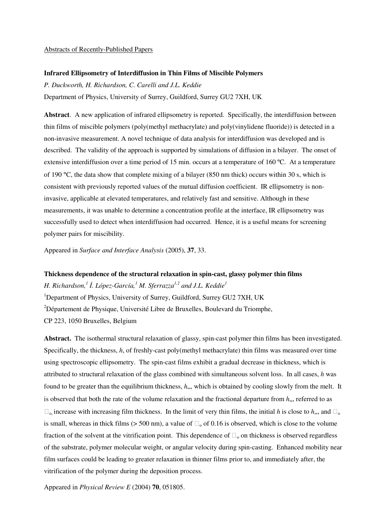#### **Infrared Ellipsometry of Interdiffusion in Thin Films of Miscible Polymers**

*P. Duckworth, H. Richardson, C. Carelli and J.L. Keddie*

Department of Physics, University of Surrey, Guildford, Surrey GU2 7XH, UK

**Abstract**. A new application of infrared ellipsometry is reported. Specifically, the interdiffusion between thin films of miscible polymers (poly(methyl methacrylate) and poly(vinylidene fluoride)) is detected in a non-invasive measurement. A novel technique of data analysis for interdiffusion was developed and is described. The validity of the approach is supported by simulations of diffusion in a bilayer. The onset of extensive interdiffusion over a time period of 15 min. occurs at a temperature of 160 ºC. At a temperature of 190 °C, the data show that complete mixing of a bilayer (850 nm thick) occurs within 30 s, which is consistent with previously reported values of the mutual diffusion coefficient. IR ellipsometry is noninvasive, applicable at elevated temperatures, and relatively fast and sensitive. Although in these measurements, it was unable to determine a concentration profile at the interface, IR ellipsometry was successfully used to detect when interdiffusion had occurred. Hence, it is a useful means for screening polymer pairs for miscibility.

Appeared in *Surface and Interface Analysis* (2005), **37**, 33.

#### **Thickness dependence of the structural relaxation in spin-cast, glassy polymer thin films**

*H. Richardson, 1 Í. López-García, <sup>1</sup> M. Sferrazza 1,2 and J.L. Keddie 1*

<sup>1</sup>Department of Physics, University of Surrey, Guildford, Surrey GU2 7XH, UK

 $2D$ épartement de Physique, Université Libre de Bruxelles, Boulevard du Triomphe,

CP 223, 1050 Bruxelles, Belgium

**Abstract.** The isothermal structural relaxation of glassy, spin-cast polymer thin films has been investigated. Specifically, the thickness, *h*, of freshly-cast poly(methyl methacrylate) thin films was measured over time using spectroscopic ellipsometry. The spin-cast films exhibit a gradual decrease in thickness, which is attributed to structural relaxation of the glass combined with simultaneous solvent loss. In all cases, *h* was found to be greater than the equilibrium thickness, *h*∞, which is obtained by cooling slowly from the melt. It is observed that both the rate of the volume relaxation and the fractional departure from *h*∞, referred to as

<sub>o,</sub> increase with increasing film thickness. In the limit of very thin films, the initial *h* is close to *h*<sub>∞</sub>, and <sub>o</sub> is small, whereas in thick films ( $> 500$  nm), a value of  $\epsilon_0$  of 0.16 is observed, which is close to the volume fraction of the solvent at the vitrification point. This dependence of  $\alpha$  on thickness is observed regardless of the substrate, polymer molecular weight, or angular velocity during spin-casting. Enhanced mobility near film surfaces could be leading to greater relaxation in thinner films prior to, and immediately after, the vitrification of the polymer during the deposition process.

Appeared in *Physical Review E* (2004) **70**, 051805.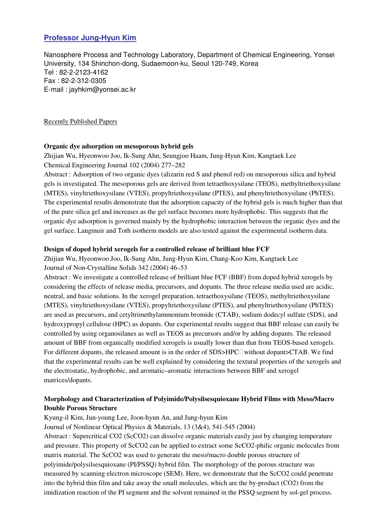## **Professor Jung-Hyun Kim**

Nanosphere Process and Technology Laboratory, Department of Chemical Engineering, Yonsei University, 134 Shinchon-dong, Sudaemoon-ku, Seoul 120-749, Korea Tel : 82-2-2123-4162 Fax : 82-2-312-0305 E-mail : jayhkim@yonsei.ac.kr

### Recently Published Papers

### **Organic dye adsorption on mesoporous hybrid gels**

Zhijian Wu, Hyeonwoo Joo, Ik-Sung Ahn, Seungjoo Haam, Jung-Hyun Kim, Kangtaek Lee Chemical Engineering Journal 102 (2004) 277–282

Abstract : Adsorption of two organic dyes (alizarin red S and phenol red) on mesoporous silica and hybrid gels is investigated. The mesoporous gels are derived from tetraethoxysilane (TEOS), methyltriethoxysilane (MTES), vinyltriethoxysilane (VTES), propyltriethoxysilane (PTES), and phenyltriethoxysilane (PhTES). The experimental results demonstrate that the adsorption capacity of the hybrid gels is much higher than that of the pure silica gel and increases as the gel surface becomes more hydrophobic. This suggests that the organic dye adsorption is governed mainly by the hydrophobic interaction between the organic dyes and the gel surface. Langmuir and Toth isotherm models are also tested against the experimental isotherm data.

### **Design of doped hybrid xerogels for a controlled release of brilliant blue FCF**

Zhijian Wu, Hyeonwoo Joo, Ik-Sung Ahn, Jung-Hyun Kim, Chang-Koo Kim, Kangtaek Lee Journal of Non-Crystalline Solids 342 (2004) 46–53

Abstract : We investigate a controlled release of brilliant blue FCF (BBF) from doped hybrid xerogels by considering the effects of release media, precursors, and dopants. The three release media used are acidic, neutral, and basic solutions. In the xerogel preparation, tetraethoxysilane (TEOS), methyltriethoxysilane (MTES), vinyltriethoxysilane (VTES), propyltriethoxysilane (PTES), and phenyltriethoxysilane (PhTES) are used as precursors, and cetyltrimethylammonium bromide (CTAB), sodium dodecyl sulfate (SDS), and hydroxypropyl cellulose (HPC) as dopants. Our experimental results suggest that BBF release can easily be controlled by using organosilanes as well as TEOS as precursors and/or by adding dopants. The released amount of BBF from organically modified xerogels is usually lower than that from TEOS-based xerogels. For different dopants, the released amount is in the order of SDS>HPC without dopant>CTAB. We find that the experimental results can be well explained by considering the textural properties of the xerogels and the electrostatic, hydrophobic, and aromatic–aromatic interactions between BBF and xerogel matrices/dopants.

## **Morphology and Characterization of Polyimide/Polysilsesquioxane Hybrid Films with Meso/Macro Double Porous Structure**

Kyung-il Kim, Jun-young Lee, Joon-hyun An, and Jung-hyun Kim

Journal of Nonlinear Optical Physics & Materials, 13 (3&4), 541-545 (2004)

Abstract : Supercritical CO2 (ScCO2) can dissolve organic materials easily just by changing temperature and pressure. This property of ScCO2 can be applied to extract some ScCO2-philic organic molecules from matrix material. The ScCO2 was used to generate the meso/macro double porous structure of polyimide/polysilsesquioxane (PI/PSSQ) hybrid film. The morphology of the porous structure was measured by scanning electron microscope (SEM). Here, we demonstrate that the ScCO2 could penetrate into the hybrid thin film and take away the small molecules, which are the by-product (CO2) from the imidization reaction of the PI segment and the solvent remained in the PSSQ segment by sol-gel process.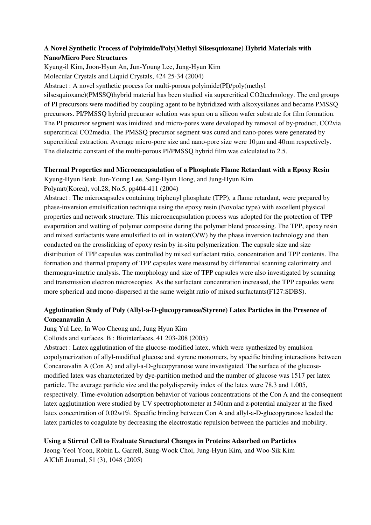## **A Novel Synthetic Process of Polyimide/Poly(Methyl Silsesquioxane) Hybrid Materials with Nano/Micro Pore Structures**

Kyung-il Kim, Joon-Hyun An, Jun-Young Lee, Jung-Hyun Kim

Molecular Crystals and Liquid Crystals, 424 25-34 (2004)

Abstract : A novel synthetic process for multi-porous polyimide(PI)/poly(methyl

silsesquioxane)(PMSSQ)hybrid material has been studied via supercritical CO2technology. The end groups of PI precursors were modified by coupling agent to be hybridized with alkoxysilanes and became PMSSQ precursors. PI/PMSSQ hybrid precursor solution was spun on a silicon wafer substrate for film formation. The PI precursor segment was imidized and micro-pores were developed by removal of by-product, CO2via supercritical CO2media. The PMSSQ precursor segment was cured and nano-pores were generated by supercritical extraction. Average micro-pore size and nano-pore size were 10  $\mu$ m and 40 nm respectively. The dielectric constant of the multi-porous PI/PMSSQ hybrid film was calculated to 2.5.

## **Thermal Properties and Microencapsulation of a Phosphate Flame Retardant with a Epoxy Resin**

Kyung-Hyun Beak, Jun-Young Lee, Sang-Hyun Hong, and Jung-Hyun Kim

Polymrt(Korea), vol.28, No.5, pp404-411 (2004)

Abstract : The microcapsules containing triphenyl phosphate (TPP), a flame retardant, were prepared by phase-inversion emulsification technique using the epoxy resin (Novolac type) with excellent physical properties and network structure. This microencapsulation process was adopted for the protection of TPP evaporation and wetting of polymer composite during the polymer blend processing. The TPP, epoxy resin and mixed surfactants were emulsified to oil in water(O/W) by the phase inversion technology and then conducted on the crosslinking of epoxy resin by in-situ polymerization. The capsule size and size distribution of TPP capsules was controlled by mixed surfactant ratio, concentration and TPP contents. The formation and thermal property of TPP capsules were measured by differential scanning calorimetry and thermogravimetric analysis. The morphology and size of TPP capsules were also investigated by scanning and transmission electron microscopies. As the surfactant concentration increased, the TPP capsules were more spherical and mono-dispersed at the same weight ratio of mixed surfactants(F127:SDBS).

## **Agglutination Study of Poly (Allyl-a-D-glucopyranose/Styrene) Latex Particles in the Presence of Concanavalin A**

Jung Yul Lee, In Woo Cheong and, Jung Hyun Kim

Colloids and surfaces. B : Biointerfaces, 41 203-208 (2005)

Abstract : Latex agglutination of the glucose-modified latex, which were synthesized by emulsion copolymerization of allyl-modified glucose and styrene monomers, by specific binding interactions between Concanavalin A (Con A) and allyl-a-D-glucopyranose were investigated. The surface of the glucosemodified latex was characterized by dye-partition method and the number of glucose was 1517 per latex particle. The average particle size and the polydispersity index of the latex were 78.3 and 1.005, respectively. Time-evolution adsorption behavior of various concentrations of the Con A and the consequent latex agglutination were studied by UV spectrophotometer at 540nm and z-potential analyzer at the fixed latex concentration of 0.02wt%. Specific binding between Con A and allyl-a-D-glucopyranose leaded the latex particles to coagulate by decreasing the electrostatic repulsion between the particles and mobility.

## **Using a Stirred Cell to Evaluate Structural Changes in Proteins Adsorbed on Particles**

Jeong-Yeol Yoon, Robin L. Garrell, Sung-Wook Choi, Jung-Hyun Kim, and Woo-Sik Kim AIChE Journal, 51 (3), 1048 (2005)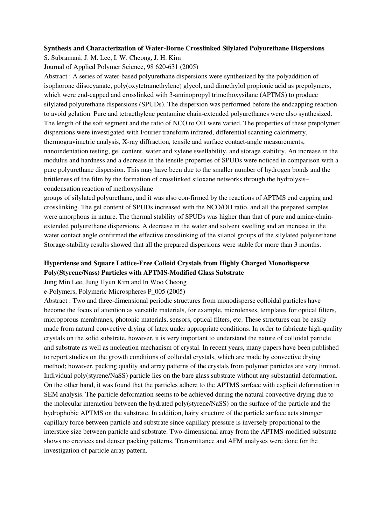#### **Synthesis and Characterization of Water-Borne Crosslinked Silylated Polyurethane Dispersions**

S. Subramani, J. M. Lee, I. W. Cheong, J. H. Kim

Journal of Applied Polymer Science, 98 620-631 (2005)

Abstract : A series of water-based polyurethane dispersions were synthesized by the polyaddition of isophorone diisocyanate, poly(oxytetramethylene) glycol, and dimethylol propionic acid as prepolymers, which were end-capped and crosslinked with 3-aminopropyl trimethoxysilane (APTMS) to produce silylated polyurethane dispersions (SPUDs). The dispersion was performed before the endcapping reaction to avoid gelation. Pure and tetraethylene pentamine chain-extended polyurethanes were also synthesized. The length of the soft segment and the ratio of NCO to OH were varied. The properties of these prepolymer dispersions were investigated with Fourier transform infrared, differential scanning calorimetry, thermogravimetric analysis, X-ray diffraction, tensile and surface contact-angle measurements, nanoindentation testing, gel content, water and xylene swellability, and storage stability. An increase in the modulus and hardness and a decrease in the tensile properties of SPUDs were noticed in comparison with a pure polyurethane dispersion. This may have been due to the smaller number of hydrogen bonds and the brittleness of the film by the formation of crosslinked siloxane networks through the hydrolysis– condensation reaction of methoxysilane

groups of silylated polyurethane, and it was also con-firmed by the reactions of APTMS end capping and crosslinking. The gel content of SPUDs increased with the NCO/OH ratio, and all the prepared samples were amorphous in nature. The thermal stability of SPUDs was higher than that of pure and amine-chainextended polyurethane dispersions. A decrease in the water and solvent swelling and an increase in the water contact angle confirmed the effective crosslinking of the silanol groups of the silylated polyurethane. Storage-stability results showed that all the prepared dispersions were stable for more than 3 months.

## **Hyperdense and Square Lattice-Free Colloid Crystals from Highly Charged Monodisperse Poly(Styrene/Nass) Particles with APTMS-Modified Glass Substrate**

Jung Min Lee, Jung Hyun Kim and In Woo Cheong

e-Polymers, Polymeric Microspheres P\_005 (2005)

Abstract : Two and three-dimensional periodic structures from monodisperse colloidal particles have become the focus of attention as versatile materials, for example, microlenses, templates for optical filters, microporous membranes, photonic materials, sensors, optical filters, etc. These structures can be easily made from natural convective drying of latex under appropriate conditions. In order to fabricate high-quality crystals on the solid substrate, however, it is very important to understand the nature of colloidal particle and substrate as well as nucleation mechanism of crystal. In recent years, many papers have been published to report studies on the growth conditions of colloidal crystals, which are made by convective drying method; however, packing quality and array patterns of the crystals from polymer particles are very limited. Individual poly(styrene/NaSS) particle lies on the bare glass substrate without any substantial deformation. On the other hand, it was found that the particles adhere to the APTMS surface with explicit deformation in SEM analysis. The particle deformation seems to be achieved during the natural convective drying due to the molecular interaction between the hydrated poly(styrene/NaSS) on the surface of the particle and the hydrophobic APTMS on the substrate. In addition, hairy structure of the particle surface acts stronger capillary force between particle and substrate since capillary pressure is inversely proportional to the interstice size between particle and substrate. Two-dimensional array from the APTMS-modified substrate shows no crevices and denser packing patterns. Transmittance and AFM analyses were done for the investigation of particle array pattern.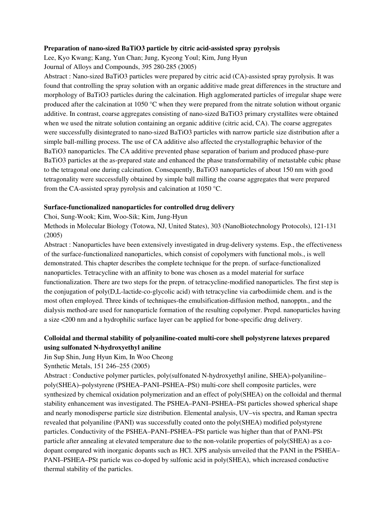### **Preparation of nano-sized BaTiO3 particle by citric acid-assisted spray pyrolysis**

Lee, Kyo Kwang; Kang, Yun Chan; Jung, Kyeong Youl; Kim, Jung Hyun Journal of Alloys and Compounds, 395 280-285 (2005)

Abstract : Nano-sized BaTiO3 particles were prepared by citric acid (CA)-assisted spray pyrolysis. It was found that controlling the spray solution with an organic additive made great differences in the structure and morphology of BaTiO3 particles during the calcination. High agglomerated particles of irregular shape were produced after the calcination at 1050 °C when they were prepared from the nitrate solution without organic additive. In contrast, coarse aggregates consisting of nano-sized BaTiO3 primary crystallites were obtained when we used the nitrate solution containing an organic additive (citric acid, CA). The coarse aggregates were successfully disintegrated to nano-sized BaTiO3 particles with narrow particle size distribution after a simple ball-milling process. The use of CA additive also affected the crystallographic behavior of the BaTiO3 nanoparticles. The CA additive prevented phase separation of barium and produced phase-pure BaTiO3 particles at the as-prepared state and enhanced the phase transformability of metastable cubic phase to the tetragonal one during calcination. Consequently, BaTiO3 nanoparticles of about 150 nm with good tetragonality were successfully obtained by simple ball milling the coarse aggregates that were prepared from the CA-assisted spray pyrolysis and calcination at 1050 °C.

### **Surface-functionalized nanoparticles for controlled drug delivery**

Choi, Sung-Wook; Kim, Woo-Sik; Kim, Jung-Hyun

Methods in Molecular Biology (Totowa, NJ, United States), 303 (NanoBiotechnology Protocols), 121-131 (2005)

Abstract : Nanoparticles have been extensively investigated in drug-delivery systems. Esp., the effectiveness of the surface-functionalized nanoparticles, which consist of copolymers with functional mols., is well demonstrated. This chapter describes the complete technique for the prepn. of surface-functionalized nanoparticles. Tetracycline with an affinity to bone was chosen as a model material for surface functionalization. There are two steps for the prepn. of tetracycline-modified nanoparticles. The first step is the conjugation of poly(D,L-lactide-co-glycolic acid) with tetracycline via carbodiimide chem. and is the most often employed. Three kinds of techniques-the emulsification-diffusion method, nanopptn., and the dialysis method-are used for nanoparticle formation of the resulting copolymer. Prepd. nanoparticles having a size <200 nm and a hydrophilic surface layer can be applied for bone-specific drug delivery.

## **Colloidal and thermal stability of polyaniline-coated multi-core shell polystyrene latexes prepared using sulfonated N-hydroxyethyl aniline**

Jin Sup Shin, Jung Hyun Kim, In Woo Cheong

Synthetic Metals, 151 246–255 (2005)

Abstract : Conductive polymer particles, poly(sulfonated N-hydroxyethyl aniline, SHEA)-polyaniline– poly(SHEA)–polystyrene (PSHEA–PANI–PSHEA–PSt) multi-core shell composite particles, were synthesized by chemical oxidation polymerization and an effect of poly(SHEA) on the colloidal and thermal stability enhancement was investigated. The PSHEA–PANI–PSHEA–PSt particles showed spherical shape and nearly monodisperse particle size distribution. Elemental analysis, UV–vis spectra, and Raman spectra revealed that polyaniline (PANI) was successfully coated onto the poly(SHEA) modified polystyrene particles. Conductivity of the PSHEA–PANI–PSHEA–PSt particle was higher than that of PANI–PSt particle after annealing at elevated temperature due to the non-volatile properties of poly(SHEA) as a codopant compared with inorganic dopants such as HCl. XPS analysis unveiled that the PANI in the PSHEA– PANI–PSHEA–PSt particle was co-doped by sulfonic acid in poly(SHEA), which increased conductive thermal stability of the particles.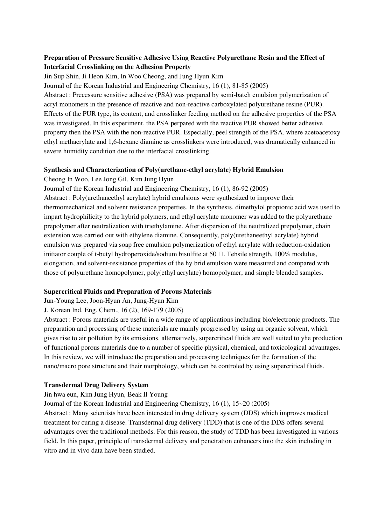## **Preparation of Pressure Sensitive Adhesive Using Reactive Polyurethane Resin and the Effect of Interfacial Crosslinking on the Adhesion Property**

Jin Sup Shin, Ji Heon Kim, In Woo Cheong, and Jung Hyun Kim

Journal of the Korean Industrial and Engineering Chemistry, 16 (1), 81-85 (2005)

Abstract : Precessure sensitive adhesive (PSA) was prepared by semi-batch emulsion polymerization of acryl monomers in the presence of reactive and non-reactive carboxylated polyurethane resine (PUR). Effects of the PUR type, its content, and crosslinker feeding method on the adhesive properties of the PSA was investigated. In this experiment, the PSA perpared with the reactive PUR showed better adhesive property then the PSA with the non-reactive PUR. Especially, peel strength of the PSA. where acetoacetoxy ethyl methacrylate and 1,6-hexane diamine as crosslinkers were introduced, was dramatically enhanced in severe humidity condition due to the interfacial crosslinking.

### **Synthesis and Characterization of Poly(urethane-ethyl acrylate) Hybrid Emulsion**

Cheong In Woo, Lee Jong Gil, Kim Jung Hyun

Journal of the Korean Industrial and Engineering Chemistry, 16 (1), 86-92 (2005)

Abstract : Poly(urethaneethyl acrylate) hybrid emulsions were synthesized to improve their thermomechanical and solvent resistance properties. In the synthesis, dimethylol propionic acid was used to impart hydrophilicity to the hybrid polymers, and ethyl acrylate monomer was added to the polyurethane prepolymer after neutralization with triethylamine. After dispersion of the neutralized prepolymer, chain extension was carried out with ethylene diamine. Consequently, poly(urethaneethyl acrylate) hybrid emulsion was prepared via soap free emulsion polymerization of ethyl acrylate with reduction-oxidation initiator couple of t-butyl hydroperoxide/sodium bisulfite at 50 . Tehsile strength, 100% modulus, elongation, and solvent-resistance properties of the hy brid emulsion were measured and compared with those of polyurethane homopolymer, poly(ethyl acrylate) homopolymer, and simple blended samples.

### **Supercritical Fluids and Preparation of Porous Materials**

Jun-Young Lee, Joon-Hyun An, Jung-Hyun Kim

J. Korean Ind. Eng. Chem., 16 (2), 169-179 (2005)

Abstract : Porous materials are useful in a wide range of applications including bio/electronic products. The preparation and processing of these materials are mainly progressed by using an organic solvent, which gives rise to air pollution by its emissions. alternatively, supercritical fluids are well suited to yhe production of functional porous materials due to a number of specific physical, chemical, and toxicological advantages. In this review, we will introduce the preparation and processing techniques for the formation of the nano/macro pore structure and their morphology, which can be controled by using supercritical fluids.

### **Transdermal Drug Delivery System**

### Jin hwa eun, Kim Jung Hyun, Beak Il Young

Journal of the Korean Industrial and Engineering Chemistry, 16 (1), 15~20 (2005)

Abstract : Many scientists have been interested in drug delivery system (DDS) which improves medical treatment for curing a disease. Transdermal drug delivery (TDD) that is one of the DDS offers several advantages over the traditional methods. For this reason, the study of TDD has been investigated in various field. In this paper, principle of transdermal delivery and penetration enhancers into the skin including in vitro and in vivo data have been studied.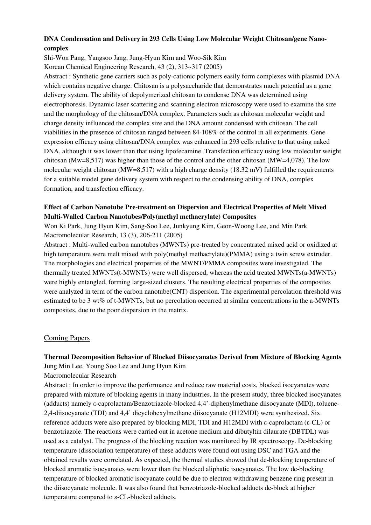## **DNA Condensation and Delivery in 293 Cells Using Low Molecular Weight Chitosan/gene Nanocomplex**

Shi-Won Pang, Yangsoo Jang, Jung-Hyun Kim and Woo-Sik Kim

Korean Chemical Engineering Research, 43 (2), 313~317 (2005)

Abstract : Synthetic gene carriers such as poly-cationic polymers easily form complexes with plasmid DNA which contains negative charge. Chitosan is a polysaccharide that demonstrates much potential as a gene delivery system. The ability of depolymerized chitosan to condense DNA was determined using electrophoresis. Dynamic laser scattering and scanning electron microscopy were used to examine the size and the morphology of the chitosan/DNA complex. Parameters such as chitosan molecular weight and charge density influenced the complex size and the DNA amount condensed with chitosan. The cell viabilities in the presence of chitosan ranged between 84-108% of the control in all experiments. Gene expression efficacy using chitosan/DNA complex was enhanced in 293 cells relative to that using naked DNA, although it was lower than that using lipofecamine. Transfection efficacy using low molecular weight chitosan (Mw=8,517) was higher than those of the control and the other chitosan (MW=4,078). The low molecular weight chitosan (MW=8,517) with a high charge density (18.32 mV) fulfilled the requirements for a suitable model gene delivery system with respect to the condensing ability of DNA, complex formation, and transfection efficacy.

## **Effect of Carbon Nanotube Pre-treatment on Dispersion and Electrical Properties of Melt Mixed Multi-Walled Carbon Nanotubes/Poly(methyl methacrylate) Composites**

Won Ki Park, Jung Hyun Kim, Sang-Soo Lee, Junkyung Kim, Geon-Woong Lee, and Min Park Macromolecular Research, 13 (3), 206-211 (2005)

Abstract : Multi-walled carbon nanotubes (MWNTs) pre-treated by concentrated mixed acid or oxidized at high temperature were melt mixed with poly(methyl methacrylate)(PMMA) using a twin screw extruder. The morphologies and electrical properties of the MWNT/PMMA composites were investigated. The thermally treated MWNTs(t-MWNTs) were well dispersed, whereas the acid treated MWNTs(a-MWNTs) were highly entangled, forming large-sized clusters. The resulting electrical properties of the composites were analyzed in term of the carbon nanotube(CNT) dispersion. The experimental percolation threshold was estimated to be 3 wt% of t-MWNTs, but no percolation occurred at similar concentrations in the a-MWNTs composites, due to the poor dispersion in the matrix.

## Coming Papers

### **Thermal Decomposition Behavior of Blocked Diisocyanates Derived from Mixture of Blocking Agents** Jung Min Lee, Young Soo Lee and Jung Hyun Kim

Macromolecular Research

Abstract : In order to improve the performance and reduce raw material costs, blocked isocyanates were prepared with mixture of blocking agents in many industries. In the present study, three blocked isocyanates (adducts) namely -caprolactam/Benzotriazole-blocked 4,4'-diphenylmethane diisocyanate (MDI), toluene-2,4-diisocyanate (TDI) and 4,4' dicyclohexylmethane diisocyanate (H12MDI) were synthesized. Six reference adducts were also prepared by blocking MDI, TDI and H12MDI with  $\varepsilon$ -caprolactam ( $\varepsilon$ -CL) or benzotriazole. The reactions were carried out in acetone medium and dibutyltin dilaurate (DBTDL) was used as a catalyst. The progress of the blocking reaction was monitored by IR spectroscopy. De-blocking temperature (dissociation temperature) of these adducts were found out using DSC and TGA and the obtained results were correlated. As expected, the thermal studies showed that de-blocking temperature of blocked aromatic isocyanates were lower than the blocked aliphatic isocyanates. The low de-blocking temperature of blocked aromatic isocyanate could be due to electron withdrawing benzene ring present in the diisocyanate molecule. It was also found that benzotriazole-blocked adducts de-block at higher temperature compared to  $\varepsilon$ -CL-blocked adducts.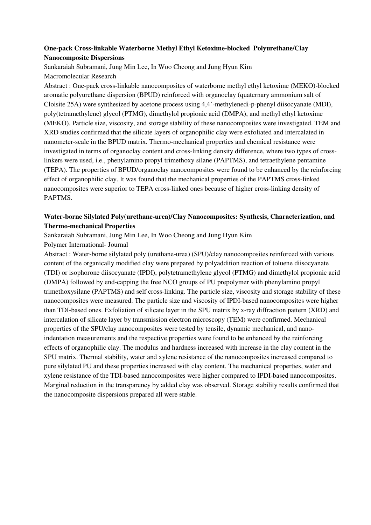## **One-pack Cross-linkable Waterborne Methyl Ethyl Ketoxime-blocked Polyurethane/Clay Nanocomposite Dispersions**

Sankaraiah Subramani, Jung Min Lee, In Woo Cheong and Jung Hyun Kim Macromolecular Research

Abstract : One-pack cross-linkable nanocomposites of waterborne methyl ethyl ketoxime (MEKO)-blocked aromatic polyurethane dispersion (BPUD) reinforced with organoclay (quaternary ammonium salt of Cloisite 25A) were synthesized by acetone process using 4,4'-methylenedi-p-phenyl diisocyanate (MDI), poly(tetramethylene) glycol (PTMG), dimethylol propionic acid (DMPA), and methyl ethyl ketoxime (MEKO). Particle size, viscosity, and storage stability of these nanocomposites were investigated. TEM and XRD studies confirmed that the silicate layers of organophilic clay were exfoliated and intercalated in nanometer-scale in the BPUD matrix. Thermo-mechanical properties and chemical resistance were investigated in terms of organoclay content and cross-linking density difference, where two types of crosslinkers were used, i.e., phenylamino propyl trimethoxy silane (PAPTMS), and tetraethylene pentamine (TEPA). The properties of BPUD/organoclay nanocomposites were found to be enhanced by the reinforcing effect of organophilic clay. It was found that the mechanical properties of the PAPTMS cross-linked nanocomposites were superior to TEPA cross-linked ones because of higher cross-linking density of PAPTMS.

## **Water-borne Silylated Poly(urethane-urea)/Clay Nanocomposites: Synthesis, Characterization, and Thermo-mechanical Properties**

Sankaraiah Subramani, Jung Min Lee, In Woo Cheong and Jung Hyun Kim Polymer International- Journal

Abstract : Water-borne silylated poly (urethane-urea) (SPU)/clay nanocomposites reinforced with various content of the organically modified clay were prepared by polyaddition reaction of toluene diisocyanate (TDI) or isophorone diisocyanate (IPDI), polytetramethylene glycol (PTMG) and dimethylol propionic acid (DMPA) followed by end-capping the free NCO groups of PU prepolymer with phenylamino propyl trimethoxysilane (PAPTMS) and self cross-linking. The particle size, viscosity and storage stability of these nanocomposites were measured. The particle size and viscosity of IPDI-based nanocomposites were higher than TDI-based ones. Exfoliation of silicate layer in the SPU matrix by x-ray diffraction pattern (XRD) and intercalation of silicate layer by transmission electron microscopy (TEM) were confirmed. Mechanical properties of the SPU/clay nanocomposites were tested by tensile, dynamic mechanical, and nanoindentation measurements and the respective properties were found to be enhanced by the reinforcing effects of organophilic clay. The modulus and hardness increased with increase in the clay content in the SPU matrix. Thermal stability, water and xylene resistance of the nanocomposites increased compared to pure silylated PU and these properties increased with clay content. The mechanical properties, water and xylene resistance of the TDI-based nanocomposites were higher compared to IPDI-based nanocomposites. Marginal reduction in the transparency by added clay was observed. Storage stability results confirmed that the nanocomposite dispersions prepared all were stable.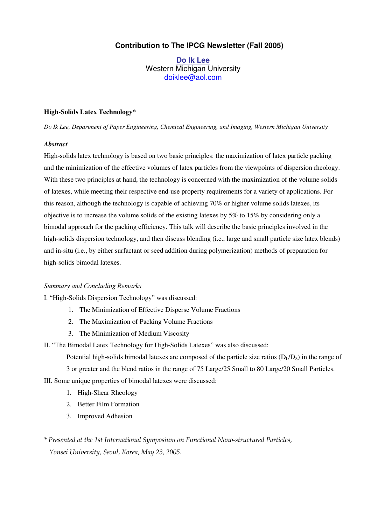## **Contribution to The IPCG Newsletter (Fall 2005)**

**Do Ik Lee** Western Michigan University doiklee@aol.com

#### **High-Solids Latex Technology\***

*Do Ik Lee, Department of Paper Engineering, Chemical Engineering, and Imaging, Western Michigan University*

#### *Abstract*

High-solids latex technology is based on two basic principles: the maximization of latex particle packing and the minimization of the effective volumes of latex particles from the viewpoints of dispersion rheology. With these two principles at hand, the technology is concerned with the maximization of the volume solids of latexes, while meeting their respective end-use property requirements for a variety of applications. For this reason, although the technology is capable of achieving 70% or higher volume solids latexes, its objective is to increase the volume solids of the existing latexes by 5% to 15% by considering only a bimodal approach for the packing efficiency. This talk will describe the basic principles involved in the high-solids dispersion technology, and then discuss blending (i.e., large and small particle size latex blends) and in-situ (i.e., by either surfactant or seed addition during polymerization) methods of preparation for high-solids bimodal latexes.

### *Summary and Concluding Remarks*

I. "High-Solids Dispersion Technology" was discussed:

- 1. The Minimization of Effective Disperse Volume Fractions
- 2. The Maximization of Packing Volume Fractions
- 3. The Minimization of Medium Viscosity
- II. "The Bimodal Latex Technology for High-Solids Latexes" was also discussed:

Potential high-solids bimodal latexes are composed of the particle size ratios  $(D_L/D_S)$  in the range of 3 or greater and the blend ratios in the range of 75 Large/25 Small to 80 Large/20 Small Particles. III. Some unique properties of bimodal latexes were discussed:

- 1. High-Shear Rheology
- 2. Better Film Formation
- 3. Improved Adhesion

*\* Presented at the 1st International Symposium on Functional Nano-structured Particles, Yonsei University, Seoul, Korea, May 23, 2005.*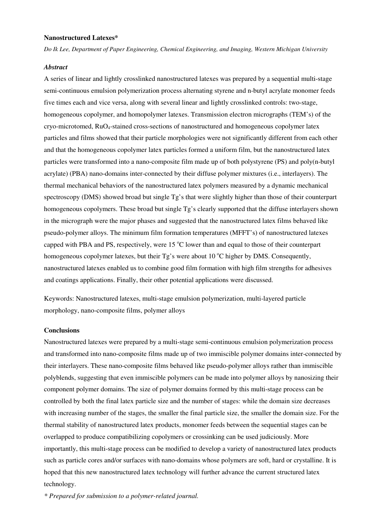#### **Nanostructured Latexes\***

*Do Ik Lee, Department of Paper Engineering, Chemical Engineering, and Imaging, Western Michigan University*

#### *Abstract*

A series of linear and lightly crosslinked nanostructured latexes was prepared by a sequential multi-stage semi-continuous emulsion polymerization process alternating styrene and n-butyl acrylate monomer feeds five times each and vice versa, along with several linear and lightly crosslinked controls: two-stage, homogeneous copolymer, and homopolymer latexes. Transmission electron micrographs (TEM's) of the cryo-microtomed, RuO4-stained cross-sections of nanostructured and homogeneous copolymer latex particles and films showed that their particle morphologies were not significantly different from each other and that the homogeneous copolymer latex particles formed a uniform film, but the nanostructured latex particles were transformed into a nano-composite film made up of both polystyrene (PS) and poly(n-butyl acrylate) (PBA) nano-domains inter-connected by their diffuse polymer mixtures (i.e., interlayers). The thermal mechanical behaviors of the nanostructured latex polymers measured by a dynamic mechanical spectroscopy (DMS) showed broad but single Tg's that were slightly higher than those of their counterpart homogeneous copolymers. These broad but single Tg's clearly supported that the diffuse interlayers shown in the micrograph were the major phases and suggested that the nanostructured latex films behaved like pseudo-polymer alloys. The minimum film formation temperatures (MFFT's) of nanostructured latexes capped with PBA and PS, respectively, were  $15^{\circ}$ C lower than and equal to those of their counterpart homogeneous copolymer latexes, but their  $Tg$ 's were about 10 °C higher by DMS. Consequently, nanostructured latexes enabled us to combine good film formation with high film strengths for adhesives and coatings applications. Finally, their other potential applications were discussed.

Keywords: Nanostructured latexes, multi-stage emulsion polymerization, multi-layered particle morphology, nano-composite films, polymer alloys

### **Conclusions**

Nanostructured latexes were prepared by a multi-stage semi-continuous emulsion polymerization process and transformed into nano-composite films made up of two immiscible polymer domains inter-connected by their interlayers. These nano-composite films behaved like pseudo-polymer alloys rather than immiscible polyblends, suggesting that even immiscible polymers can be made into polymer alloys by nanosizing their component polymer domains. The size of polymer domains formed by this multi-stage process can be controlled by both the final latex particle size and the number of stages: while the domain size decreases with increasing number of the stages, the smaller the final particle size, the smaller the domain size. For the thermal stability of nanostructured latex products, monomer feeds between the sequential stages can be overlapped to produce compatibilizing copolymers or crossinking can be used judiciously. More importantly, this multi-stage process can be modified to develop a variety of nanostructured latex products such as particle cores and/or surfaces with nano-domains whose polymers are soft, hard or crystalline. It is hoped that this new nanostructured latex technology will further advance the current structured latex technology.

*\* Prepared for submission to a polymer-related journal.*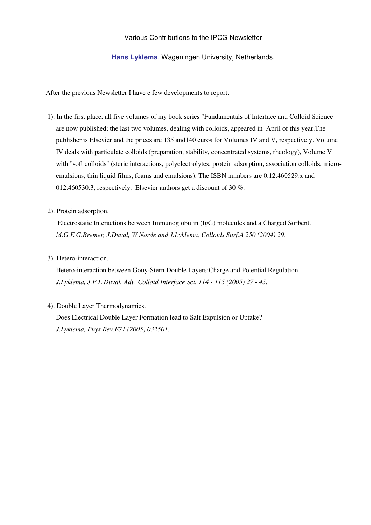### Various Contributions to the IPCG Newsletter

### **Hans Lyklema**. Wageningen University, Netherlands.

After the previous Newsletter I have e few developments to report.

1). In the first place, all five volumes of my book series "Fundamentals of Interface and Colloid Science" are now published; the last two volumes, dealing with colloids, appeared in April of this year.The publisher is Elsevier and the prices are 135 and140 euros for Volumes IV and V, respectively. Volume IV deals with particulate colloids (preparation, stability, concentrated systems, rheology), Volume V with "soft colloids" (steric interactions, polyelectrolytes, protein adsorption, association colloids, microemulsions, thin liquid films, foams and emulsions). The ISBN numbers are 0.12.460529.x and 012.460530.3, respectively. Elsevier authors get a discount of 30 %.

### 2). Protein adsorption.

Electrostatic Interactions between Immunoglobulin (IgG) molecules and a Charged Sorbent. *M.G.E.G.Bremer, J.Duval, W.Norde and J.Lyklema, Colloids Surf.A 250 (2004) 29.*

### 3). Hetero-interaction.

Hetero-interaction between Gouy-Stern Double Layers:Charge and Potential Regulation. *J.Lyklema, J.F.L Duval, Adv. Colloid Interface Sci. 114 - 115 (2005) 27 - 45.*

### 4). Double Layer Thermodynamics.

Does Electrical Double Layer Formation lead to Salt Expulsion or Uptake? *J.Lyklema, Phys.Rev.E71 (2005).032501.*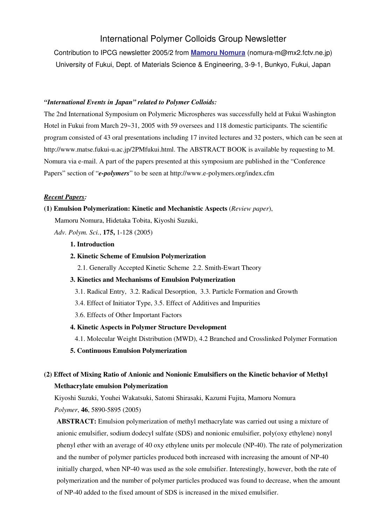## International Polymer Colloids Group Newsletter

Contribution to IPCG newsletter 2005/2 from **Mamoru Nomura** (nomura-m@mx2.fctv.ne.jp) University of Fukui, Dept. of Materials Science & Engineering, 3-9-1, Bunkyo, Fukui, Japan

### *"International Events in Japan" related to Polymer Colloids:*

The 2nd International Symposium on Polymeric Microspheres was successfully held at Fukui Washington Hotel in Fukui from March 29~31, 2005 with 59 oversees and 118 domestic participants. The scientific program consisted of 43 oral presentations including 17 invited lectures and 32 posters, which can be seen at http://www.matse.fukui-u.ac.jp/2PMfukui.html. The ABSTRACT BOOK is available by requesting to M. Nomura via e-mail. A part of the papers presented at this symposium are published in the "Conference Papers" section of "*e-polymers*" to be seen at http://www.e-polymers.org/index.cfm

#### *Recent Papers:*

#### **(1) Emulsion Polymerization: Kinetic and Mechanistic Aspects** (*Review paper*),

Mamoru Nomura, Hidetaka Tobita, Kiyoshi Suzuki,

*Adv. Polym. Sci.*, **175,** 1-128 (2005)

### **1. Introduction**

#### **2. Kinetic Scheme of Emulsion Polymerization**

2.1. Generally Accepted Kinetic Scheme 2.2. Smith-Ewart Theory

#### **3. Kinetics and Mechanisms of Emulsion Polymerization**

- 3.1. Radical Entry, 3.2. Radical Desorption, 3.3. Particle Formation and Growth
- 3.4. Effect of Initiator Type, 3.5. Effect of Additives and Impurities
- 3.6. Effects of Other Important Factors

#### **4. Kinetic Aspects in Polymer Structure Development**

4.1. Molecular Weight Distribution (MWD), 4.2 Branched and Crosslinked Polymer Formation

**5. Continuous Emulsion Polymerization**

## **(2) Effect of Mixing Ratio of Anionic and Nonionic Emulsifiers on the Kinetic behavior of Methyl Methacrylate emulsion Polymerization**

Kiyoshi Suzuki, Youhei Wakatsuki, Satomi Shirasaki, Kazumi Fujita, Mamoru Nomura *Polymer*, **46**, 5890-5895 (2005)

**ABSTRACT:** Emulsion polymerization of methyl methacrylate was carried out using a mixture of anionic emulsifier, sodium dodecyl sulfate (SDS) and nonionic emulsifier, poly(oxy ethylene) nonyl phenyl ether with an average of 40 oxy ethylene units per molecule (NP-40). The rate of polymerization and the number of polymer particles produced both increased with increasing the amount of NP-40 initially charged, when NP-40 was used as the sole emulsifier. Interestingly, however, both the rate of polymerization and the number of polymer particles produced was found to decrease, when the amount of NP-40 added to the fixed amount of SDS is increased in the mixed emulsifier.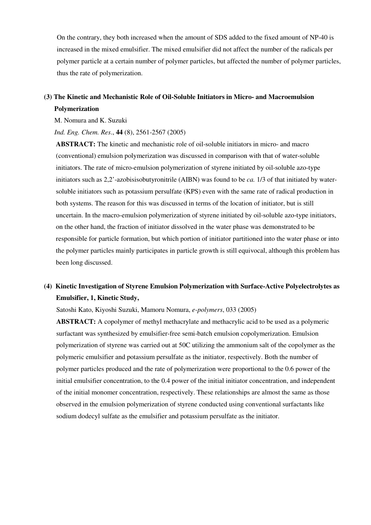On the contrary, they both increased when the amount of SDS added to the fixed amount of NP-40 is increased in the mixed emulsifier. The mixed emulsifier did not affect the number of the radicals per polymer particle at a certain number of polymer particles, but affected the number of polymer particles, thus the rate of polymerization.

## **(3) The Kinetic and Mechanistic Role of Oil-Soluble Initiators in Micro- and Macroemulsion**

#### **Polymerization**

M. Nomura and K. Suzuki

*Ind. Eng. Chem. Res*., **44** (8), 2561-2567 (2005)

**ABSTRACT:** The kinetic and mechanistic role of oil-soluble initiators in micro- and macro (conventional) emulsion polymerization was discussed in comparison with that of water-soluble initiators. The rate of micro-emulsion polymerization of styrene initiated by oil-soluble azo-type initiators such as 2,2'-azobisisobutyronitrile (AIBN) was found to be *ca.* 1/3 of that initiated by watersoluble initiators such as potassium persulfate (KPS) even with the same rate of radical production in both systems. The reason for this was discussed in terms of the location of initiator, but is still uncertain. In the macro-emulsion polymerization of styrene initiated by oil-soluble azo-type initiators, on the other hand, the fraction of initiator dissolved in the water phase was demonstrated to be responsible for particle formation, but which portion of initiator partitioned into the water phase or into the polymer particles mainly participates in particle growth is still equivocal, although this problem has been long discussed.

## **(4) Kinetic Investigation of Styrene Emulsion Polymerization with Surface-Active Polyelectrolytes as Emulsifier, 1, Kinetic Study,**

Satoshi Kato, Kiyoshi Suzuki, Mamoru Nomura, *e-polymers*, 033 (2005)

**ABSTRACT:** A copolymer of methyl methacrylate and methacrylic acid to be used as a polymeric surfactant was synthesized by emulsifier-free semi-batch emulsion copolymerization. Emulsion polymerization of styrene was carried out at 50C utilizing the ammonium salt of the copolymer as the polymeric emulsifier and potassium persulfate as the initiator, respectively. Both the number of polymer particles produced and the rate of polymerization were proportional to the 0.6 power of the initial emulsifier concentration, to the 0.4 power of the initial initiator concentration, and independent of the initial monomer concentration, respectively. These relationships are almost the same as those observed in the emulsion polymerization of styrene conducted using conventional surfactants like sodium dodecyl sulfate as the emulsifier and potassium persulfate as the initiator.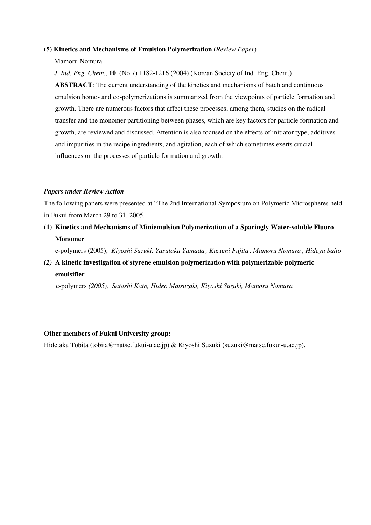### **(5) Kinetics and Mechanisms of Emulsion Polymerization** (*Review Paper*)

Mamoru Nomura

*J. Ind. Eng. Chem.*, **10**, (No.7) 1182-1216 (2004) (Korean Society of Ind. Eng. Chem.)

**ABSTRACT**: The current understanding of the kinetics and mechanisms of batch and continuous emulsion homo- and co-polymerizations is summarized from the viewpoints of particle formation and growth. There are numerous factors that affect these processes; among them, studies on the radical transfer and the monomer partitioning between phases, which are key factors for particle formation and growth, are reviewed and discussed. Attention is also focused on the effects of initiator type, additives and impurities in the recipe ingredients, and agitation, each of which sometimes exerts crucial influences on the processes of particle formation and growth.

### *Papers under Review Action*

The following papers were presented at "The 2nd International Symposium on Polymeric Microspheres held in Fukui from March 29 to 31, 2005.

**(1) Kinetics and Mechanisms of Miniemulsion Polymerization of a Sparingly Water-soluble Fluoro Monomer**

e-polymers (2005), *Kiyoshi Suzuki, Yasutaka Yamada , Kazumi Fujita , Mamoru Nomura* , *Hideya Saito*

# *(2)* **A kinetic investigation of styrene emulsion polymerization with polymerizable polymeric emulsifier**

e-polymers *(2005), Satoshi Kato, Hideo Matsuzaki, Kiyoshi Suzuki, Mamoru Nomura*

### **Other members of Fukui University group:**

Hidetaka Tobita (tobita@matse.fukui-u.ac.jp) & Kiyoshi Suzuki (suzuki@matse.fukui-u.ac.jp),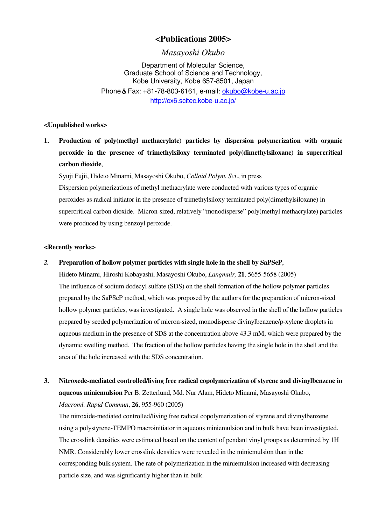## **<Publications 2005>**

### *Masayoshi Okubo*

Department of Molecular Science, Graduate School of Science and Technology, Kobe University, Kobe 657-8501, Japan Phone & Fax: +81-78-803-6161, e-mail: <u>okubo@kobe-u.ac.jp</u> http://cx6.scitec.kobe-u.ac.jp/

#### **<Unpublished works>**

**1. Production of poly(methyl methacrylate) particles by dispersion polymerization with organic peroxide in the presence of trimethylsiloxy terminated poly(dimethylsiloxane) in supercritical carbon dioxide**,

Syuji Fujii, Hideto Minami, Masayoshi Okubo, *Colloid Polym. Sci*., in press Dispersion polymerizations of methyl methacrylate were conducted with various types of organic peroxides as radical initiator in the presence of trimethylsiloxy terminated poly(dimethylsiloxane) in supercritical carbon dioxide. Micron-sized, relatively "monodisperse" poly(methyl methacrylate) particles were produced by using benzoyl peroxide.

#### **<Recently works>**

*2.* **Preparation of hollow polymer particles with single hole in the shell by SaPSeP**,

Hideto Minami, Hiroshi Kobayashi, Masayoshi Okubo, *Langmuir,* **21**, 5655-5658 (2005) The influence of sodium dodecyl sulfate (SDS) on the shell formation of the hollow polymer particles prepared by the SaPSeP method, which was proposed by the authors for the preparation of micron-sized hollow polymer particles, was investigated. A single hole was observed in the shell of the hollow particles prepared by seeded polymerization of micron-sized, monodisperse divinylbenzene/p-xylene droplets in aqueous medium in the presence of SDS at the concentration above 43.3 mM, which were prepared by the dynamic swelling method. The fraction of the hollow particles having the single hole in the shell and the area of the hole increased with the SDS concentration.

**3. Nitroxede-mediated controlled/living free radical copolymerization of styrene and divinylbenzene in aqueous miniemulsion** Per B. Zetterlund, Md. Nur Alam, Hideto Minami, Masayoshi Okubo, *Macroml. Rapid Commun*, **26**, 955-960 (2005)

The nitroxide-mediated controlled/living free radical copolymerization of styrene and divinylbenzene using a polystyrene-TEMPO macroinitiator in aqueous miniemulsion and in bulk have been investigated. The crosslink densities were estimated based on the content of pendant vinyl groups as determined by 1H NMR. Considerably lower crosslink densities were revealed in the miniemulsion than in the corresponding bulk system. The rate of polymerization in the miniemulsion increased with decreasing particle size, and was significantly higher than in bulk.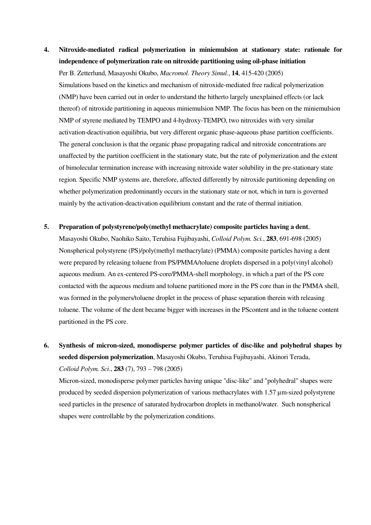**4. Nitroxide-mediated radical polymerization in miniemulsion at stationary state: rationale for independence of polymerization rate on nitroxide partitioning using oil-phase initiation**

Per B. Zetterlund, Masayoshi Okubo, *Macromol. Theory Simul.*, **14**, 415-420 (2005) Simulations based on the kinetics and mechanism of nitroxide-mediated free radical polymerization (NMP) have been carried out in order to understand the hitherto largely unexplained effects (or lack thereof) of nitroxide partitioning in aqueous miniemulsion NMP. The focus has been on the miniemulsion NMP of styrene mediated by TEMPO and 4-hydroxy-TEMPO, two nitroxides with very similar activation-deactivation equilibria, but very different organic phase-aqueous phase partition coefficients. The general conclusion is that the organic phase propagating radical and nitroxide concentrations are unaffected by the partition coefficient in the stationary state, but the rate of polymerization and the extent of bimolecular termination increase with increasing nitroxide water solubility in the pre-stationary state region. Specific NMP systems are, therefore, affected differently by nitroxide partitioning depending on whether polymerization predominantly occurs in the stationary state or not, which in turn is governed mainly by the activation-deactivation equilibrium constant and the rate of thermal initiation.

#### **5. Preparation of polystyrene/poly(methyl methacrylate) composite particles having a dent**,

Masayoshi Okubo, Naohiko Saito, Teruhisa Fujibayashi, *Colloid Polym. Sci.*, **283**, 691-698 (2005) Nonspherical polystyrene (PS)/poly(methyl methacrylate) (PMMA) composite particles having a dent were prepared by releasing toluene from PS/PMMA/toluene droplets dispersed in a poly(vinyl alcohol) aqueous medium. An ex-centered PS-core/PMMA-shell morphology, in which a part of the PS core contacted with the aqueous medium and toluene partitioned more in the PS core than in the PMMA shell, was formed in the polymers/toluene droplet in the process of phase separation therein with releasing toluene. The volume of the dent became bigger with increases in the PScontent and in the toluene content partitioned in the PS core.

**6. Synthesis of micron-sized, monodisperse polymer particles of disc-like and polyhedral shapes by seeded dispersion polymerization**, Masayoshi Okubo, Teruhisa Fujibayashi, Akinori Terada, *Colloid Polym. Sci*., **283** (7), 793 – 798 (2005)

Micron-sized, monodisperse polymer particles having unique "disc-like" and "polyhedral" shapes were produced by seeded dispersion polymerization of various methacrylates with 1.57 µm-sized polystyrene seed particles in the presence of saturated hydrocarbon droplets in methanol/water. Such nonspherical shapes were controllable by the polymerization conditions.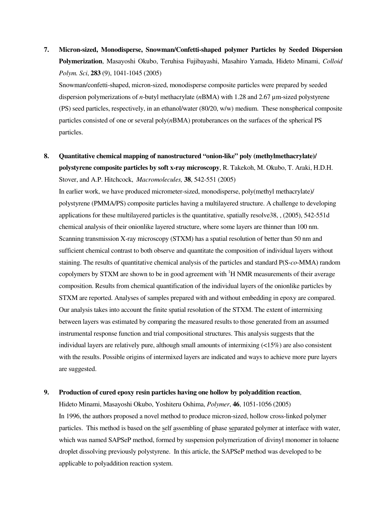**7. Micron-sized, Monodisperse, Snowman/Confetti-shaped polymer Particles by Seeded Dispersion Polymerization**, Masayoshi Okubo, Teruhisa Fujibayashi, Masahiro Yamada, Hideto Minami, *Colloid Polym. Sci*, **283** (9), 1041-1045 (2005)

Snowman/confetti-shaped, micron-sized, monodisperse composite particles were prepared by seeded dispersion polymerizations of *n*-butyl methacrylate (*n*BMA) with 1.28 and 2.67 µm-sized polystyrene (PS) seed particles, respectively, in an ethanol/water (80/20, w/w) medium. These nonspherical composite particles consisted of one or several poly(*n*BMA) protuberances on the surfaces of the spherical PS particles.

**8. Quantitative chemical mapping of nanostructured "onion-like" poly (methylmethacrylate)/ polystyrene composite particles by soft x-ray microscopy**, R. Takekoh, M. Okubo, T. Araki, H.D.H. Stover, and A.P. Hitchcock, *Macromolecules,* **38**, 542-551 (2005)

In earlier work, we have produced micrometer-sized, monodisperse, poly(methyl methacrylate)/ polystyrene (PMMA/PS) composite particles having a multilayered structure. A challenge to developing applications for these multilayered particles is the quantitative, spatially resolve38, , (2005), 542-551d chemical analysis of their onionlike layered structure, where some layers are thinner than 100 nm. Scanning transmission X-ray microscopy (STXM) has a spatial resolution of better than 50 nm and sufficient chemical contrast to both observe and quantitate the composition of individual layers without staining. The results of quantitative chemical analysis of the particles and standard P(S-*co*-MMA) random copolymers by STXM are shown to be in good agreement with  ${}^{1}H$  NMR measurements of their average composition. Results from chemical quantification of the individual layers of the onionlike particles by STXM are reported. Analyses of samples prepared with and without embedding in epoxy are compared. Our analysis takes into account the finite spatial resolution of the STXM. The extent of intermixing between layers was estimated by comparing the measured results to those generated from an assumed instrumental response function and trial compositional structures. This analysis suggests that the individual layers are relatively pure, although small amounts of intermixing (<15%) are also consistent with the results. Possible origins of intermixed layers are indicated and ways to achieve more pure layers are suggested.

#### **9. Production of cured epoxy resin particles having one hollow by polyaddition reaction**,

Hideto Minami, Masayoshi Okubo, Yoshiteru Oshima, *Polymer*, **46**, 1051-1056 (2005) In 1996, the authors proposed a novel method to produce micron-sized, hollow cross-linked polymer particles. This method is based on the self assembling of phase separated polymer at interface with water, which was named SAPSeP method, formed by suspension polymerization of divinyl monomer in toluene droplet dissolving previously polystyrene. In this article, the SAPSeP method was developed to be applicable to polyaddition reaction system.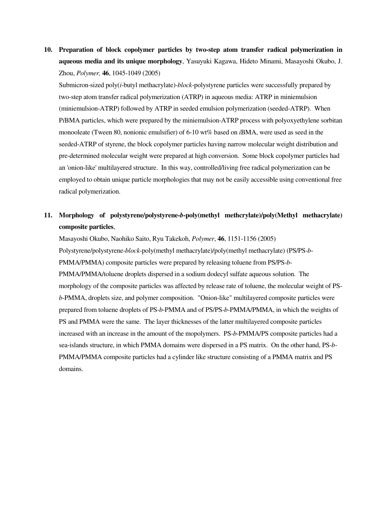# **10. Preparation of block copolymer particles by two-step atom transfer radical polymerization in aqueous media and its unique morphology**, Yasuyuki Kagawa, Hideto Minami, Masayoshi Okubo, J. Zhou, *Polymer,* **46**, 1045-1049 (2005)

Submicron-sized poly(*i*-butyl methacrylate)-*block*-polystyrene particles were successfully prepared by two-step atom transfer radical polymerization (ATRP) in aqueous media: ATRP in miniemulsion (miniemulsion-ATRP) followed by ATRP in seeded emulsion polymerization (seeded-ATRP). When P*i*BMA particles, which were prepared by the miniemulsion-ATRP process with polyoxyethylene sorbitan monooleate (Tween 80, nonionic emulsifier) of 6-10 wt% based on *i*BMA, were used as seed in the seeded-ATRP of styrene, the block copolymer particles having narrow molecular weight distribution and pre-determined molecular weight were prepared at high conversion. Some block copolymer particles had an 'onion-like' multilayered structure. In this way, controlled/living free radical polymerization can be employed to obtain unique particle morphologies that may not be easily accessible using conventional free radical polymerization.

## **11. Morphology of polystyrene/polystyrene-***b***-poly(methyl methcrylate)/poly(Methyl methacrylate) composite particles**,

Masayoshi Okubo, Naohiko Saito, Ryu Takekoh, *Polymer*, **46**, 1151-1156 (2005) Polystyrene/polystyrene-*block*-poly(methyl methacrylate)/poly(methyl methacrylate) (PS/PS-*b*-PMMA/PMMA) composite particles were prepared by releasing toluene from PS/PS-*b*-PMMA/PMMA/toluene droplets dispersed in a sodium dodecyl sulfate aqueous solution. The morphology of the composite particles was affected by release rate of toluene, the molecular weight of PS*b*-PMMA, droplets size, and polymer composition. "Onion-like" multilayered composite particles were prepared from toluene droplets of PS-*b*-PMMA and of PS/PS-*b*-PMMA/PMMA, in which the weights of PS and PMMA were the same. The layer thicknesses of the latter multilayered composite particles increased with an increase in the amount of the mopolymers. PS-*b*-PMMA/PS composite particles had a sea-islands structure, in which PMMA domains were dispersed in a PS matrix. On the other hand, PS-*b*-PMMA/PMMA composite particles had a cylinder like structure consisting of a PMMA matrix and PS domains.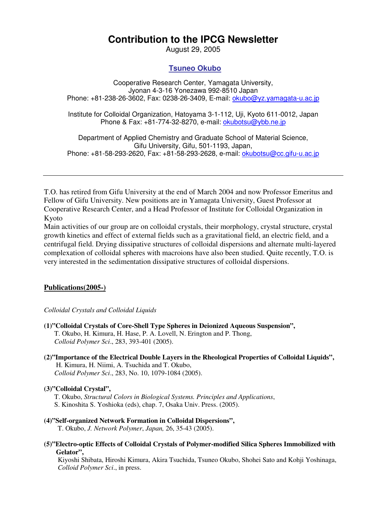# **Contribution to the IPCG Newsletter**

August 29, 2005

## **Tsuneo Okubo**

Cooperative Research Center, Yamagata University, Jyonan 4-3-16 Yonezawa 992-8510 Japan Phone: +81-238-26-3602, Fax: 0238-26-3409, E-mail: okubo@yz.yamagata-u.ac.jp

Institute for Colloidal Organization, Hatoyama 3-1-112, Uji, Kyoto 611-0012, Japan Phone & Fax: +81-774-32-8270, e-mail: okubotsu@ybb.ne.jp

Department of Applied Chemistry and Graduate School of Material Science, Gifu University, Gifu, 501-1193, Japan, Phone: +81-58-293-2620, Fax: +81-58-293-2628, e-mail: okubotsu@cc.gifu-u.ac.jp

T.O. has retired from Gifu University at the end of March 2004 and now Professor Emeritus and Fellow of Gifu University. New positions are in Yamagata University, Guest Professor at Cooperative Research Center, and a Head Professor of Institute for Colloidal Organization in Kyoto

Main activities of our group are on colloidal crystals, their morphology, crystal structure, crystal growth kinetics and effect of external fields such as a gravitational field, an electric field, and a centrifugal field. Drying dissipative structures of colloidal dispersions and alternate multi-layered complexation of colloidal spheres with macroions have also been studied. Quite recently, T.O. is very interested in the sedimentation dissipative structures of colloidal dispersions.

### **Publications(2005-)**

*Colloidal Crystals and Colloidal Liquids*

- **(1)"Colloidal Crystals of Core-Shell Type Spheres in Deionized Aqueous Suspension",** T. Okubo, H. Kimura, H. Hase, P. A. Lovell, N. Erington and P. Thong, *Colloid Polymer Sci*., 283, 393-401 (2005).
- **(2)"Importance of the Electrical Double Layers in the Rheological Properties of Colloidal Liquids",** H. Kimura, H. Niimi, A. Tsuchida and T. Okubo, *Colloid Polymer Sci*., 283, No. 10, 1079-1084 (2005).

### **(3)"Colloidal Crystal",**

T. Okubo, *Structural Colors in Biological Systems. Principles and Applications*, S. Kinoshita S. Yoshioka (eds), chap. 7, Osaka Univ. Press. (2005).

**(4)"Self-organized Network Formation in Colloidal Dispersions",**

T. Okubo, *J. Network Polymer*, *Japan,* 26, 35-43 (2005).

**(5)"Electro-optic Effects of Colloidal Crystals of Polymer-modified Silica Spheres Immobilized with Gelator",**

Kiyoshi Shibata, Hiroshi Kimura, Akira Tsuchida, Tsuneo Okubo, Shohei Sato and Kohji Yoshinaga, *Colloid Polymer Sci*., in press.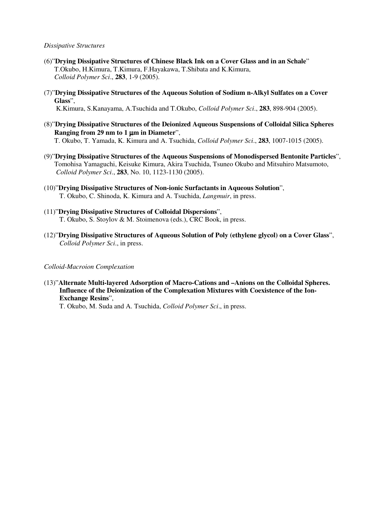#### *Dissipative Structures*

- (6)"**Drying Dissipative Structures of Chinese Black Ink on a Cover Glass and in an Schale**" T.Okubo, H.Kimura, T.Kimura, F.Hayakawa, T.Shibata and K.Kimura, *Colloid Polymer Sci*., **283**, 1-9 (2005).
- (7)"**Drying Dissipative Structures of the Aqueous Solution of Sodium n-Alkyl Sulfates on a Cover Glass**",

K.Kimura, S.Kanayama, A.Tsuchida and T.Okubo, *Colloid Polymer Sci*., **283**, 898-904 (2005).

- (8)"**Drying Dissipative Structures of the Deionized Aqueous Suspensions of Colloidal Silica Spheres Ranging from 29 nm to 1** µ**m in Diameter**", T. Okubo, T. Yamada, K. Kimura and A. Tsuchida, *Colloid Polymer Sci*., **283**, 1007-1015 (2005).
- (9)"**Drying Dissipative Structures of the Aqueous Suspensions of Monodispersed Bentonite Particles**", Tomohisa Yamaguchi, Keisuke Kimura, Akira Tsuchida, Tsuneo Okubo and Mitsuhiro Matsumoto, *Colloid Polymer Sci*., **283**, No. 10, 1123-1130 (2005).
- (10)"**Drying Dissipative Structures of Non-ionic Surfactants in Aqueous Solution**", T. Okubo, C. Shinoda, K. Kimura and A. Tsuchida, *Langmuir*, in press.
- (11)"**Drying Dissipative Structures of Colloidal Dispersions**", T. Okubo, S. Stoylov & M. Stoimenova (eds.), CRC Book, in press.
- (12)"**Drying Dissipative Structures of Aqueous Solution of Poly (ethylene glycol) on a Cover Glass**", *Colloid Polymer Sci*., in press.

### *Colloid-Macroion Complexation*

(13)"**Alternate Multi-layered Adsorption of Macro-Cations and –Anions on the Colloidal Spheres. Influence of the Deionization of the Complexation Mixtures with Coexistence of the Ion-Exchange Resins**",

T. Okubo, M. Suda and A. Tsuchida, *Colloid Polymer Sci*., in press.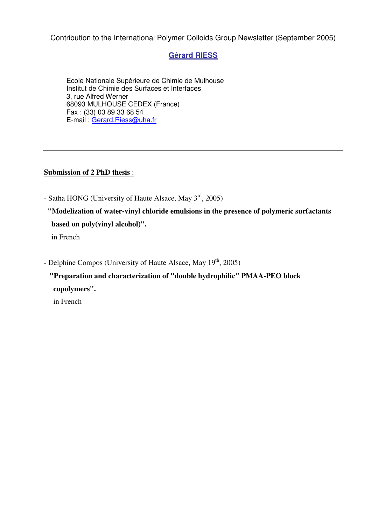Contribution to the International Polymer Colloids Group Newsletter (September 2005)

## **Gérard RIESS**

Ecole Nationale Supérieure de Chimie de Mulhouse Institut de Chimie des Surfaces et Interfaces 3, rue Alfred Werner 68093 MULHOUSE CEDEX (France) Fax : (33) 03 89 33 68 54 E-mail : Gerard.Riess@uha.fr

## **Submission of 2 PhD thesis** :

- Satha HONG (University of Haute Alsace, May 3<sup>rd</sup>, 2005)
- **"Modelization of water-vinyl chloride emulsions in the presence of polymeric surfactants based on poly(vinyl alcohol)".**

in French

- Delphine Compos (University of Haute Alsace, May 19<sup>th</sup>, 2005)
	- **"Preparation and characterization of "double hydrophilic" PMAA-PEO block copolymers".**

in French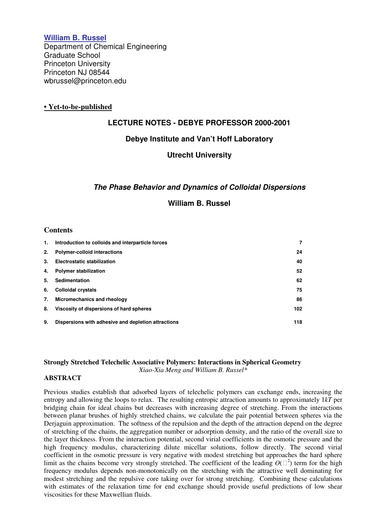### **William B. Russel**

Department of Chemical Engineering Graduate School Princeton University Princeton NJ 08544 wbrussel@princeton.edu

### **• Yet-to-be-published**

### **LECTURE NOTES - DEBYE PROFESSOR 2000-2001**

### **Debye Institute and Van't Hoff Laboratory**

## **Utrecht University**

### *The Phase Behavior and Dynamics of Colloidal Dispersions*

## **William B. Russel**

### **Contents**

| 1. | Introduction to colloids and interparticle forces   |     |
|----|-----------------------------------------------------|-----|
| 2. | <b>Polymer-colloid interactions</b>                 | 24  |
| 3. | <b>Electrostatic stabilization</b>                  | 40  |
| 4. | <b>Polymer stabilization</b>                        | 52  |
| 5. | Sedimentation                                       | 62  |
| 6. | <b>Colloidal crystals</b>                           | 75  |
| 7. | Micromechanics and rheology                         | 86  |
| 8. | Viscosity of dispersions of hard spheres            | 102 |
| 9. | Dispersions with adhesive and depletion attractions | 118 |

### **Strongly Stretched Telechelic Associative Polymers: Interactions in Spherical Geometry**

*Xiao-Xia Meng and William B. Russel\**

### **ABSTRACT**

Previous studies establish that adsorbed layers of telechelic polymers can exchange ends, increasing the entropy and allowing the loops to relax. The resulting entropic attraction amounts to approximately 1*kT* per bridging chain for ideal chains but decreases with increasing degree of stretching. From the interactions between planar brushes of highly stretched chains, we calculate the pair potential between spheres via the Deriaguin approximation. The softness of the repulsion and the depth of the attraction depend on the degree of stretching of the chains, the aggregation number or adsorption density, and the ratio of the overall size to the layer thickness. From the interaction potential, second virial coefficients in the osmotic pressure and the high frequency modulus, characterizing dilute micellar solutions, follow directly. The second virial coefficient in the osmotic pressure is very negative with modest stretching but approaches the hard sphere limit as the chains become very strongly stretched. The coefficient of the leading  $O(-2)$  term for the high frequency modulus depends non-monotonically on the stretching with the attractive well dominating for modest stretching and the repulsive core taking over for strong stretching. Combining these calculations with estimates of the relaxation time for end exchange should provide useful predictions of low shear viscosities for these Maxwellian fluids.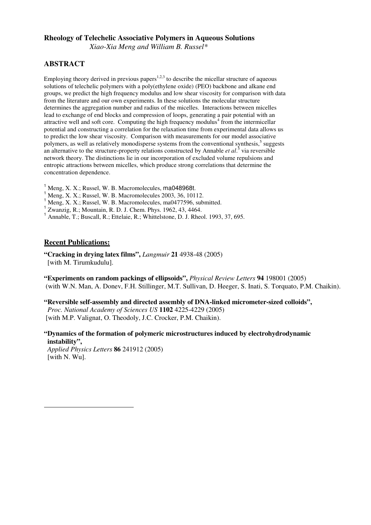# **Rheology of Telechelic Associative Polymers in Aqueous Solutions**

*Xiao-Xia Meng and William B. Russel\**

## **ABSTRACT**

Employing theory derived in previous papers<sup>1,2,3</sup> to describe the micellar structure of aqueous solutions of telechelic polymers with a poly(ethylene oxide) (PEO) backbone and alkane end groups, we predict the high frequency modulus and low shear viscosity for comparison with data from the literature and our own experiments. In these solutions the molecular structure determines the aggregation number and radius of the micelles. Interactions between micelles lead to exchange of end blocks and compression of loops, generating a pair potential with an attractive well and soft core. Computing the high frequency modulus<sup>4</sup> from the intermicellar potential and constructing a correlation for the relaxation time from experimental data allows us to predict the low shear viscosity. Comparison with measurements for our model associative polymers, as well as relatively monodisperse systems from the conventional synthesis,<sup>5</sup> suggests an alternative to the structure-property relations constructed by Annable *et al*. 5 via reversible network theory. The distinctions lie in our incorporation of excluded volume repulsions and entropic attractions between micelles, which produce strong correlations that determine the concentration dependence.

- $<sup>1</sup>$  Meng, X. X.; Russel, W. B. Macromolecules, ma048968t.</sup>
- <sup>1</sup> Meng, X. X.; Russel, W. B. Macromolecules 2003, 36, 10112.
- <sup>1</sup> Meng, X. X.; Russel, W. B. Macromolecules, ma0477596, submitted.
- 1 Zwanzig, R.; Mountain, R. D. J. Chem. Phys. 1962, 43, 4464.
- <sup>1</sup> Annable, T.; Buscall, R.; Ettelaie, R.; Whittelstone, D. J. Rheol. 1993, 37, 695.

# **Recent Publications:**

**"Cracking in drying latex films",** *Langmuir* **21** 4938-48 (2005) [with M. Tirumkudulu].

**"Experiments on random packings of ellipsoids",** *Physical Review Letters* **94** 198001 (2005) (with W.N. Man, A. Donev, F.H. Stillinger, M.T. Sullivan, D. Heeger, S. Inati, S. Torquato, P.M. Chaikin).

#### **"Reversible self-assembly and directed assembly of DNA-linked micrometer-sized colloids",**

*Proc. National Academy of Sciences US* **1102** 4225-4229 (2005) [with M.P. Valignat, O. Theodoly, J.C. Crocker, P.M. Chaikin).

**"Dynamics of the formation of polymeric microstructures induced by electrohydrodynamic instability",** *Applied Physics Letters* **86** 241912 (2005)

[with N. Wu].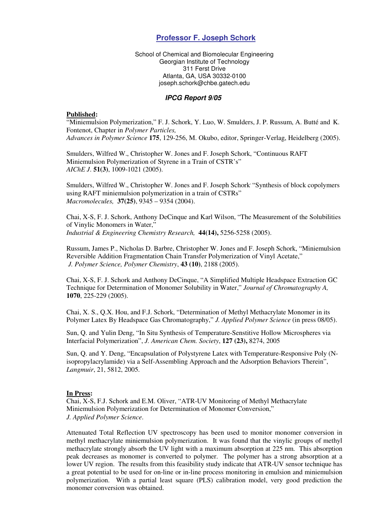# **Professor F. Joseph Schork**

School of Chemical and Biomolecular Engineering Georgian Institute of Technology 311 Ferst Drive Atlanta, GA, USA 30332-0100 joseph.schork@chbe.gatech.edu

#### *IPCG Report 9/05*

#### **Published:**

"Miniemulsion Polymerization," F. J. Schork, Y. Luo, W. Smulders, J. P. Russum, A. Butté and K. Fontenot, Chapter in *Polymer Particles, Advances in Polymer Science* **175**, 129-256, M. Okubo, editor, Springer-Verlag, Heidelberg (2005).

Smulders, Wilfred W., Christopher W. Jones and F. Joseph Schork, "Continuous RAFT Miniemulsion Polymerization of Styrene in a Train of CSTR's" *AIChE J*. **51(3)**, 1009-1021 (2005).

Smulders, Wilfred W., Christopher W. Jones and F. Joseph Schork "Synthesis of block copolymers using RAFT miniemulsion polymerization in a train of CSTRs" *Macromolecules,* **37(25)**, 9345 – 9354 (2004).

Chai, X-S, F. J. Schork, Anthony DeCinque and Karl Wilson, "The Measurement of the Solubilities of Vinylic Monomers in Water," *Industrial & Engineering Chemistry Research,* **44(14),** 5256-5258 (2005).

Russum, James P., Nicholas D. Barbre, Christopher W. Jones and F. Joseph Schork, "Miniemulsion Reversible Addition Fragmentation Chain Transfer Polymerization of Vinyl Acetate," *J. Polymer Science, Polymer Chemistry*, **43 (10)**, 2188 (2005).

Chai, X-S, F. J. Schork and Anthony DeCinque, "A Simplified Multiple Headspace Extraction GC Technique for Determination of Monomer Solubility in Water," *Journal of Chromatography A,* **1070**, 225-229 (2005).

Chai, X. S., Q.X. Hou, and F.J. Schork, "Determination of Methyl Methacrylate Monomer in its Polymer Latex By Headspace Gas Chromatography," *J. Applied Polymer Science* (in press 08/05).

Sun, Q. and Yulin Deng, "In Situ Synthesis of Temperature-Senstitive Hollow Microspheres via Interfacial Polymerization", *J. American Chem. Society*, **127 (23),** 8274, 2005

Sun, Q. and Y. Deng, "Encapsulation of Polystyrene Latex with Temperature-Responsive Poly (Nisopropylacrylamide) via a Self-Assembling Approach and the Adsorption Behaviors Therein", *Langmuir*, 21, 5812, 2005.

#### **In Press:**

Chai, X-S, F.J. Schork and E.M. Oliver, "ATR-UV Monitoring of Methyl Methacrylate Miniemulsion Polymerization for Determination of Monomer Conversion," *J. Applied Polymer Science*.

Attenuated Total Reflection UV spectroscopy has been used to monitor monomer conversion in methyl methacrylate miniemulsion polymerization. It was found that the vinylic groups of methyl methacrylate strongly absorb the UV light with a maximum absorption at 225 nm. This absorption peak decreases as monomer is converted to polymer. The polymer has a strong absorption at a lower UV region. The results from this feasibility study indicate that ATR-UV sensor technique has a great potential to be used for on-line or in-line process monitoring in emulsion and miniemulsion polymerization. With a partial least square (PLS) calibration model, very good prediction the monomer conversion was obtained.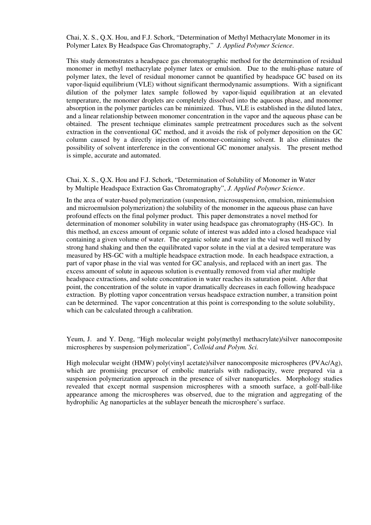Chai, X. S., Q.X. Hou, and F.J. Schork, "Determination of Methyl Methacrylate Monomer in its Polymer Latex By Headspace Gas Chromatography," *J. Applied Polymer Science*.

This study demonstrates a headspace gas chromatographic method for the determination of residual monomer in methyl methacrylate polymer latex or emulsion. Due to the multi-phase nature of polymer latex, the level of residual monomer cannot be quantified by headspace GC based on its vapor-liquid equilibrium (VLE) without significant thermodynamic assumptions. With a significant dilution of the polymer latex sample followed by vapor-liquid equilibration at an elevated temperature, the monomer droplets are completely dissolved into the aqueous phase, and monomer absorption in the polymer particles can be minimized. Thus, VLE is established in the diluted latex, and a linear relationship between monomer concentration in the vapor and the aqueous phase can be obtained. The present technique eliminates sample pretreatment procedures such as the solvent extraction in the conventional GC method, and it avoids the risk of polymer deposition on the GC column caused by a directly injection of monomer-containing solvent. It also eliminates the possibility of solvent interference in the conventional GC monomer analysis. The present method is simple, accurate and automated.

#### Chai, X. S., Q.X. Hou and F.J. Schork, "Determination of Solubility of Monomer in Water by Multiple Headspace Extraction Gas Chromatography", *J. Applied Polymer Science*.

In the area of water-based polymerization (suspension, microsuspension, emulsion, miniemulsion and microemulsion polymerization) the solubility of the monomer in the aqueous phase can have profound effects on the final polymer product. This paper demonstrates a novel method for determination of monomer solubility in water using headspace gas chromatography (HS-GC). In this method, an excess amount of organic solute of interest was added into a closed headspace vial containing a given volume of water. The organic solute and water in the vial was well mixed by strong hand shaking and then the equilibrated vapor solute in the vial at a desired temperature was measured by HS-GC with a multiple headspace extraction mode. In each headspace extraction, a part of vapor phase in the vial was vented for GC analysis, and replaced with an inert gas. The excess amount of solute in aqueous solution is eventually removed from vial after multiple headspace extractions, and solute concentration in water reaches its saturation point. After that point, the concentration of the solute in vapor dramatically decreases in each following headspace extraction. By plotting vapor concentration versus headspace extraction number, a transition point can be determined. The vapor concentration at this point is corresponding to the solute solubility, which can be calculated through a calibration.

Yeum, J. and Y. Deng, "High molecular weight poly(methyl methacrylate)/silver nanocomposite microspheres by suspension polymerization", *Colloid and Polym. Sci.*

High molecular weight (HMW) poly(vinyl acetate)/silver nanocomposite microspheres (PVAc/Ag), which are promising precursor of embolic materials with radiopacity, were prepared via a suspension polymerization approach in the presence of silver nanoparticles. Morphology studies revealed that except normal suspension microspheres with a smooth surface, a golf-ball-like appearance among the microspheres was observed, due to the migration and aggregating of the hydrophilic Ag nanoparticles at the sublayer beneath the microsphere's surface.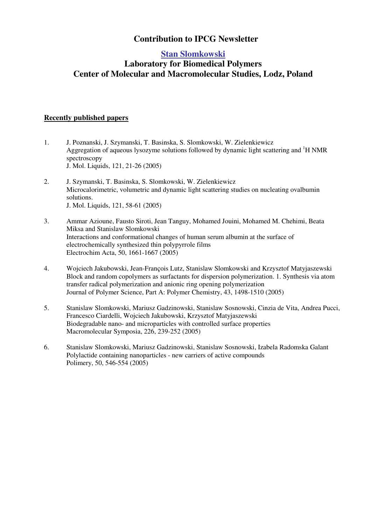# **Contribution to IPCG Newsletter**

# **Stan Slomkowski**

# **Laboratory for Biomedical Polymers Center of Molecular and Macromolecular Studies, Lodz, Poland**

# **Recently published papers**

- 1. J. Poznanski, J. Szymanski, T. Basinska, S. Slomkowski, W. Zielenkiewicz Aggregation of aqueous lysozyme solutions followed by dynamic light scattering and <sup>1</sup>H NMR spectroscopy J. Mol. Liquids, 121, 21-26 (2005)
- 2. J. Szymanski, T. Basinska, S. Slomkowski, W. Zielenkiewicz Microcalorimetric, volumetric and dynamic light scattering studies on nucleating ovalbumin solutions. J. Mol. Liquids, 121, 58-61 (2005)
- 3. Ammar Azioune, Fausto Siroti, Jean Tanguy, Mohamed Jouini, Mohamed M. Chehimi, Beata Miksa and Stanislaw Slomkowski Interactions and conformational changes of human serum albumin at the surface of electrochemically synthesized thin polypyrrole films Electrochim Acta, 50, 1661-1667 (2005)
- 4. Wojciech Jakubowski, Jean-François Lutz, Stanislaw Slomkowski and Krzysztof Matyjaszewski Block and random copolymers as surfactants for dispersion polymerization. 1. Synthesis via atom transfer radical polymerization and anionic ring opening polymerization Journal of Polymer Science, Part A: Polymer Chemistry, 43, 1498-1510 (2005)
- 5. Stanislaw Slomkowski, Mariusz Gadzinowski, Stanislaw Sosnowski, Cinzia de Vita, Andrea Pucci, Francesco Ciardelli, Wojciech Jakubowski, Krzysztof Matyjaszewski Biodegradable nano- and microparticles with controlled surface properties Macromolecular Symposia, 226, 239-252 (2005)
- 6. Stanislaw Slomkowski, Mariusz Gadzinowski, Stanislaw Sosnowski, Izabela Radomska Galant Polylactide containing nanoparticles - new carriers of active compounds Polimery, 50, 546-554 (2005)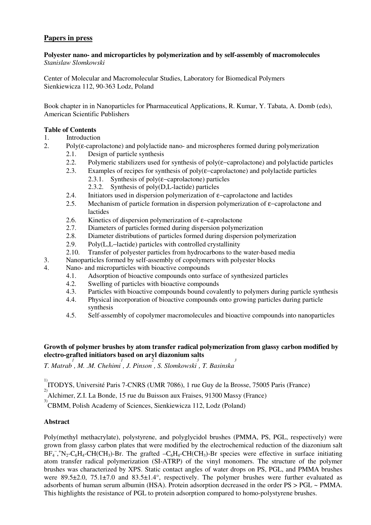# **Papers in press**

#### **Polyester nano- and microparticles by polymerization and by self-assembly of macromolecules** *Stanislaw Slomkowski*

Center of Molecular and Macromolecular Studies, Laboratory for Biomedical Polymers Sienkiewicza 112, 90-363 Lodz, Poland

Book chapter in in Nanoparticles for Pharmaceutical Applications, R. Kumar, Y. Tabata, A. Domb (eds), American Scientific Publishers

#### **Table of Contents**

- 1. Introduction
- 2. Poly( $\varepsilon$ -caprolactone) and polylactide nano- and microspheres formed during polymerization
	- 2.1. Design of particle synthesis
	- 2.2. Polymeric stabilizers used for synthesis of poly(ε–caprolactone) and polylactide particles
	- 2.3. Examples of recipes for synthesis of poly(ε–caprolactone) and polylactide particles
		- 2.3.1. Synthesis of poly(ε−caprolactone) particles
		- 2.3.2. Synthesis of poly(D,L-lactide) particles
	- 2.4. Initiators used in dispersion polymerization of ε−caprolactone and lactides
	- 2.5. Mechanism of particle formation in dispersion polymerization of  $\varepsilon$ −caprolactone and lactides
	- 2.6. Kinetics of dispersion polymerization of ε−caprolactone
	- 2.7. Diameters of particles formed during dispersion polymerization
	- 2.8. Diameter distributions of particles formed during dispersion polymerization
	- 2.9. Poly(L,L−lactide) particles with controlled crystallinity
	- 2.10. Transfer of polyester particles from hydrocarbons to the water-based media
- 3. Nanoparticles formed by self-assembly of copolymers with polyester blocks
- 4. Nano- and microparticles with bioactive compounds
	- 4.1. Adsorption of bioactive compounds onto surface of synthesized particles
	- 4.2. Swelling of particles with bioactive compounds
	- 4.3. Particles with bioactive compounds bound covalently to polymers during particle synthesis
	- 4.4. Physical incorporation of bioactive compounds onto growing particles during particle synthesis
	- 4.5. Self-assembly of copolymer macromolecules and bioactive compounds into nanoparticles

#### **Growth of polymer brushes by atom transfer radical polymerization from glassy carbon modified by electro-grafted initiators based on aryl diazonium salts**

*T. Matrab 1 , M. .M. Chehimi 1 , J. Pinson 2 , S. Slomkowski 3 , T. Basinska 3*

<sup>1)</sup><br>ITODYS, Université Paris 7-CNRS (UMR 7086), 1 rue Guy de la Brosse, 75005 Paris (France)

<sup>2)</sup><br>Alchimer, Z.I. La Bonde, 15 rue du Buisson aux Fraises, 91300 Massy (France)

3) CBMM, Polish Academy of Sciences, Sienkiewicza 112, Lodz (Poland)

## **Abstract**

Poly(methyl methacrylate), polystyrene, and polyglycidol brushes (PMMA, PS, PGL, respectively) were grown from glassy carbon plates that were modified by the electrochemical reduction of the diazonium salt  $BF_4^-$ ,  $N_2$ -C<sub>6</sub>H<sub>4</sub>-CH(CH<sub>3</sub>)-Br. The grafted  $-C_6H_4$ -CH(CH<sub>3</sub>)-Br species were effective in surface initiating atom transfer radical polymerization (SI-ATRP) of the vinyl monomers. The structure of the polymer brushes was characterized by XPS. Static contact angles of water drops on PS, PGL, and PMMA brushes were 89.5 $\pm$ 2.0, 75.1 $\pm$ 7.0 and 83.5 $\pm$ 1.4°, respectively. The polymer brushes were further evaluated as adsorbents of human serum albumin (HSA). Protein adsorption decreased in the order PS > PGL ~ PMMA. This highlights the resistance of PGL to protein adsorption compared to homo-polystyrene brushes.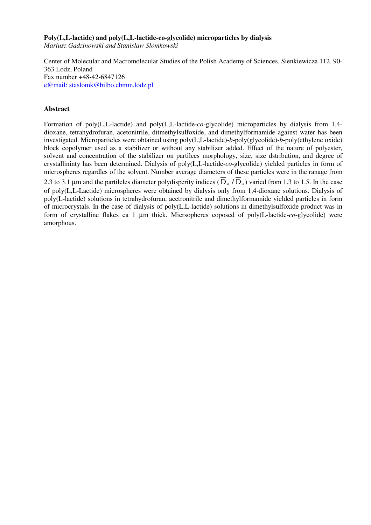#### **Poly(L,L-lactide) and poly(L,L-lactide-co-glycolide) microparticles by dialysis**

*Mariusz Gadzinowski and Stanislaw Slomkowski*

Center of Molecular and Macromolecular Studies of the Polish Academy of Sciences, Sienkiewicza 112, 90- 363 Lodz, Poland Fax number +48-42-6847126 e@mail: staslomk@bilbo.cbmm.lodz.pl

#### **Abstract**

Formation of poly(L,L-lactide) and poly(L,L-lactide-*co*-glycolide) microparticles by dialysis from 1,4 dioxane, tetrahydrofuran, acetonitrile, ditmethylsulfoxide, and dimethylformamide against water has been investigated. Microparticles were obtained using poly(L,L-lactide)-*b*-poly(glycolide)-*b*-poly(ethylene oxide) block copolymer used as a stabilizer or without any stabilizer added. Effect of the nature of polyester, solvent and concentration of the stabilizer on partilces morphology, size, size dstribution, and degree of crystallininty has been determined. Dialysis of poly(L,L-lactide-*co*-glycolide) yielded particles in form of microspheres regardles of the solvent. Number average diameters of these particles were in the ranage from 2.3 to 3.1 µm and the partilcles diameter polydisperity indices ( $\overline{D}_w / \overline{D}_n$ ) varied from 1.3 to 1.5. In the case of poly(L,L-Lactide) microspheres were obtained by dialysis only from 1,4-dioxane solutions. Dialysis of poly(L-lactide) solutions in tetrahydrofuran, acetronitrile and dimethylformamide yielded particles in form of microcrystals. In the case of dialysis of poly(L,L-lactide) solutions in dimethylsulfoxide product was in form of crystalline flakes ca 1 µm thick. Micrsopheres coposed of poly(L-lactide-*co*-glycolide) were amorphous.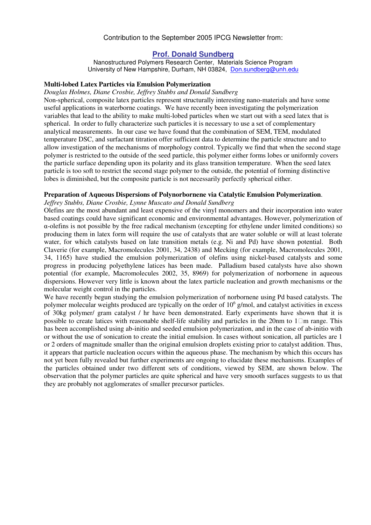#### Contribution to the September 2005 IPCG Newsletter from:

#### **Prof. Donald Sundberg**

Nanostructured Polymers Research Center, Materials Science Program University of New Hampshire, Durham, NH 03824, Don.sundberg@unh.edu

#### **Multi-lobed Latex Particles via Emulsion Polymerization**

#### *Douglas Holmes, Diane Crosbie, Jeffrey Stubbs and Donald Sundberg*

Non-spherical, composite latex particles represent structurally interesting nano-materials and have some useful applications in waterborne coatings. We have recently been investigating the polymerization variables that lead to the ability to make multi-lobed particles when we start out with a seed latex that is spherical. In order to fully characterize such particles it is necessary to use a set of complementary analytical measurements. In our case we have found that the combination of SEM, TEM, modulated temperature DSC, and surfactant titration offer sufficient data to determine the particle structure and to allow investigation of the mechanisms of morphology control. Typically we find that when the second stage polymer is restricted to the outside of the seed particle, this polymer either forms lobes or uniformly covers the particle surface depending upon its polarity and its glass transition temperature. When the seed latex particle is too soft to restrict the second stage polymer to the outside, the potential of forming distinctive lobes is diminished, but the composite particle is not necessarily perfectly spherical either.

#### **Preparation of Aqueous Dispersions of Polynorbornene via Catalytic Emulsion Polymerization**.

*Jeffrey Stubbs, Diane Crosbie, Lynne Muscato and Donald Sundberg*

Olefins are the most abundant and least expensive of the vinyl monomers and their incorporation into water based coatings could have significant economic and environmental advantages. However, polymerization of  $\alpha$ -olefins is not possible by the free radical mechanism (excepting for ethylene under limited conditions) so producing them in latex form will require the use of catalysts that are water soluble or will at least tolerate water, for which catalysts based on late transition metals (e.g. Ni and Pd) have shown potential. Both Claverie (for example, Macromolecules 2001, 34, 2438) and Mecking (for example, Macromolecules 2001, 34, 1165) have studied the emulsion polymerization of olefins using nickel-based catalysts and some progress in producing polyethylene latices has been made. Palladium based catalysts have also shown potential (for example, Macromolecules 2002, 35, 8969) for polymerization of norbornene in aqueous dispersions. However very little is known about the latex particle nucleation and growth mechanisms or the molecular weight control in the particles.

We have recently begun studying the emulsion polymerization of norbornene using Pd based catalysts. The polymer molecular weights produced are typically on the order of 10<sup>6</sup> g/mol, and catalyst activities in excess of 30kg polymer/ gram catalyst / hr have been demonstrated. Early experiments have shown that it is possible to create latices with reasonable shelf-life stability and particles in the 20nm to 1 m range. This has been accomplished using ab-initio and seeded emulsion polymerization, and in the case of ab-initio with or without the use of sonication to create the initial emulsion. In cases without sonication, all particles are 1 or 2 orders of magnitude smaller than the original emulsion droplets existing prior to catalyst addition. Thus, it appears that particle nucleation occurs within the aqueous phase. The mechanism by which this occurs has not yet been fully revealed but further experiments are ongoing to elucidate these mechanisms. Examples of the particles obtained under two different sets of conditions, viewed by SEM, are shown below. The observation that the polymer particles are quite spherical and have very smooth surfaces suggests to us that they are probably not agglomerates of smaller precursor particles.